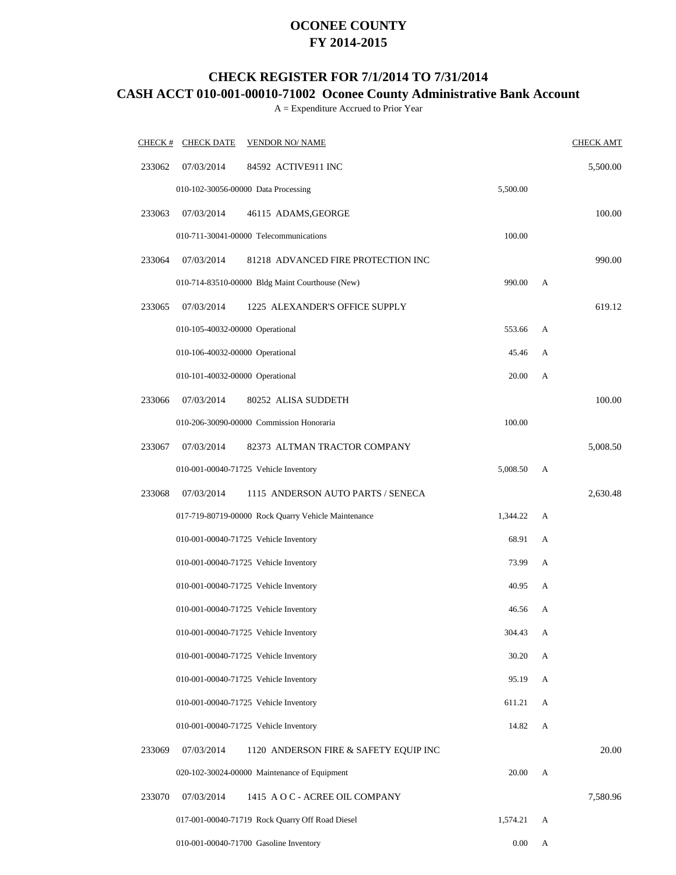### **OCONEE COUNTY FY 2014-2015**

# **CHECK REGISTER FOR 7/1/2014 TO 7/31/2014**

# **CASH ACCT 010-001-00010-71002 Oconee County Administrative Bank Account**

A = Expenditure Accrued to Prior Year

|        | $CHECK$ # CHECK DATE            | <b>VENDOR NO/ NAME</b>                              |          |   | <b>CHECK AMT</b> |
|--------|---------------------------------|-----------------------------------------------------|----------|---|------------------|
| 233062 | 07/03/2014                      | 84592 ACTIVE911 INC                                 |          |   | 5,500.00         |
|        |                                 | 010-102-30056-00000 Data Processing                 | 5,500.00 |   |                  |
| 233063 | 07/03/2014                      | 46115 ADAMS, GEORGE                                 |          |   | 100.00           |
|        |                                 | 010-711-30041-00000 Telecommunications              | 100.00   |   |                  |
| 233064 | 07/03/2014                      | 81218 ADVANCED FIRE PROTECTION INC                  |          |   | 990.00           |
|        |                                 | 010-714-83510-00000 Bldg Maint Courthouse (New)     | 990.00   | A |                  |
| 233065 | 07/03/2014                      | 1225 ALEXANDER'S OFFICE SUPPLY                      |          |   | 619.12           |
|        | 010-105-40032-00000 Operational |                                                     | 553.66   | A |                  |
|        | 010-106-40032-00000 Operational |                                                     | 45.46    | A |                  |
|        | 010-101-40032-00000 Operational |                                                     | 20.00    | A |                  |
| 233066 | 07/03/2014                      | 80252 ALISA SUDDETH                                 |          |   | 100.00           |
|        |                                 | 010-206-30090-00000 Commission Honoraria            | 100.00   |   |                  |
| 233067 | 07/03/2014                      | 82373 ALTMAN TRACTOR COMPANY                        |          |   | 5,008.50         |
|        |                                 | 010-001-00040-71725 Vehicle Inventory               | 5,008.50 | А |                  |
| 233068 | 07/03/2014                      | 1115 ANDERSON AUTO PARTS / SENECA                   |          |   | 2,630.48         |
|        |                                 | 017-719-80719-00000 Rock Quarry Vehicle Maintenance | 1,344.22 | A |                  |
|        |                                 | 010-001-00040-71725 Vehicle Inventory               | 68.91    | A |                  |
|        |                                 | 010-001-00040-71725 Vehicle Inventory               | 73.99    | A |                  |
|        |                                 | 010-001-00040-71725 Vehicle Inventory               | 40.95    | A |                  |
|        |                                 | 010-001-00040-71725 Vehicle Inventory               | 46.56    | А |                  |
|        |                                 | 010-001-00040-71725 Vehicle Inventory               | 304.43   | A |                  |
|        |                                 | 010-001-00040-71725 Vehicle Inventory               | 30.20    | A |                  |
|        |                                 | 010-001-00040-71725 Vehicle Inventory               | 95.19    | A |                  |
|        |                                 | 010-001-00040-71725 Vehicle Inventory               | 611.21   | A |                  |
|        |                                 | 010-001-00040-71725 Vehicle Inventory               | 14.82    | A |                  |
| 233069 | 07/03/2014                      | 1120 ANDERSON FIRE & SAFETY EQUIP INC               |          |   | 20.00            |
|        |                                 | 020-102-30024-00000 Maintenance of Equipment        | 20.00    | A |                  |
| 233070 | 07/03/2014                      | 1415 A O C - ACREE OIL COMPANY                      |          |   | 7,580.96         |
|        |                                 | 017-001-00040-71719 Rock Quarry Off Road Diesel     | 1,574.21 | A |                  |
|        |                                 | 010-001-00040-71700 Gasoline Inventory              | 0.00     | A |                  |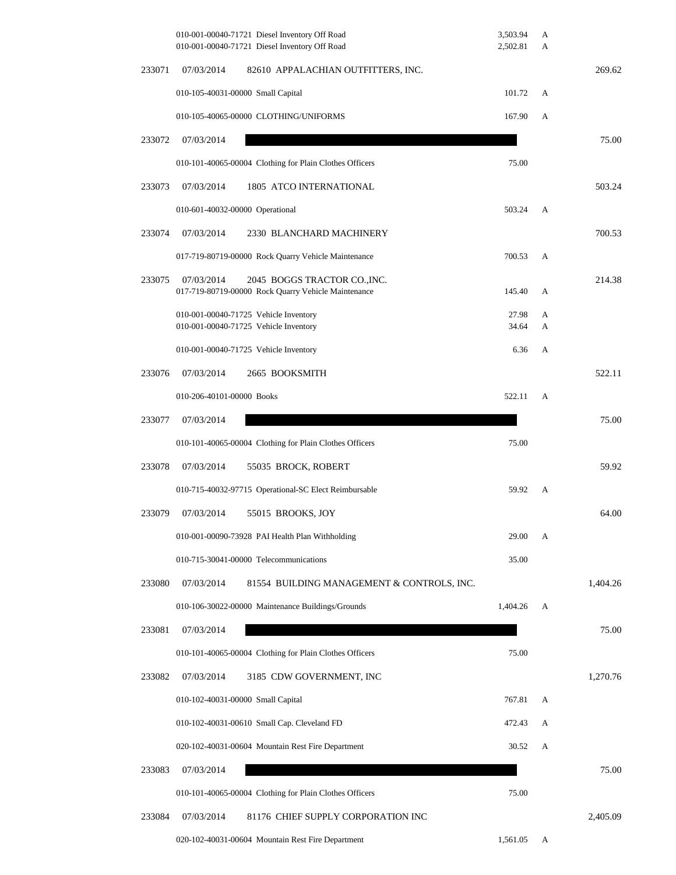|        | 010-001-00040-71721 Diesel Inventory Off Road<br>010-001-00040-71721 Diesel Inventory Off Road    | 3,503.94<br>2,502.81 | A<br>A |          |
|--------|---------------------------------------------------------------------------------------------------|----------------------|--------|----------|
| 233071 | 07/03/2014<br>82610 APPALACHIAN OUTFITTERS, INC.                                                  |                      |        | 269.62   |
|        | 010-105-40031-00000 Small Capital                                                                 | 101.72               | A      |          |
|        | 010-105-40065-00000 CLOTHING/UNIFORMS                                                             | 167.90               | A      |          |
| 233072 | 07/03/2014                                                                                        |                      |        | 75.00    |
|        | 010-101-40065-00004 Clothing for Plain Clothes Officers                                           | 75.00                |        |          |
| 233073 | 07/03/2014<br>1805 ATCO INTERNATIONAL                                                             |                      |        | 503.24   |
|        | 010-601-40032-00000 Operational                                                                   | 503.24               | A      |          |
| 233074 | 07/03/2014<br>2330 BLANCHARD MACHINERY                                                            |                      |        | 700.53   |
|        | 017-719-80719-00000 Rock Quarry Vehicle Maintenance                                               | 700.53               | A      |          |
| 233075 | 07/03/2014<br>2045 BOGGS TRACTOR CO., INC.<br>017-719-80719-00000 Rock Quarry Vehicle Maintenance | 145.40               | A      | 214.38   |
|        | 010-001-00040-71725 Vehicle Inventory<br>010-001-00040-71725 Vehicle Inventory                    | 27.98<br>34.64       | A<br>A |          |
|        | 010-001-00040-71725 Vehicle Inventory                                                             | 6.36                 | A      |          |
| 233076 | 07/03/2014<br>2665 BOOKSMITH                                                                      |                      |        | 522.11   |
|        | 010-206-40101-00000 Books                                                                         | 522.11               | A      |          |
| 233077 | 07/03/2014                                                                                        |                      |        | 75.00    |
|        | 010-101-40065-00004 Clothing for Plain Clothes Officers                                           | 75.00                |        |          |
| 233078 | 07/03/2014<br>55035 BROCK, ROBERT                                                                 |                      |        | 59.92    |
|        | 010-715-40032-97715 Operational-SC Elect Reimbursable                                             | 59.92                | A      |          |
| 233079 | 07/03/2014<br>55015 BROOKS, JOY                                                                   |                      |        | 64.00    |
|        | 010-001-00090-73928 PAI Health Plan Withholding                                                   | 29.00                | А      |          |
|        | 010-715-30041-00000 Telecommunications                                                            | 35.00                |        |          |
| 233080 | 07/03/2014<br>81554 BUILDING MANAGEMENT & CONTROLS, INC.                                          |                      |        | 1,404.26 |
|        | 010-106-30022-00000 Maintenance Buildings/Grounds                                                 | 1,404.26             | A      |          |
| 233081 | 07/03/2014                                                                                        |                      |        | 75.00    |
|        | 010-101-40065-00004 Clothing for Plain Clothes Officers                                           | 75.00                |        |          |
| 233082 | 07/03/2014<br>3185 CDW GOVERNMENT, INC                                                            |                      |        | 1,270.76 |
|        | 010-102-40031-00000 Small Capital                                                                 | 767.81               | A      |          |
|        | 010-102-40031-00610 Small Cap. Cleveland FD                                                       | 472.43               | А      |          |
|        | 020-102-40031-00604 Mountain Rest Fire Department                                                 | 30.52                | A      |          |
| 233083 | 07/03/2014                                                                                        |                      |        | 75.00    |
|        | 010-101-40065-00004 Clothing for Plain Clothes Officers                                           | 75.00                |        |          |
| 233084 | 07/03/2014<br>81176 CHIEF SUPPLY CORPORATION INC                                                  |                      |        | 2,405.09 |
|        | 020-102-40031-00604 Mountain Rest Fire Department                                                 | 1,561.05             | A      |          |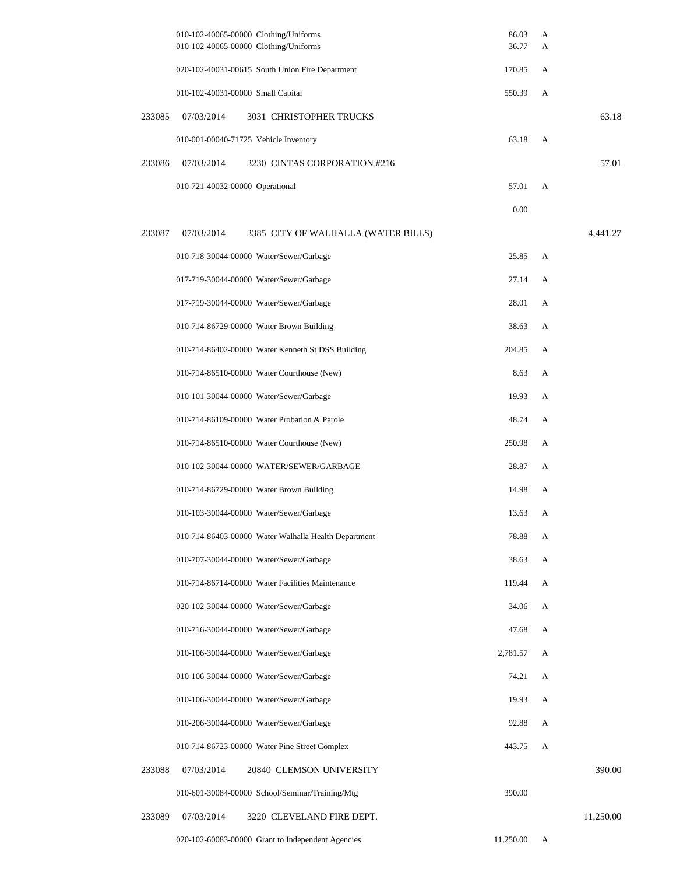|        | 010-102-40065-00000 Clothing/Uniforms<br>010-102-40065-00000 Clothing/Uniforms | 86.03<br>36.77 | А<br>А |           |
|--------|--------------------------------------------------------------------------------|----------------|--------|-----------|
|        | 020-102-40031-00615 South Union Fire Department                                | 170.85         | А      |           |
|        | 010-102-40031-00000 Small Capital                                              | 550.39         | А      |           |
| 233085 | 07/03/2014<br>3031 CHRISTOPHER TRUCKS                                          |                |        | 63.18     |
|        | 010-001-00040-71725 Vehicle Inventory                                          | 63.18          | А      |           |
| 233086 | 07/03/2014<br>3230 CINTAS CORPORATION #216                                     |                |        | 57.01     |
|        | 010-721-40032-00000 Operational                                                | 57.01          | A      |           |
|        |                                                                                | 0.00           |        |           |
| 233087 | 07/03/2014<br>3385 CITY OF WALHALLA (WATER BILLS)                              |                |        | 4,441.27  |
|        | 010-718-30044-00000 Water/Sewer/Garbage                                        | 25.85          | А      |           |
|        | 017-719-30044-00000 Water/Sewer/Garbage                                        | 27.14          | A      |           |
|        | 017-719-30044-00000 Water/Sewer/Garbage                                        | 28.01          | А      |           |
|        | 010-714-86729-00000 Water Brown Building                                       | 38.63          | А      |           |
|        | 010-714-86402-00000 Water Kenneth St DSS Building                              | 204.85         | А      |           |
|        | 010-714-86510-00000 Water Courthouse (New)                                     | 8.63           | А      |           |
|        | 010-101-30044-00000 Water/Sewer/Garbage                                        | 19.93          | А      |           |
|        | 010-714-86109-00000 Water Probation & Parole                                   | 48.74          | A      |           |
|        | 010-714-86510-00000 Water Courthouse (New)                                     | 250.98         | А      |           |
|        | 010-102-30044-00000 WATER/SEWER/GARBAGE                                        | 28.87          | A      |           |
|        | 010-714-86729-00000 Water Brown Building                                       | 14.98          | A      |           |
|        | 010-103-30044-00000 Water/Sewer/Garbage                                        | 13.63          | A      |           |
|        | 010-714-86403-00000 Water Walhalla Health Department                           | 78.88          | A      |           |
|        | 010-707-30044-00000 Water/Sewer/Garbage                                        | 38.63          | A      |           |
|        | 010-714-86714-00000 Water Facilities Maintenance                               | 119.44         | A      |           |
|        | 020-102-30044-00000 Water/Sewer/Garbage                                        | 34.06          | А      |           |
|        | 010-716-30044-00000 Water/Sewer/Garbage                                        | 47.68          | A      |           |
|        | 010-106-30044-00000 Water/Sewer/Garbage                                        | 2,781.57       | A      |           |
|        | 010-106-30044-00000 Water/Sewer/Garbage                                        | 74.21          | A      |           |
|        | 010-106-30044-00000 Water/Sewer/Garbage                                        | 19.93          | A      |           |
|        | 010-206-30044-00000 Water/Sewer/Garbage                                        | 92.88          | A      |           |
|        | 010-714-86723-00000 Water Pine Street Complex                                  | 443.75         | А      |           |
| 233088 | 07/03/2014<br>20840 CLEMSON UNIVERSITY                                         |                |        | 390.00    |
|        | 010-601-30084-00000 School/Seminar/Training/Mtg                                | 390.00         |        |           |
| 233089 | 07/03/2014<br>3220 CLEVELAND FIRE DEPT.                                        |                |        | 11,250.00 |
|        | 020-102-60083-00000 Grant to Independent Agencies                              | 11,250.00      | A      |           |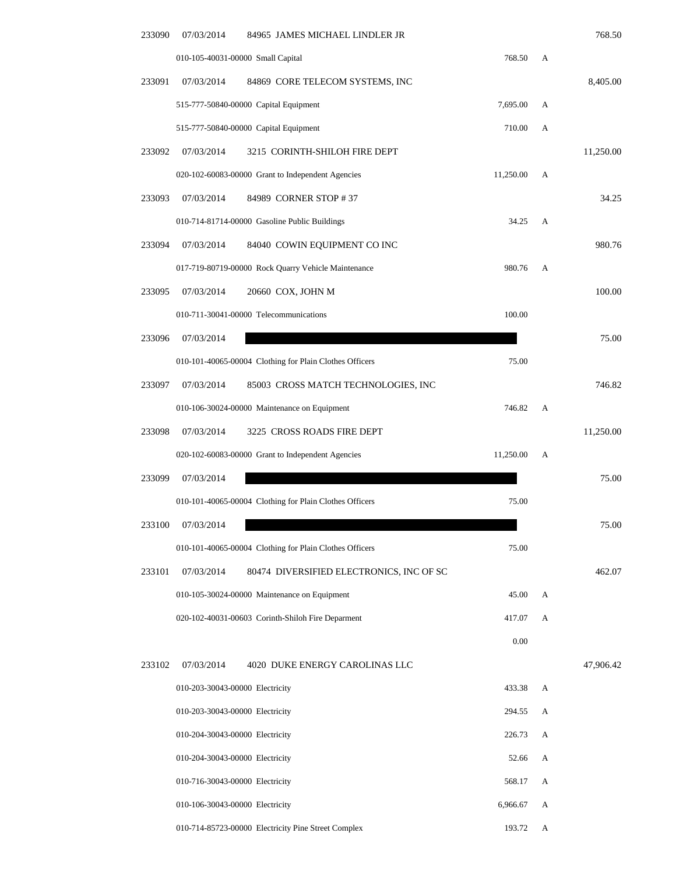| 233090 | 07/03/2014                        | 84965 JAMES MICHAEL LINDLER JR                          |           |   | 768.50    |
|--------|-----------------------------------|---------------------------------------------------------|-----------|---|-----------|
|        | 010-105-40031-00000 Small Capital |                                                         | 768.50    | A |           |
| 233091 | 07/03/2014                        | 84869 CORE TELECOM SYSTEMS, INC                         |           |   | 8,405.00  |
|        |                                   | 515-777-50840-00000 Capital Equipment                   | 7,695.00  | А |           |
|        |                                   | 515-777-50840-00000 Capital Equipment                   | 710.00    | А |           |
| 233092 | 07/03/2014                        | 3215 CORINTH-SHILOH FIRE DEPT                           |           |   | 11,250.00 |
|        |                                   | 020-102-60083-00000 Grant to Independent Agencies       | 11,250.00 | А |           |
| 233093 | 07/03/2014                        | 84989 CORNER STOP #37                                   |           |   | 34.25     |
|        |                                   | 010-714-81714-00000 Gasoline Public Buildings           | 34.25     | А |           |
| 233094 | 07/03/2014                        | 84040 COWIN EQUIPMENT CO INC                            |           |   | 980.76    |
|        |                                   | 017-719-80719-00000 Rock Quarry Vehicle Maintenance     | 980.76    | A |           |
| 233095 | 07/03/2014                        | 20660 COX, JOHN M                                       |           |   | 100.00    |
|        |                                   | 010-711-30041-00000 Telecommunications                  | 100.00    |   |           |
| 233096 | 07/03/2014                        |                                                         |           |   | 75.00     |
|        |                                   | 010-101-40065-00004 Clothing for Plain Clothes Officers | 75.00     |   |           |
| 233097 | 07/03/2014                        | 85003 CROSS MATCH TECHNOLOGIES, INC                     |           |   | 746.82    |
|        |                                   | 010-106-30024-00000 Maintenance on Equipment            | 746.82    | А |           |
| 233098 | 07/03/2014                        | 3225 CROSS ROADS FIRE DEPT                              |           |   | 11,250.00 |
|        |                                   | 020-102-60083-00000 Grant to Independent Agencies       | 11,250.00 | А |           |
| 233099 | 07/03/2014                        |                                                         |           |   | 75.00     |
|        |                                   | 010-101-40065-00004 Clothing for Plain Clothes Officers | 75.00     |   |           |
| 233100 | 07/03/2014                        |                                                         |           |   | 75.00     |
|        |                                   | 010-101-40065-00004 Clothing for Plain Clothes Officers | 75.00     |   |           |
| 233101 | 07/03/2014                        | 80474 DIVERSIFIED ELECTRONICS, INC OF SC                |           |   | 462.07    |
|        |                                   | 010-105-30024-00000 Maintenance on Equipment            | 45.00     | А |           |
|        |                                   | 020-102-40031-00603 Corinth-Shiloh Fire Deparment       | 417.07    | A |           |
|        |                                   |                                                         | $0.00\,$  |   |           |
| 233102 | 07/03/2014                        | 4020 DUKE ENERGY CAROLINAS LLC                          |           |   | 47,906.42 |
|        | 010-203-30043-00000 Electricity   |                                                         | 433.38    | A |           |
|        | 010-203-30043-00000 Electricity   |                                                         | 294.55    | А |           |
|        | 010-204-30043-00000 Electricity   |                                                         | 226.73    | A |           |
|        | 010-204-30043-00000 Electricity   |                                                         | 52.66     | A |           |
|        | 010-716-30043-00000 Electricity   |                                                         | 568.17    | A |           |
|        | 010-106-30043-00000 Electricity   |                                                         | 6,966.67  | А |           |
|        |                                   | 010-714-85723-00000 Electricity Pine Street Complex     | 193.72    | A |           |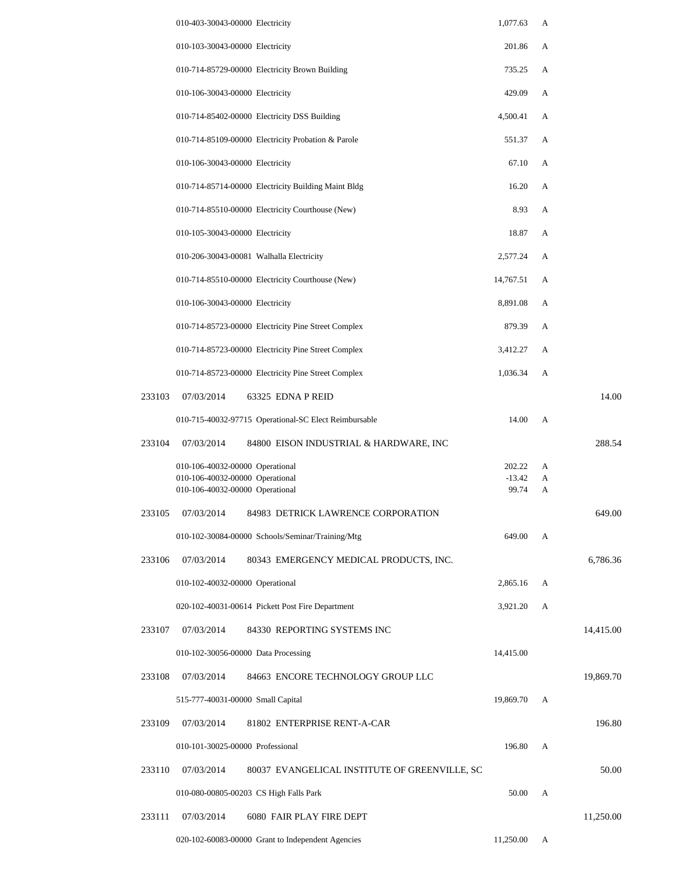|        | 010-403-30043-00000 Electricity                                    | 1,077.63          | А      |           |
|--------|--------------------------------------------------------------------|-------------------|--------|-----------|
|        | 010-103-30043-00000 Electricity                                    | 201.86            | A      |           |
|        | 010-714-85729-00000 Electricity Brown Building                     | 735.25            | A      |           |
|        | 010-106-30043-00000 Electricity                                    | 429.09            | A      |           |
|        | 010-714-85402-00000 Electricity DSS Building                       | 4,500.41          | A      |           |
|        | 010-714-85109-00000 Electricity Probation & Parole                 | 551.37            | A      |           |
|        | 010-106-30043-00000 Electricity                                    | 67.10             | A      |           |
|        | 010-714-85714-00000 Electricity Building Maint Bldg                | 16.20             | A      |           |
|        | 010-714-85510-00000 Electricity Courthouse (New)                   | 8.93              | A      |           |
|        | 010-105-30043-00000 Electricity                                    | 18.87             | A      |           |
|        | 010-206-30043-00081 Walhalla Electricity                           | 2,577.24          | A      |           |
|        | 010-714-85510-00000 Electricity Courthouse (New)                   | 14,767.51         | A      |           |
|        | 010-106-30043-00000 Electricity                                    | 8,891.08          | A      |           |
|        | 010-714-85723-00000 Electricity Pine Street Complex                | 879.39            | A      |           |
|        | 010-714-85723-00000 Electricity Pine Street Complex                | 3,412.27          | A      |           |
|        | 010-714-85723-00000 Electricity Pine Street Complex                | 1,036.34          | A      |           |
| 233103 | 07/03/2014<br>63325 EDNA P REID                                    |                   |        | 14.00     |
|        | 010-715-40032-97715 Operational-SC Elect Reimbursable              | 14.00             | A      |           |
| 233104 | 07/03/2014<br>84800 EISON INDUSTRIAL & HARDWARE, INC               |                   |        | 288.54    |
|        | 010-106-40032-00000 Operational                                    | 202.22            | A      |           |
|        | 010-106-40032-00000 Operational<br>010-106-40032-00000 Operational | $-13.42$<br>99.74 | A<br>А |           |
| 233105 | 07/03/2014<br>84983 DETRICK LAWRENCE CORPORATION                   |                   |        | 649.00    |
|        | 010-102-30084-00000 Schools/Seminar/Training/Mtg                   | 649.00            | A      |           |
| 233106 | 07/03/2014<br>80343 EMERGENCY MEDICAL PRODUCTS, INC.               |                   |        | 6,786.36  |
|        | 010-102-40032-00000 Operational                                    | 2,865.16          | A      |           |
|        | 020-102-40031-00614 Pickett Post Fire Department                   | 3,921.20          | A      |           |
| 233107 | 07/03/2014<br>84330 REPORTING SYSTEMS INC                          |                   |        | 14,415.00 |
|        | 010-102-30056-00000 Data Processing                                | 14,415.00         |        |           |
| 233108 | 07/03/2014<br>84663 ENCORE TECHNOLOGY GROUP LLC                    |                   |        | 19,869.70 |
|        | 515-777-40031-00000 Small Capital                                  | 19,869.70         | А      |           |
| 233109 | 07/03/2014<br>81802 ENTERPRISE RENT-A-CAR                          |                   |        | 196.80    |
|        | 010-101-30025-00000 Professional                                   | 196.80            | A      |           |
| 233110 | 07/03/2014<br>80037 EVANGELICAL INSTITUTE OF GREENVILLE, SC        |                   |        | 50.00     |
|        | 010-080-00805-00203 CS High Falls Park                             | 50.00             | A      |           |
| 233111 | 07/03/2014<br>6080 FAIR PLAY FIRE DEPT                             |                   |        | 11,250.00 |
|        | 020-102-60083-00000 Grant to Independent Agencies                  | 11,250.00         | A      |           |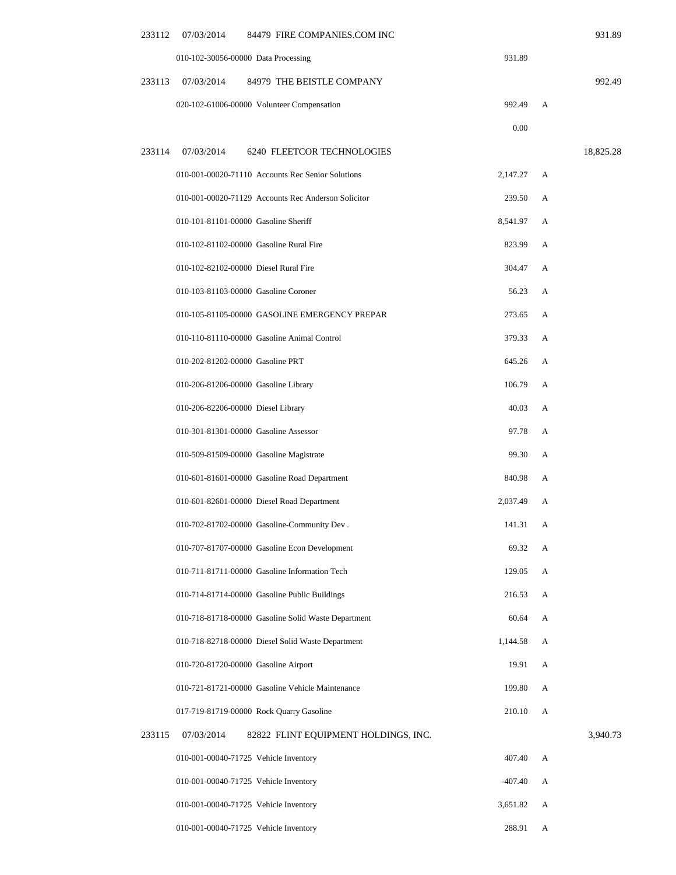| 233112<br>07/03/2014<br>84479 FIRE COMPANIES.COM INC         |           |   | 931.89    |
|--------------------------------------------------------------|-----------|---|-----------|
| 010-102-30056-00000 Data Processing                          | 931.89    |   |           |
| 233113<br>07/03/2014<br>84979 THE BEISTLE COMPANY            |           |   | 992.49    |
| 020-102-61006-00000 Volunteer Compensation                   | 992.49    | A |           |
|                                                              | 0.00      |   |           |
| 233114<br>07/03/2014<br>6240 FLEETCOR TECHNOLOGIES           |           |   | 18,825.28 |
| 010-001-00020-71110 Accounts Rec Senior Solutions            | 2,147.27  | А |           |
| 010-001-00020-71129 Accounts Rec Anderson Solicitor          | 239.50    | А |           |
| 010-101-81101-00000 Gasoline Sheriff                         | 8,541.97  | А |           |
| 010-102-81102-00000 Gasoline Rural Fire                      | 823.99    | A |           |
| 010-102-82102-00000 Diesel Rural Fire                        | 304.47    | А |           |
| 010-103-81103-00000 Gasoline Coroner                         | 56.23     | А |           |
| 010-105-81105-00000 GASOLINE EMERGENCY PREPAR                | 273.65    | А |           |
| 010-110-81110-00000 Gasoline Animal Control                  | 379.33    | А |           |
| 010-202-81202-00000 Gasoline PRT                             | 645.26    | А |           |
| 010-206-81206-00000 Gasoline Library                         | 106.79    | А |           |
| 010-206-82206-00000 Diesel Library                           | 40.03     | А |           |
| 010-301-81301-00000 Gasoline Assessor                        | 97.78     | А |           |
| 010-509-81509-00000 Gasoline Magistrate                      | 99.30     | А |           |
| 010-601-81601-00000 Gasoline Road Department                 | 840.98    | А |           |
| 010-601-82601-00000 Diesel Road Department                   | 2,037.49  | А |           |
| 010-702-81702-00000 Gasoline-Community Dev.                  | 141.31    | A |           |
| 010-707-81707-00000 Gasoline Econ Development                | 69.32     | A |           |
| 010-711-81711-00000 Gasoline Information Tech                | 129.05    | А |           |
| 010-714-81714-00000 Gasoline Public Buildings                | 216.53    | A |           |
| 010-718-81718-00000 Gasoline Solid Waste Department          | 60.64     | A |           |
| 010-718-82718-00000 Diesel Solid Waste Department            | 1,144.58  | A |           |
| 010-720-81720-00000 Gasoline Airport                         | 19.91     | А |           |
| 010-721-81721-00000 Gasoline Vehicle Maintenance             | 199.80    | А |           |
| 017-719-81719-00000 Rock Quarry Gasoline                     | 210.10    | А |           |
| 233115<br>07/03/2014<br>82822 FLINT EQUIPMENT HOLDINGS, INC. |           |   | 3,940.73  |
| 010-001-00040-71725 Vehicle Inventory                        | 407.40    | А |           |
| 010-001-00040-71725 Vehicle Inventory                        | $-407.40$ | А |           |
| 010-001-00040-71725 Vehicle Inventory                        | 3,651.82  | A |           |
| 010-001-00040-71725 Vehicle Inventory                        | 288.91    | A |           |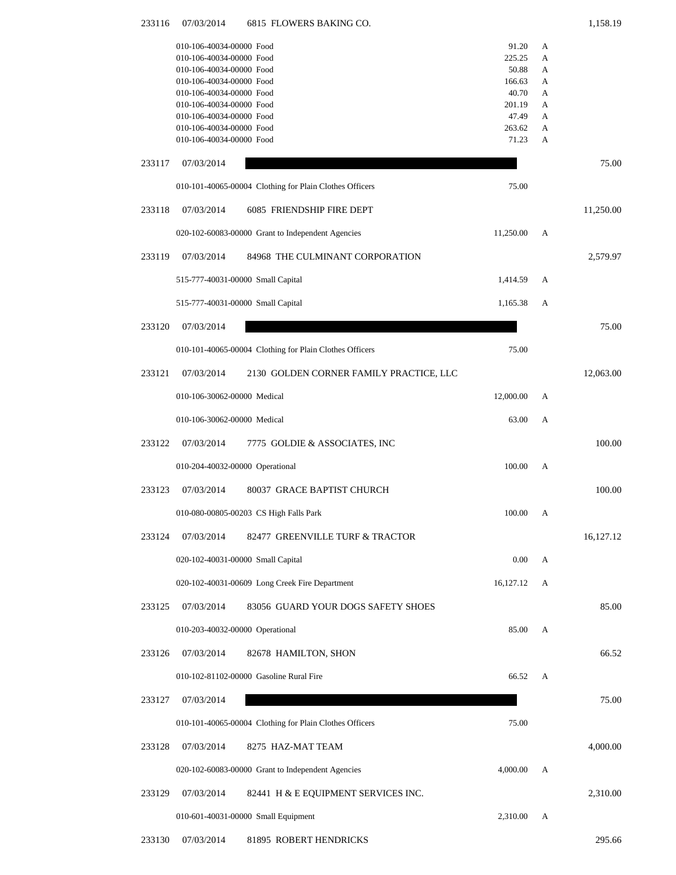| 233116 | 07/03/2014<br>6815 FLOWERS BAKING CO.                   |                 |        | 1,158.19  |
|--------|---------------------------------------------------------|-----------------|--------|-----------|
|        | 010-106-40034-00000 Food                                | 91.20           | A      |           |
|        | 010-106-40034-00000 Food                                | 225.25          | A      |           |
|        | 010-106-40034-00000 Food                                | 50.88           | А      |           |
|        | 010-106-40034-00000 Food<br>010-106-40034-00000 Food    | 166.63<br>40.70 | А<br>А |           |
|        | 010-106-40034-00000 Food                                | 201.19          | А      |           |
|        | 010-106-40034-00000 Food                                | 47.49           | А      |           |
|        | 010-106-40034-00000 Food                                | 263.62          | А      |           |
|        | 010-106-40034-00000 Food                                | 71.23           | A      |           |
| 233117 | 07/03/2014                                              |                 |        | 75.00     |
|        | 010-101-40065-00004 Clothing for Plain Clothes Officers | 75.00           |        |           |
| 233118 | 07/03/2014<br>6085 FRIENDSHIP FIRE DEPT                 |                 |        | 11,250.00 |
|        | 020-102-60083-00000 Grant to Independent Agencies       | 11,250.00       | А      |           |
| 233119 | 07/03/2014<br>84968 THE CULMINANT CORPORATION           |                 |        | 2,579.97  |
|        | 515-777-40031-00000 Small Capital                       | 1,414.59        | А      |           |
|        | 515-777-40031-00000 Small Capital                       | 1,165.38        | А      |           |
| 233120 | 07/03/2014                                              |                 |        | 75.00     |
|        | 010-101-40065-00004 Clothing for Plain Clothes Officers | 75.00           |        |           |
| 233121 | 07/03/2014<br>2130 GOLDEN CORNER FAMILY PRACTICE, LLC   |                 |        | 12,063.00 |
|        | 010-106-30062-00000 Medical                             | 12,000.00       | А      |           |
|        | 010-106-30062-00000 Medical                             | 63.00           | А      |           |
| 233122 | 07/03/2014<br>7775 GOLDIE & ASSOCIATES, INC             |                 |        | 100.00    |
|        | 010-204-40032-00000 Operational                         | 100.00          | A      |           |
| 233123 | 07/03/2014<br>80037 GRACE BAPTIST CHURCH                |                 |        | 100.00    |
|        | 010-080-00805-00203 CS High Falls Park                  | 100.00          | A      |           |
| 233124 | 07/03/2014<br>82477 GREENVILLE TURF & TRACTOR           |                 |        | 16,127.12 |
|        | 020-102-40031-00000 Small Capital                       | 0.00            | A      |           |
|        | 020-102-40031-00609 Long Creek Fire Department          | 16,127.12       | A      |           |
| 233125 | 07/03/2014<br>83056 GUARD YOUR DOGS SAFETY SHOES        |                 |        | 85.00     |
|        | 010-203-40032-00000 Operational                         | 85.00           | A      |           |
| 233126 | 07/03/2014<br>82678 HAMILTON, SHON                      |                 |        | 66.52     |
|        | 010-102-81102-00000 Gasoline Rural Fire                 | 66.52           | A      |           |
| 233127 | 07/03/2014                                              |                 |        | 75.00     |
|        | 010-101-40065-00004 Clothing for Plain Clothes Officers | 75.00           |        |           |
| 233128 | 07/03/2014<br>8275 HAZ-MAT TEAM                         |                 |        | 4,000.00  |
|        | 020-102-60083-00000 Grant to Independent Agencies       | 4,000.00        | А      |           |
| 233129 | 07/03/2014<br>82441 H & E EQUIPMENT SERVICES INC.       |                 |        | 2,310.00  |
|        | 010-601-40031-00000 Small Equipment                     | 2,310.00        | A      |           |

233130 07/03/2014 81895 ROBERT HENDRICKS 295.66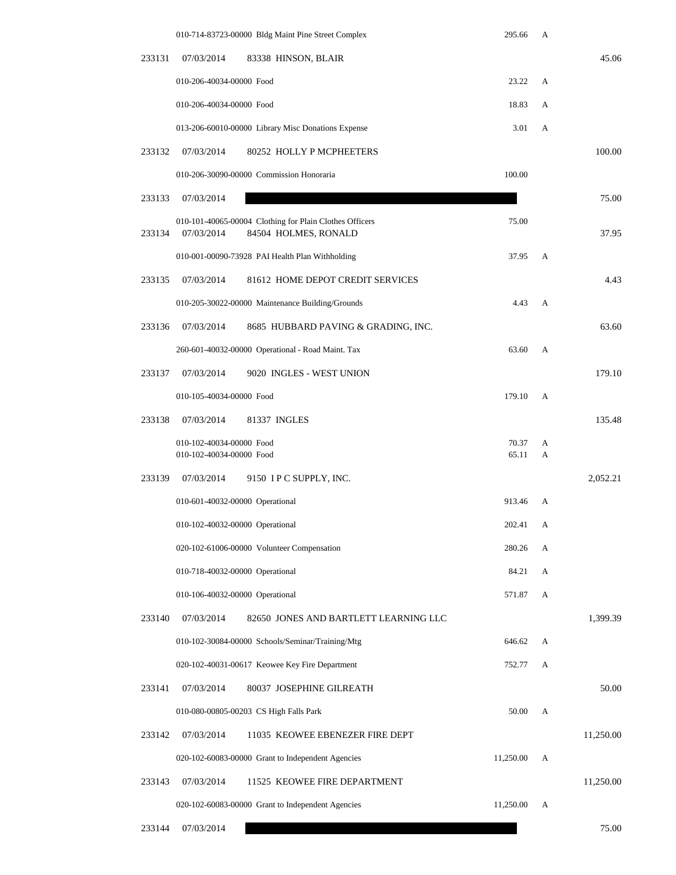|        |                                                      | 010-714-83723-00000 Bldg Maint Pine Street Complex                              | 295.66         | А      |           |
|--------|------------------------------------------------------|---------------------------------------------------------------------------------|----------------|--------|-----------|
| 233131 | 07/03/2014                                           | 83338 HINSON, BLAIR                                                             |                |        | 45.06     |
|        | 010-206-40034-00000 Food                             |                                                                                 | 23.22          | А      |           |
|        | 010-206-40034-00000 Food                             |                                                                                 | 18.83          | А      |           |
|        |                                                      | 013-206-60010-00000 Library Misc Donations Expense                              | 3.01           | А      |           |
| 233132 | 07/03/2014                                           | 80252 HOLLY P MCPHEETERS                                                        |                |        | 100.00    |
|        |                                                      | 010-206-30090-00000 Commission Honoraria                                        | 100.00         |        |           |
| 233133 | 07/03/2014                                           |                                                                                 |                |        | 75.00     |
| 233134 | 07/03/2014                                           | 010-101-40065-00004 Clothing for Plain Clothes Officers<br>84504 HOLMES, RONALD | 75.00          |        | 37.95     |
|        |                                                      | 010-001-00090-73928 PAI Health Plan Withholding                                 | 37.95          | A      |           |
| 233135 | 07/03/2014                                           | 81612 HOME DEPOT CREDIT SERVICES                                                |                |        | 4.43      |
|        |                                                      | 010-205-30022-00000 Maintenance Building/Grounds                                | 4.43           | A      |           |
| 233136 | 07/03/2014                                           | 8685 HUBBARD PAVING & GRADING, INC.                                             |                |        | 63.60     |
|        |                                                      | 260-601-40032-00000 Operational - Road Maint. Tax                               | 63.60          | A      |           |
| 233137 | 07/03/2014                                           | 9020 INGLES - WEST UNION                                                        |                |        | 179.10    |
|        | 010-105-40034-00000 Food                             |                                                                                 | 179.10         | А      |           |
| 233138 | 07/03/2014                                           | 81337 INGLES                                                                    |                |        | 135.48    |
|        | 010-102-40034-00000 Food<br>010-102-40034-00000 Food |                                                                                 | 70.37<br>65.11 | A<br>A |           |
| 233139 | 07/03/2014                                           | 9150 IPC SUPPLY, INC.                                                           |                |        | 2,052.21  |
|        | 010-601-40032-00000 Operational                      |                                                                                 | 913.46         | А      |           |
|        | 010-102-40032-00000 Operational                      |                                                                                 | 202.41         | А      |           |
|        |                                                      | 020-102-61006-00000 Volunteer Compensation                                      | 280.26         | А      |           |
|        | 010-718-40032-00000 Operational                      |                                                                                 | 84.21          | A      |           |
|        | 010-106-40032-00000 Operational                      |                                                                                 | 571.87         | A      |           |
| 233140 | 07/03/2014                                           | 82650 JONES AND BARTLETT LEARNING LLC                                           |                |        | 1,399.39  |
|        |                                                      | 010-102-30084-00000 Schools/Seminar/Training/Mtg                                | 646.62         | А      |           |
|        |                                                      | 020-102-40031-00617 Keowee Key Fire Department                                  | 752.77         | А      |           |
| 233141 | 07/03/2014                                           | 80037 JOSEPHINE GILREATH                                                        |                |        | 50.00     |
|        |                                                      | 010-080-00805-00203 CS High Falls Park                                          | 50.00          | A      |           |
| 233142 | 07/03/2014                                           | 11035 KEOWEE EBENEZER FIRE DEPT                                                 |                |        | 11,250.00 |
|        |                                                      | 020-102-60083-00000 Grant to Independent Agencies                               | 11,250.00      | A      |           |
| 233143 | 07/03/2014                                           | 11525 KEOWEE FIRE DEPARTMENT                                                    |                |        | 11,250.00 |
|        |                                                      | 020-102-60083-00000 Grant to Independent Agencies                               | 11,250.00      | А      |           |
| 233144 | 07/03/2014                                           |                                                                                 |                |        | 75.00     |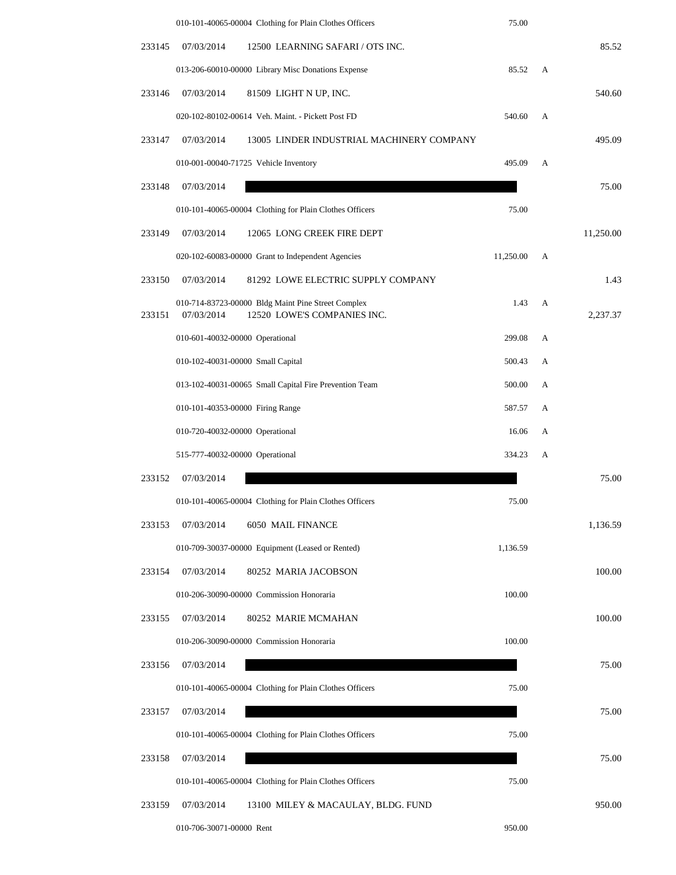|        | 010-101-40065-00004 Clothing for Plain Clothes Officers                                         | 75.00     |   |           |
|--------|-------------------------------------------------------------------------------------------------|-----------|---|-----------|
| 233145 | 07/03/2014<br>12500 LEARNING SAFARI / OTS INC.                                                  |           |   | 85.52     |
|        | 013-206-60010-00000 Library Misc Donations Expense                                              | 85.52     | A |           |
| 233146 | 07/03/2014<br>81509 LIGHT N UP, INC.                                                            |           |   | 540.60    |
|        | 020-102-80102-00614 Veh. Maint. - Pickett Post FD                                               | 540.60    | A |           |
| 233147 | 07/03/2014<br>13005 LINDER INDUSTRIAL MACHINERY COMPANY                                         |           |   | 495.09    |
|        | 010-001-00040-71725 Vehicle Inventory                                                           | 495.09    | A |           |
| 233148 | 07/03/2014                                                                                      |           |   | 75.00     |
|        | 010-101-40065-00004 Clothing for Plain Clothes Officers                                         | 75.00     |   |           |
| 233149 | 07/03/2014<br>12065 LONG CREEK FIRE DEPT                                                        |           |   | 11,250.00 |
|        | 020-102-60083-00000 Grant to Independent Agencies                                               | 11,250.00 | A |           |
| 233150 | 07/03/2014<br>81292 LOWE ELECTRIC SUPPLY COMPANY                                                |           |   | 1.43      |
| 233151 | 010-714-83723-00000 Bldg Maint Pine Street Complex<br>12520 LOWE'S COMPANIES INC.<br>07/03/2014 | 1.43      | A | 2,237.37  |
|        | 010-601-40032-00000 Operational                                                                 | 299.08    | A |           |
|        | 010-102-40031-00000 Small Capital                                                               | 500.43    | А |           |
|        | 013-102-40031-00065 Small Capital Fire Prevention Team                                          | 500.00    | A |           |
|        | 010-101-40353-00000 Firing Range                                                                | 587.57    | А |           |
|        | 010-720-40032-00000 Operational                                                                 | 16.06     | A |           |
|        | 515-777-40032-00000 Operational                                                                 | 334.23    | A |           |
| 233152 | 07/03/2014                                                                                      |           |   | 75.00     |
|        | 010-101-40065-00004 Clothing for Plain Clothes Officers                                         | 75.00     |   |           |
| 233153 | 07/03/2014<br>6050 MAIL FINANCE                                                                 |           |   | 1,136.59  |
|        | 010-709-30037-00000 Equipment (Leased or Rented)                                                | 1,136.59  |   |           |
| 233154 | 07/03/2014<br>80252 MARIA JACOBSON                                                              |           |   | 100.00    |
|        | 010-206-30090-00000 Commission Honoraria                                                        | 100.00    |   |           |
| 233155 | 07/03/2014<br>80252 MARIE MCMAHAN                                                               |           |   | 100.00    |
|        | 010-206-30090-00000 Commission Honoraria                                                        | 100.00    |   |           |
| 233156 | 07/03/2014                                                                                      |           |   | 75.00     |
|        | 010-101-40065-00004 Clothing for Plain Clothes Officers                                         | 75.00     |   |           |
| 233157 | 07/03/2014                                                                                      |           |   | 75.00     |
|        | 010-101-40065-00004 Clothing for Plain Clothes Officers                                         | 75.00     |   |           |
| 233158 | 07/03/2014                                                                                      |           |   | 75.00     |
|        | 010-101-40065-00004 Clothing for Plain Clothes Officers                                         | 75.00     |   |           |
| 233159 | 07/03/2014<br>13100 MILEY & MACAULAY, BLDG. FUND                                                |           |   | 950.00    |
|        | 010-706-30071-00000 Rent                                                                        | 950.00    |   |           |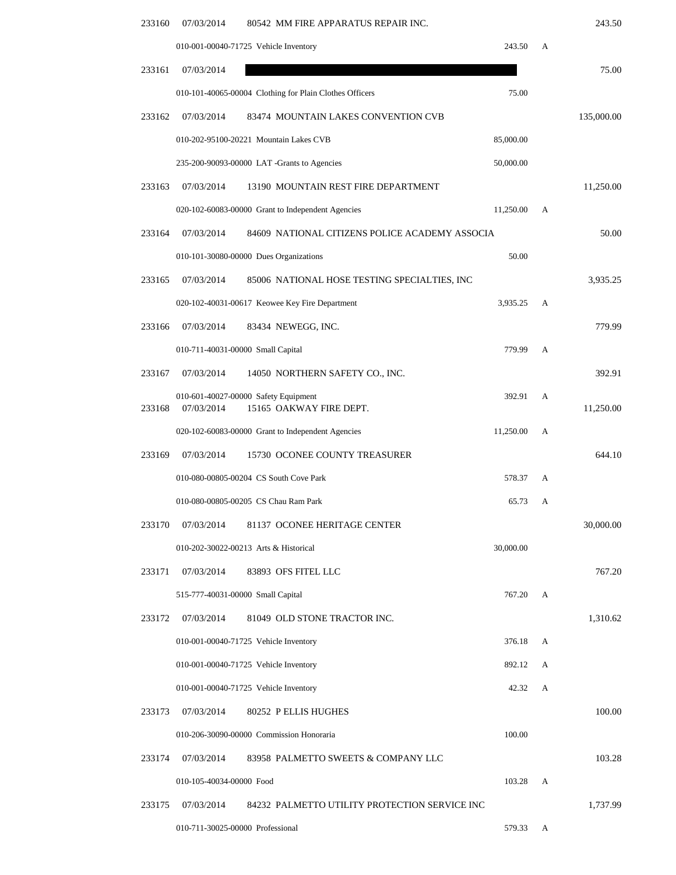| 243.50     |   |           | 07/03/2014<br>80542 MM FIRE APPARATUS REPAIR INC.                             | 233160 |
|------------|---|-----------|-------------------------------------------------------------------------------|--------|
|            | A | 243.50    | 010-001-00040-71725 Vehicle Inventory                                         |        |
| 75.00      |   |           | 07/03/2014                                                                    | 233161 |
|            |   | 75.00     | 010-101-40065-00004 Clothing for Plain Clothes Officers                       |        |
| 135,000.00 |   |           | 07/03/2014<br>83474 MOUNTAIN LAKES CONVENTION CVB                             | 233162 |
|            |   | 85,000.00 | 010-202-95100-20221 Mountain Lakes CVB                                        |        |
|            |   | 50,000.00 | 235-200-90093-00000 LAT -Grants to Agencies                                   |        |
| 11,250.00  |   |           | 07/03/2014<br>13190 MOUNTAIN REST FIRE DEPARTMENT                             | 233163 |
|            | A | 11,250.00 | 020-102-60083-00000 Grant to Independent Agencies                             |        |
| 50.00      |   |           | 07/03/2014<br>84609 NATIONAL CITIZENS POLICE ACADEMY ASSOCIA                  | 233164 |
|            |   | 50.00     | 010-101-30080-00000 Dues Organizations                                        |        |
| 3,935.25   |   |           | 07/03/2014<br>85006 NATIONAL HOSE TESTING SPECIALTIES, INC                    | 233165 |
|            | А | 3,935.25  | 020-102-40031-00617 Keowee Key Fire Department                                |        |
| 779.99     |   |           | 07/03/2014<br>83434 NEWEGG, INC.                                              | 233166 |
|            | A | 779.99    | 010-711-40031-00000 Small Capital                                             |        |
| 392.91     |   |           | 07/03/2014<br>14050 NORTHERN SAFETY CO., INC.                                 | 233167 |
| 11,250.00  | A | 392.91    | 010-601-40027-00000 Safety Equipment<br>07/03/2014<br>15165 OAKWAY FIRE DEPT. | 233168 |
|            | A | 11,250.00 | 020-102-60083-00000 Grant to Independent Agencies                             |        |
| 644.10     |   |           | 07/03/2014<br>15730 OCONEE COUNTY TREASURER                                   | 233169 |
|            | А | 578.37    | 010-080-00805-00204 CS South Cove Park                                        |        |
|            | А | 65.73     | 010-080-00805-00205 CS Chau Ram Park                                          |        |
| 30,000.00  |   |           | 07/03/2014<br>81137 OCONEE HERITAGE CENTER                                    | 233170 |
|            |   | 30,000.00 | 010-202-30022-00213 Arts & Historical                                         |        |
| 767.20     |   |           | 07/03/2014<br>83893 OFS FITEL LLC                                             | 233171 |
|            | A | 767.20    | 515-777-40031-00000 Small Capital                                             |        |
| 1,310.62   |   |           | 07/03/2014<br>81049 OLD STONE TRACTOR INC.                                    | 233172 |
|            | А | 376.18    | 010-001-00040-71725 Vehicle Inventory                                         |        |
|            | А | 892.12    | 010-001-00040-71725 Vehicle Inventory                                         |        |
|            | A | 42.32     | 010-001-00040-71725 Vehicle Inventory                                         |        |
| 100.00     |   |           | 07/03/2014<br>80252 P ELLIS HUGHES                                            | 233173 |
|            |   | 100.00    | 010-206-30090-00000 Commission Honoraria                                      |        |
| 103.28     |   |           | 07/03/2014<br>83958 PALMETTO SWEETS & COMPANY LLC                             | 233174 |
|            | А | 103.28    | 010-105-40034-00000 Food                                                      |        |
| 1,737.99   |   |           | 84232 PALMETTO UTILITY PROTECTION SERVICE INC<br>07/03/2014                   | 233175 |
|            | А | 579.33    | 010-711-30025-00000 Professional                                              |        |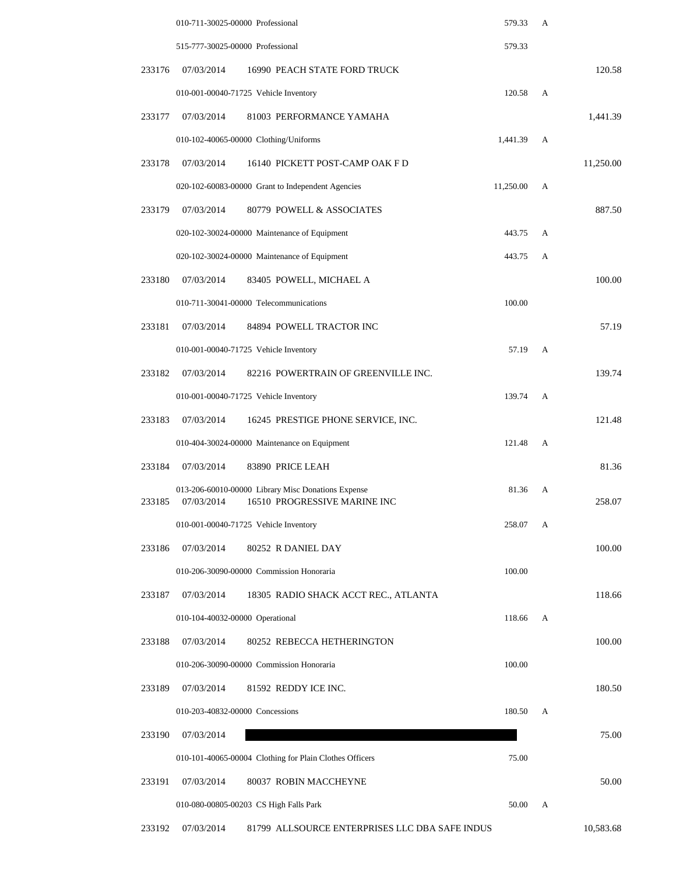|        | 010-711-30025-00000 Professional |                                                                                    | 579.33    | А |           |
|--------|----------------------------------|------------------------------------------------------------------------------------|-----------|---|-----------|
|        | 515-777-30025-00000 Professional |                                                                                    | 579.33    |   |           |
| 233176 | 07/03/2014                       | 16990 PEACH STATE FORD TRUCK                                                       |           |   | 120.58    |
|        |                                  | 010-001-00040-71725 Vehicle Inventory                                              | 120.58    | A |           |
| 233177 | 07/03/2014                       | 81003 PERFORMANCE YAMAHA                                                           |           |   | 1,441.39  |
|        |                                  | 010-102-40065-00000 Clothing/Uniforms                                              | 1,441.39  | A |           |
| 233178 | 07/03/2014                       | 16140 PICKETT POST-CAMP OAK F D                                                    |           |   | 11,250.00 |
|        |                                  | 020-102-60083-00000 Grant to Independent Agencies                                  | 11,250.00 | А |           |
| 233179 | 07/03/2014                       | 80779 POWELL & ASSOCIATES                                                          |           |   | 887.50    |
|        |                                  | 020-102-30024-00000 Maintenance of Equipment                                       | 443.75    | A |           |
|        |                                  | 020-102-30024-00000 Maintenance of Equipment                                       | 443.75    | A |           |
| 233180 | 07/03/2014                       | 83405 POWELL, MICHAEL A                                                            |           |   | 100.00    |
|        |                                  | 010-711-30041-00000 Telecommunications                                             | 100.00    |   |           |
| 233181 | 07/03/2014                       | 84894 POWELL TRACTOR INC                                                           |           |   | 57.19     |
|        |                                  | 010-001-00040-71725 Vehicle Inventory                                              | 57.19     | A |           |
| 233182 | 07/03/2014                       | 82216 POWERTRAIN OF GREENVILLE INC.                                                |           |   | 139.74    |
|        |                                  | 010-001-00040-71725 Vehicle Inventory                                              | 139.74    | A |           |
| 233183 | 07/03/2014                       | 16245 PRESTIGE PHONE SERVICE, INC.                                                 |           |   | 121.48    |
|        |                                  | 010-404-30024-00000 Maintenance on Equipment                                       | 121.48    | A |           |
| 233184 | 07/03/2014                       | 83890 PRICE LEAH                                                                   |           |   | 81.36     |
| 233185 | 07/03/2014                       | 013-206-60010-00000 Library Misc Donations Expense<br>16510 PROGRESSIVE MARINE INC | 81.36     | А | 258.07    |
|        |                                  | 010-001-00040-71725 Vehicle Inventory                                              | 258.07    | А |           |
| 233186 | 07/03/2014                       | 80252 R DANIEL DAY                                                                 |           |   | 100.00    |
|        |                                  | 010-206-30090-00000 Commission Honoraria                                           | 100.00    |   |           |
| 233187 | 07/03/2014                       | 18305 RADIO SHACK ACCT REC., ATLANTA                                               |           |   | 118.66    |
|        | 010-104-40032-00000 Operational  |                                                                                    | 118.66    | A |           |
| 233188 | 07/03/2014                       | 80252 REBECCA HETHERINGTON                                                         |           |   | 100.00    |
|        |                                  | 010-206-30090-00000 Commission Honoraria                                           | 100.00    |   |           |
| 233189 | 07/03/2014                       | 81592 REDDY ICE INC.                                                               |           |   | 180.50    |
|        | 010-203-40832-00000 Concessions  |                                                                                    | 180.50    | A |           |
| 233190 | 07/03/2014                       |                                                                                    |           |   | 75.00     |
|        |                                  | 010-101-40065-00004 Clothing for Plain Clothes Officers                            | 75.00     |   |           |
| 233191 | 07/03/2014                       | 80037 ROBIN MACCHEYNE                                                              |           |   | 50.00     |
|        |                                  | 010-080-00805-00203 CS High Falls Park                                             | 50.00     | А |           |
| 233192 | 07/03/2014                       | 81799 ALLSOURCE ENTERPRISES LLC DBA SAFE INDUS                                     |           |   | 10,583.68 |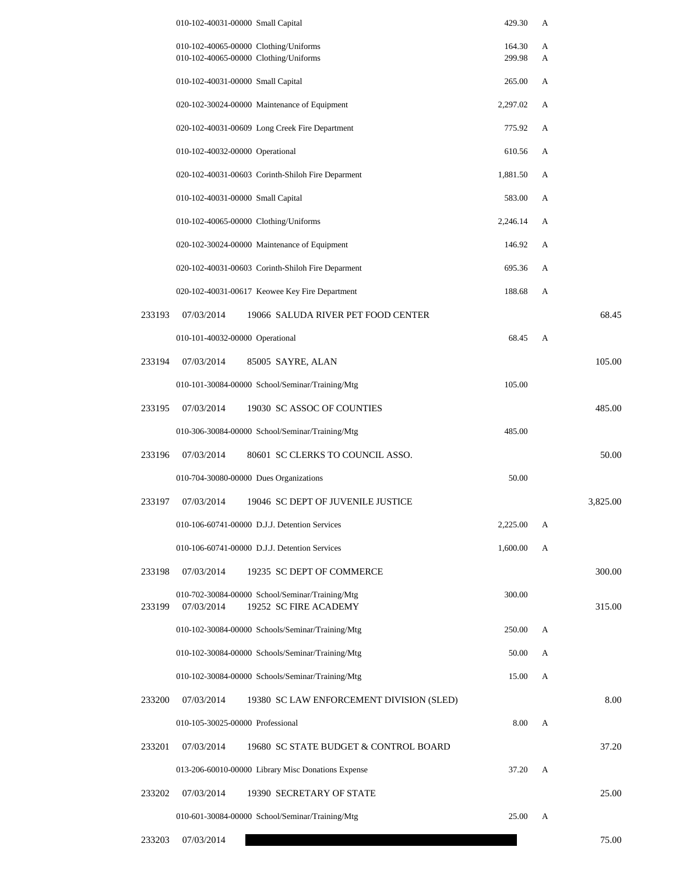|        | 010-102-40031-00000 Small Capital                                                      | 429.30           | А      |          |
|--------|----------------------------------------------------------------------------------------|------------------|--------|----------|
|        | 010-102-40065-00000 Clothing/Uniforms<br>010-102-40065-00000 Clothing/Uniforms         | 164.30<br>299.98 | A<br>A |          |
|        | 010-102-40031-00000 Small Capital                                                      | 265.00           | A      |          |
|        | 020-102-30024-00000 Maintenance of Equipment                                           | 2,297.02         | A      |          |
|        | 020-102-40031-00609 Long Creek Fire Department                                         | 775.92           | A      |          |
|        | 010-102-40032-00000 Operational                                                        | 610.56           | A      |          |
|        | 020-102-40031-00603 Corinth-Shiloh Fire Deparment                                      | 1,881.50         | A      |          |
|        | 010-102-40031-00000 Small Capital                                                      | 583.00           | A      |          |
|        | 010-102-40065-00000 Clothing/Uniforms                                                  | 2,246.14         | A      |          |
|        | 020-102-30024-00000 Maintenance of Equipment                                           | 146.92           | A      |          |
|        | 020-102-40031-00603 Corinth-Shiloh Fire Deparment                                      | 695.36           | A      |          |
|        | 020-102-40031-00617 Keowee Key Fire Department                                         | 188.68           | A      |          |
| 233193 | 07/03/2014<br>19066 SALUDA RIVER PET FOOD CENTER                                       |                  |        | 68.45    |
|        | 010-101-40032-00000 Operational                                                        | 68.45            | A      |          |
| 233194 | 07/03/2014<br>85005 SAYRE, ALAN                                                        |                  |        | 105.00   |
|        | 010-101-30084-00000 School/Seminar/Training/Mtg                                        | 105.00           |        |          |
| 233195 | 07/03/2014<br>19030 SC ASSOC OF COUNTIES                                               |                  |        | 485.00   |
|        | 010-306-30084-00000 School/Seminar/Training/Mtg                                        | 485.00           |        |          |
| 233196 | 07/03/2014<br>80601 SC CLERKS TO COUNCIL ASSO.                                         |                  |        | 50.00    |
|        | 010-704-30080-00000 Dues Organizations                                                 | 50.00            |        |          |
| 233197 | 07/03/2014<br>19046 SC DEPT OF JUVENILE JUSTICE                                        |                  |        | 3,825.00 |
|        | 010-106-60741-00000 D.J.J. Detention Services                                          | 2,225.00         | А      |          |
|        | 010-106-60741-00000 D.J.J. Detention Services                                          | 1,600.00         | А      |          |
| 233198 | 07/03/2014<br>19235 SC DEPT OF COMMERCE                                                |                  |        | 300.00   |
| 233199 | 010-702-30084-00000 School/Seminar/Training/Mtg<br>19252 SC FIRE ACADEMY<br>07/03/2014 | 300.00           |        | 315.00   |
|        | 010-102-30084-00000 Schools/Seminar/Training/Mtg                                       | 250.00           | A      |          |
|        | 010-102-30084-00000 Schools/Seminar/Training/Mtg                                       | 50.00            | A      |          |
|        | 010-102-30084-00000 Schools/Seminar/Training/Mtg                                       | 15.00            | A      |          |
| 233200 | 07/03/2014<br>19380 SC LAW ENFORCEMENT DIVISION (SLED)                                 |                  |        | 8.00     |
|        | 010-105-30025-00000 Professional                                                       | 8.00             | A      |          |
| 233201 | 07/03/2014<br>19680 SC STATE BUDGET & CONTROL BOARD                                    |                  |        | 37.20    |
|        | 013-206-60010-00000 Library Misc Donations Expense                                     | 37.20            | A      |          |
| 233202 | 07/03/2014<br>19390 SECRETARY OF STATE                                                 |                  |        | 25.00    |
|        | 010-601-30084-00000 School/Seminar/Training/Mtg                                        | 25.00            | А      |          |
|        |                                                                                        |                  |        |          |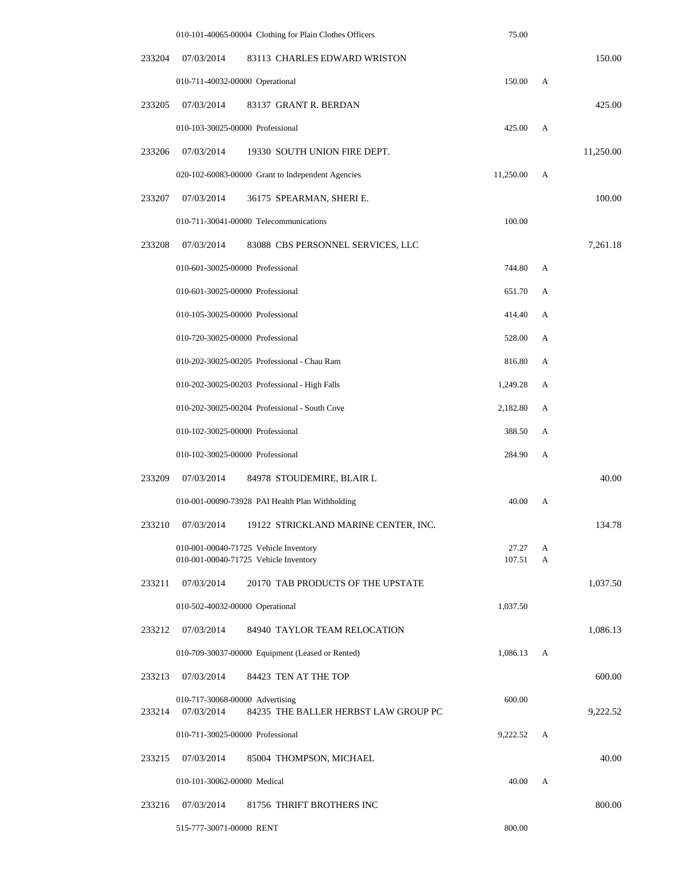|        |                                  | 010-101-40065-00004 Clothing for Plain Clothes Officers                        | 75.00           |        |           |
|--------|----------------------------------|--------------------------------------------------------------------------------|-----------------|--------|-----------|
| 233204 | 07/03/2014                       | 83113 CHARLES EDWARD WRISTON                                                   |                 |        | 150.00    |
|        | 010-711-40032-00000 Operational  |                                                                                | 150.00          | A      |           |
| 233205 | 07/03/2014                       | 83137 GRANT R. BERDAN                                                          |                 |        | 425.00    |
|        | 010-103-30025-00000 Professional |                                                                                | 425.00          | A      |           |
| 233206 | 07/03/2014                       | 19330 SOUTH UNION FIRE DEPT.                                                   |                 |        | 11,250.00 |
|        |                                  | 020-102-60083-00000 Grant to Independent Agencies                              | 11,250.00       | A      |           |
| 233207 | 07/03/2014                       | 36175 SPEARMAN, SHERI E.                                                       |                 |        | 100.00    |
|        |                                  | 010-711-30041-00000 Telecommunications                                         | 100.00          |        |           |
| 233208 | 07/03/2014                       | 83088 CBS PERSONNEL SERVICES, LLC                                              |                 |        | 7,261.18  |
|        | 010-601-30025-00000 Professional |                                                                                | 744.80          | A      |           |
|        | 010-601-30025-00000 Professional |                                                                                | 651.70          | А      |           |
|        | 010-105-30025-00000 Professional |                                                                                | 414.40          | A      |           |
|        | 010-720-30025-00000 Professional |                                                                                | 528.00          | А      |           |
|        |                                  | 010-202-30025-00205 Professional - Chau Ram                                    | 816.80          | A      |           |
|        |                                  | 010-202-30025-00203 Professional - High Falls                                  | 1,249.28        | А      |           |
|        |                                  | 010-202-30025-00204 Professional - South Cove                                  | 2,182.80        | А      |           |
|        | 010-102-30025-00000 Professional |                                                                                | 388.50          | А      |           |
|        | 010-102-30025-00000 Professional |                                                                                | 284.90          | A      |           |
| 233209 | 07/03/2014                       | 84978 STOUDEMIRE, BLAIR L                                                      |                 |        | 40.00     |
|        |                                  | 010-001-00090-73928 PAI Health Plan Withholding                                | 40.00           | A      |           |
| 233210 | 07/03/2014                       | 19122 STRICKLAND MARINE CENTER, INC.                                           |                 |        | 134.78    |
|        |                                  | 010-001-00040-71725 Vehicle Inventory<br>010-001-00040-71725 Vehicle Inventory | 27.27<br>107.51 | А<br>A |           |
| 233211 | 07/03/2014                       | 20170 TAB PRODUCTS OF THE UPSTATE                                              |                 |        | 1,037.50  |
|        | 010-502-40032-00000 Operational  |                                                                                | 1,037.50        |        |           |
| 233212 | 07/03/2014                       | 84940 TAYLOR TEAM RELOCATION                                                   |                 |        | 1,086.13  |
|        |                                  | 010-709-30037-00000 Equipment (Leased or Rented)                               | 1,086.13        | А      |           |
| 233213 | 07/03/2014                       | 84423 TEN AT THE TOP                                                           |                 |        | 600.00    |
|        | 010-717-30068-00000 Advertising  |                                                                                | 600.00          |        |           |
| 233214 | 07/03/2014                       | 84235 THE BALLER HERBST LAW GROUP PC                                           |                 |        | 9,222.52  |
|        | 010-711-30025-00000 Professional |                                                                                | 9,222.52        | А      |           |
| 233215 | 07/03/2014                       | 85004 THOMPSON, MICHAEL                                                        |                 |        | 40.00     |
|        | 010-101-30062-00000 Medical      |                                                                                | 40.00           | A      |           |
| 233216 | 07/03/2014                       | 81756 THRIFT BROTHERS INC                                                      |                 |        | 800.00    |
|        | 515-777-30071-00000 RENT         |                                                                                | 800.00          |        |           |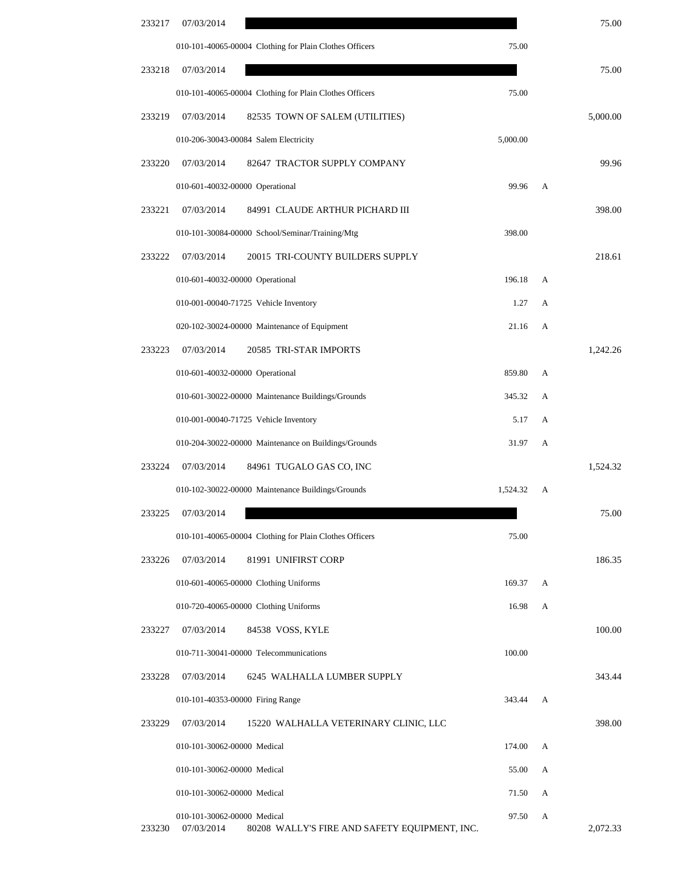| 75.00    |   |          | 07/03/2014                                                  | 233217 |  |
|----------|---|----------|-------------------------------------------------------------|--------|--|
|          |   | 75.00    | 010-101-40065-00004 Clothing for Plain Clothes Officers     |        |  |
| 75.00    |   |          | 07/03/2014                                                  | 233218 |  |
|          |   | 75.00    | 010-101-40065-00004 Clothing for Plain Clothes Officers     |        |  |
| 5,000.00 |   |          | 07/03/2014<br>82535 TOWN OF SALEM (UTILITIES)               | 233219 |  |
|          |   | 5,000.00 | 010-206-30043-00084 Salem Electricity                       |        |  |
| 99.96    |   |          | 07/03/2014<br>82647 TRACTOR SUPPLY COMPANY                  | 233220 |  |
|          | A | 99.96    | 010-601-40032-00000 Operational                             |        |  |
| 398.00   |   |          | 07/03/2014<br>84991 CLAUDE ARTHUR PICHARD III               | 233221 |  |
|          |   | 398.00   | 010-101-30084-00000 School/Seminar/Training/Mtg             |        |  |
| 218.61   |   |          | 07/03/2014<br>20015 TRI-COUNTY BUILDERS SUPPLY              | 233222 |  |
|          | A | 196.18   | 010-601-40032-00000 Operational                             |        |  |
|          | А | 1.27     | 010-001-00040-71725 Vehicle Inventory                       |        |  |
|          | A | 21.16    | 020-102-30024-00000 Maintenance of Equipment                |        |  |
| 1,242.26 |   |          | 07/03/2014<br>20585 TRI-STAR IMPORTS                        | 233223 |  |
|          | A | 859.80   | 010-601-40032-00000 Operational                             |        |  |
|          | A | 345.32   | 010-601-30022-00000 Maintenance Buildings/Grounds           |        |  |
|          | A | 5.17     | 010-001-00040-71725 Vehicle Inventory                       |        |  |
|          | А | 31.97    | 010-204-30022-00000 Maintenance on Buildings/Grounds        |        |  |
| 1,524.32 |   |          | 07/03/2014<br>84961 TUGALO GAS CO, INC                      | 233224 |  |
|          | А | 1,524.32 | 010-102-30022-00000 Maintenance Buildings/Grounds           |        |  |
| 75.00    |   |          | 07/03/2014                                                  | 233225 |  |
|          |   | 75.00    | 010-101-40065-00004 Clothing for Plain Clothes Officers     |        |  |
| 186.35   |   |          | 07/03/2014<br>81991 UNIFIRST CORP                           | 233226 |  |
|          | А | 169.37   | 010-601-40065-00000 Clothing Uniforms                       |        |  |
|          | А | 16.98    | 010-720-40065-00000 Clothing Uniforms                       |        |  |
| 100.00   |   |          | 07/03/2014<br>84538 VOSS, KYLE                              | 233227 |  |
|          |   | 100.00   | 010-711-30041-00000 Telecommunications                      |        |  |
| 343.44   |   |          | 6245 WALHALLA LUMBER SUPPLY<br>07/03/2014                   | 233228 |  |
|          | A | 343.44   | 010-101-40353-00000 Firing Range                            |        |  |
| 398.00   |   |          | 07/03/2014<br>15220 WALHALLA VETERINARY CLINIC, LLC         | 233229 |  |
|          | А | 174.00   | 010-101-30062-00000 Medical                                 |        |  |
|          | A | 55.00    | 010-101-30062-00000 Medical                                 |        |  |
|          | A | 71.50    | 010-101-30062-00000 Medical                                 |        |  |
|          | А | 97.50    | 010-101-30062-00000 Medical                                 |        |  |
| 2,072.33 |   |          | 07/03/2014<br>80208 WALLY'S FIRE AND SAFETY EQUIPMENT, INC. | 233230 |  |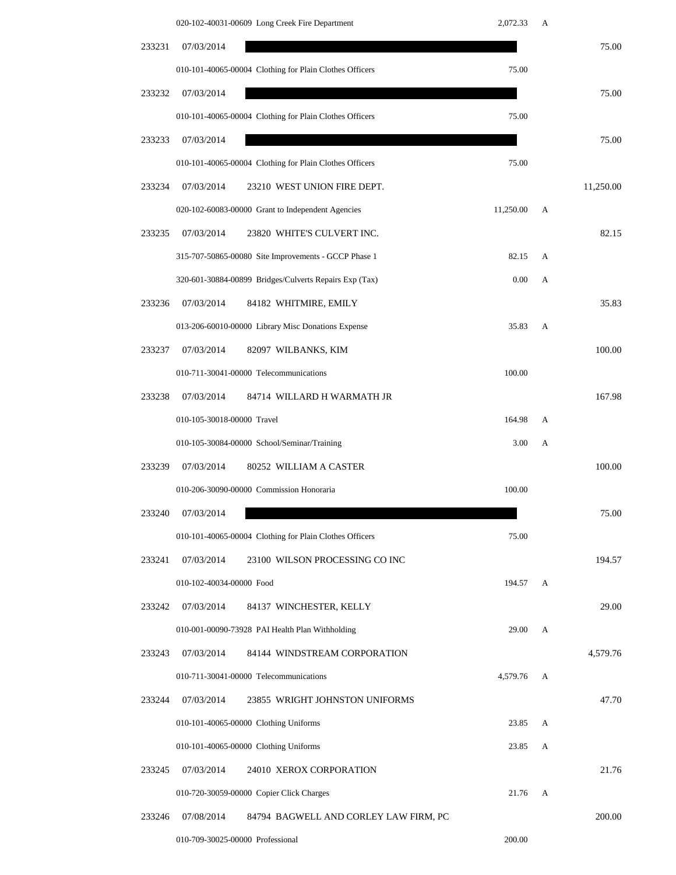|        | 020-102-40031-00609 Long Creek Fire Department          | 2,072.33  | А |           |
|--------|---------------------------------------------------------|-----------|---|-----------|
| 233231 | 07/03/2014                                              |           |   | 75.00     |
|        | 010-101-40065-00004 Clothing for Plain Clothes Officers | 75.00     |   |           |
| 233232 | 07/03/2014                                              |           |   | 75.00     |
|        | 010-101-40065-00004 Clothing for Plain Clothes Officers | 75.00     |   |           |
| 233233 | 07/03/2014                                              |           |   | 75.00     |
|        | 010-101-40065-00004 Clothing for Plain Clothes Officers | 75.00     |   |           |
| 233234 | 07/03/2014<br>23210 WEST UNION FIRE DEPT.               |           |   | 11,250.00 |
|        | 020-102-60083-00000 Grant to Independent Agencies       | 11,250.00 | А |           |
| 233235 | 07/03/2014<br>23820 WHITE'S CULVERT INC.                |           |   | 82.15     |
|        | 315-707-50865-00080 Site Improvements - GCCP Phase 1    | 82.15     | А |           |
|        | 320-601-30884-00899 Bridges/Culverts Repairs Exp (Tax)  | 0.00      | А |           |
| 233236 | 07/03/2014<br>84182 WHITMIRE, EMILY                     |           |   | 35.83     |
|        | 013-206-60010-00000 Library Misc Donations Expense      | 35.83     | A |           |
| 233237 | 07/03/2014<br>82097 WILBANKS, KIM                       |           |   | 100.00    |
|        | 010-711-30041-00000 Telecommunications                  | 100.00    |   |           |
| 233238 | 07/03/2014<br>84714 WILLARD H WARMATH JR                |           |   | 167.98    |
|        | 010-105-30018-00000 Travel                              | 164.98    | А |           |
|        | 010-105-30084-00000 School/Seminar/Training             | 3.00      | А |           |
| 233239 | 07/03/2014<br>80252 WILLIAM A CASTER                    |           |   | 100.00    |
|        | 010-206-30090-00000 Commission Honoraria                | 100.00    |   |           |
| 233240 | 07/03/2014                                              |           |   | 75.00     |
|        | 010-101-40065-00004 Clothing for Plain Clothes Officers | 75.00     |   |           |
| 233241 | 23100 WILSON PROCESSING CO INC<br>07/03/2014            |           |   | 194.57    |
|        | 010-102-40034-00000 Food                                | 194.57    | A |           |
| 233242 | 07/03/2014<br>84137 WINCHESTER, KELLY                   |           |   | 29.00     |
|        | 010-001-00090-73928 PAI Health Plan Withholding         | 29.00     | A |           |
| 233243 | 07/03/2014<br>84144 WINDSTREAM CORPORATION              |           |   | 4,579.76  |
|        | 010-711-30041-00000 Telecommunications                  | 4,579.76  | А |           |
| 233244 | 07/03/2014<br>23855 WRIGHT JOHNSTON UNIFORMS            |           |   | 47.70     |
|        | 010-101-40065-00000 Clothing Uniforms                   | 23.85     | A |           |
|        | 010-101-40065-00000 Clothing Uniforms                   | 23.85     | А |           |
| 233245 | 24010 XEROX CORPORATION<br>07/03/2014                   |           |   | 21.76     |
|        | 010-720-30059-00000 Copier Click Charges                | 21.76     | A |           |
| 233246 | 07/08/2014<br>84794 BAGWELL AND CORLEY LAW FIRM, PC     |           |   | 200.00    |
|        | 010-709-30025-00000 Professional                        | 200.00    |   |           |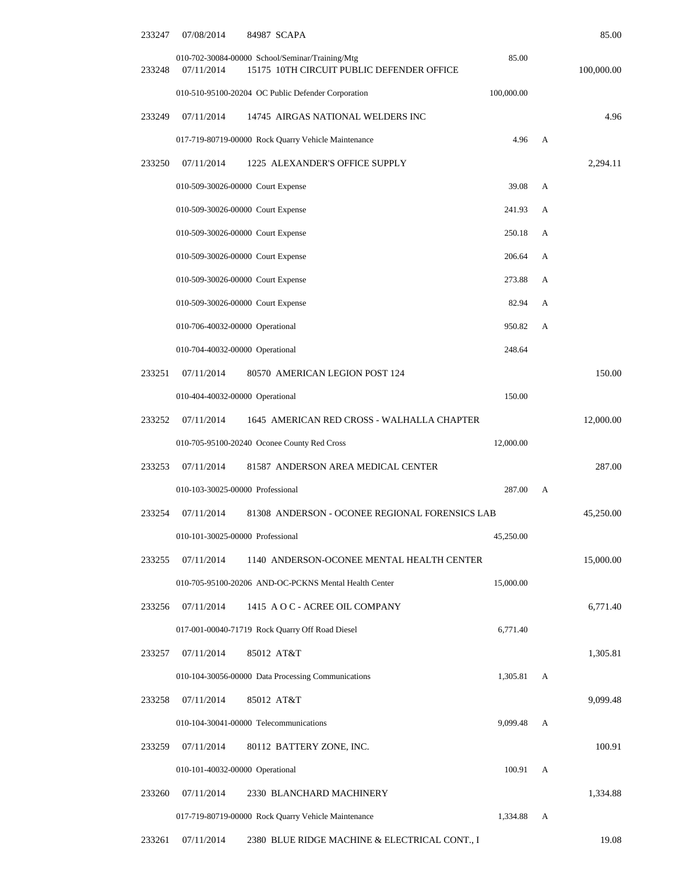| 85.00      |   |            | 07/08/2014<br>84987 SCAPA                                                                                  | 233247 |
|------------|---|------------|------------------------------------------------------------------------------------------------------------|--------|
| 100,000.00 |   | 85.00      | 010-702-30084-00000 School/Seminar/Training/Mtg<br>15175 10TH CIRCUIT PUBLIC DEFENDER OFFICE<br>07/11/2014 | 233248 |
|            |   | 100,000.00 | 010-510-95100-20204 OC Public Defender Corporation                                                         |        |
| 4.96       |   |            | 07/11/2014<br>14745 AIRGAS NATIONAL WELDERS INC                                                            | 233249 |
|            | A | 4.96       | 017-719-80719-00000 Rock Quarry Vehicle Maintenance                                                        |        |
| 2,294.11   |   |            | 07/11/2014<br>1225 ALEXANDER'S OFFICE SUPPLY                                                               | 233250 |
|            | А | 39.08      | 010-509-30026-00000 Court Expense                                                                          |        |
|            | А | 241.93     | 010-509-30026-00000 Court Expense                                                                          |        |
|            | А | 250.18     | 010-509-30026-00000 Court Expense                                                                          |        |
|            | А | 206.64     | 010-509-30026-00000 Court Expense                                                                          |        |
|            | А | 273.88     | 010-509-30026-00000 Court Expense                                                                          |        |
|            | А | 82.94      | 010-509-30026-00000 Court Expense                                                                          |        |
|            | А | 950.82     | 010-706-40032-00000 Operational                                                                            |        |
|            |   | 248.64     | 010-704-40032-00000 Operational                                                                            |        |
| 150.00     |   |            | 07/11/2014<br>80570 AMERICAN LEGION POST 124                                                               | 233251 |
|            |   | 150.00     | 010-404-40032-00000 Operational                                                                            |        |
| 12,000.00  |   |            | 07/11/2014<br>1645 AMERICAN RED CROSS - WALHALLA CHAPTER                                                   | 233252 |
|            |   | 12,000.00  | 010-705-95100-20240 Oconee County Red Cross                                                                |        |
| 287.00     |   |            | 07/11/2014<br>81587 ANDERSON AREA MEDICAL CENTER                                                           | 233253 |
|            | A | 287.00     | 010-103-30025-00000 Professional                                                                           |        |
| 45,250.00  |   |            | 07/11/2014<br>81308 ANDERSON - OCONEE REGIONAL FORENSICS LAB                                               | 233254 |
|            |   | 45,250.00  | 010-101-30025-00000 Professional                                                                           |        |
| 15,000.00  |   |            | 07/11/2014<br>1140 ANDERSON-OCONEE MENTAL HEALTH CENTER                                                    | 233255 |
|            |   | 15,000.00  | 010-705-95100-20206 AND-OC-PCKNS Mental Health Center                                                      |        |
| 6,771.40   |   |            | 07/11/2014<br>1415 A O C - ACREE OIL COMPANY                                                               | 233256 |
|            |   | 6,771.40   | 017-001-00040-71719 Rock Quarry Off Road Diesel                                                            |        |
| 1,305.81   |   |            | 07/11/2014<br>85012 AT&T                                                                                   | 233257 |
|            | A | 1,305.81   | 010-104-30056-00000 Data Processing Communications                                                         |        |
| 9,099.48   |   |            | 07/11/2014<br>85012 AT&T                                                                                   | 233258 |
|            | А | 9,099.48   | 010-104-30041-00000 Telecommunications                                                                     |        |
| 100.91     |   |            | 07/11/2014<br>80112 BATTERY ZONE, INC.                                                                     | 233259 |
|            | А | 100.91     | 010-101-40032-00000 Operational                                                                            |        |
| 1,334.88   |   |            | 07/11/2014<br>2330 BLANCHARD MACHINERY                                                                     | 233260 |
|            | А | 1,334.88   | 017-719-80719-00000 Rock Quarry Vehicle Maintenance                                                        |        |
| 19.08      |   |            | 07/11/2014<br>2380 BLUE RIDGE MACHINE & ELECTRICAL CONT., I                                                | 233261 |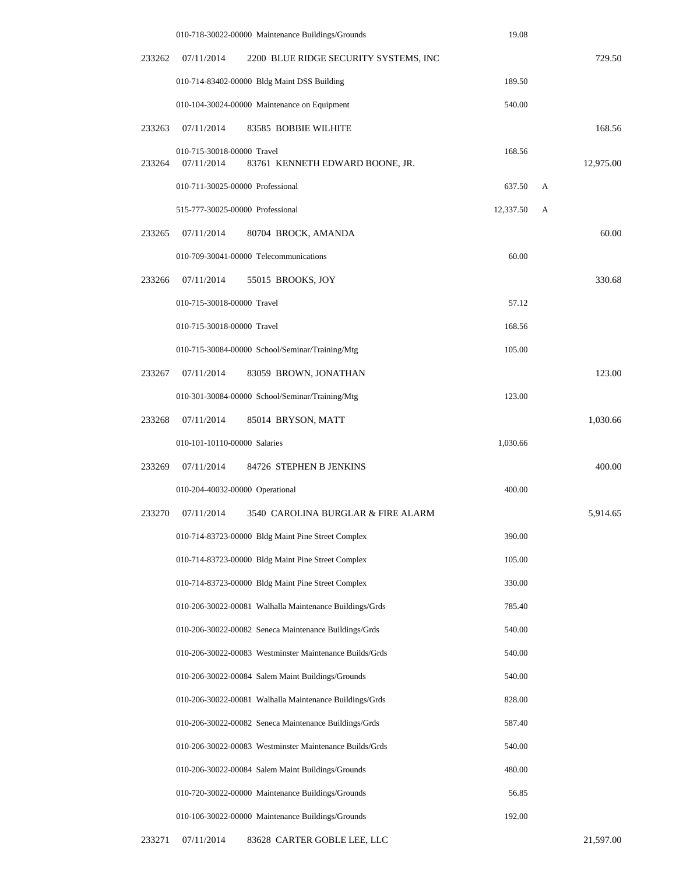|        | 010-718-30022-00000 Maintenance Buildings/Grounds                           | 19.08     |   |           |
|--------|-----------------------------------------------------------------------------|-----------|---|-----------|
| 233262 | 07/11/2014<br>2200 BLUE RIDGE SECURITY SYSTEMS, INC                         |           |   | 729.50    |
|        | 010-714-83402-00000 Bldg Maint DSS Building                                 | 189.50    |   |           |
|        | 010-104-30024-00000 Maintenance on Equipment                                | 540.00    |   |           |
| 233263 | 07/11/2014<br>83585 BOBBIE WILHITE                                          |           |   | 168.56    |
| 233264 | 010-715-30018-00000 Travel<br>07/11/2014<br>83761 KENNETH EDWARD BOONE, JR. | 168.56    |   | 12,975.00 |
|        | 010-711-30025-00000 Professional                                            | 637.50    | A |           |
|        | 515-777-30025-00000 Professional                                            | 12,337.50 | А |           |
| 233265 | 07/11/2014<br>80704 BROCK, AMANDA                                           |           |   | 60.00     |
|        | 010-709-30041-00000 Telecommunications                                      | 60.00     |   |           |
| 233266 | 07/11/2014<br>55015 BROOKS, JOY                                             |           |   | 330.68    |
|        | 010-715-30018-00000 Travel                                                  | 57.12     |   |           |
|        | 010-715-30018-00000 Travel                                                  | 168.56    |   |           |
|        | 010-715-30084-00000 School/Seminar/Training/Mtg                             | 105.00    |   |           |
| 233267 | 07/11/2014<br>83059 BROWN, JONATHAN                                         |           |   | 123.00    |
|        | 010-301-30084-00000 School/Seminar/Training/Mtg                             | 123.00    |   |           |
| 233268 | 07/11/2014<br>85014 BRYSON, MATT                                            |           |   | 1,030.66  |
|        | 010-101-10110-00000 Salaries                                                | 1,030.66  |   |           |
| 233269 | 07/11/2014<br>84726 STEPHEN B JENKINS                                       |           |   | 400.00    |
|        | 010-204-40032-00000 Operational                                             | 400.00    |   |           |
| 233270 | 07/11/2014<br>3540 CAROLINA BURGLAR & FIRE ALARM                            |           |   | 5,914.65  |
|        | 010-714-83723-00000 Bldg Maint Pine Street Complex                          | 390.00    |   |           |
|        | 010-714-83723-00000 Bldg Maint Pine Street Complex                          | 105.00    |   |           |
|        | 010-714-83723-00000 Bldg Maint Pine Street Complex                          | 330.00    |   |           |
|        | 010-206-30022-00081 Walhalla Maintenance Buildings/Grds                     | 785.40    |   |           |
|        | 010-206-30022-00082 Seneca Maintenance Buildings/Grds                       | 540.00    |   |           |
|        | 010-206-30022-00083 Westminster Maintenance Builds/Grds                     | 540.00    |   |           |
|        | 010-206-30022-00084 Salem Maint Buildings/Grounds                           | 540.00    |   |           |
|        | 010-206-30022-00081 Walhalla Maintenance Buildings/Grds                     | 828.00    |   |           |
|        | 010-206-30022-00082 Seneca Maintenance Buildings/Grds                       | 587.40    |   |           |
|        | 010-206-30022-00083 Westminster Maintenance Builds/Grds                     | 540.00    |   |           |
|        | 010-206-30022-00084 Salem Maint Buildings/Grounds                           | 480.00    |   |           |
|        | 010-720-30022-00000 Maintenance Buildings/Grounds                           | 56.85     |   |           |
|        | 010-106-30022-00000 Maintenance Buildings/Grounds                           | 192.00    |   |           |
|        |                                                                             |           |   |           |

233271 07/11/2014 83628 CARTER GOBLE LEE, LLC 21,597.00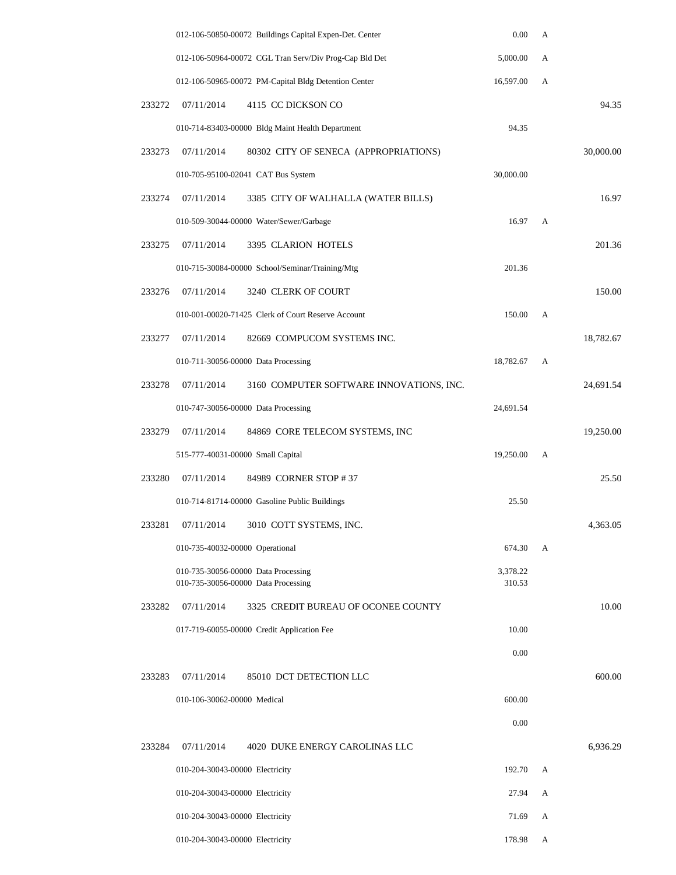|        |                                   | 012-106-50850-00072 Buildings Capital Expen-Det. Center                    | 0.00               | A            |           |
|--------|-----------------------------------|----------------------------------------------------------------------------|--------------------|--------------|-----------|
|        |                                   | 012-106-50964-00072 CGL Tran Serv/Div Prog-Cap Bld Det                     | 5,000.00           | А            |           |
|        |                                   | 012-106-50965-00072 PM-Capital Bldg Detention Center                       | 16,597.00          | A            |           |
| 233272 | 07/11/2014                        | 4115 CC DICKSON CO                                                         |                    |              | 94.35     |
|        |                                   | 010-714-83403-00000 Bldg Maint Health Department                           | 94.35              |              |           |
| 233273 | 07/11/2014                        | 80302 CITY OF SENECA (APPROPRIATIONS)                                      |                    |              | 30,000.00 |
|        |                                   | 010-705-95100-02041 CAT Bus System                                         | 30,000.00          |              |           |
| 233274 | 07/11/2014                        | 3385 CITY OF WALHALLA (WATER BILLS)                                        |                    |              | 16.97     |
|        |                                   | 010-509-30044-00000 Water/Sewer/Garbage                                    | 16.97              | А            |           |
| 233275 | 07/11/2014                        | 3395 CLARION HOTELS                                                        |                    |              | 201.36    |
|        |                                   | 010-715-30084-00000 School/Seminar/Training/Mtg                            | 201.36             |              |           |
| 233276 | 07/11/2014                        | 3240 CLERK OF COURT                                                        |                    |              | 150.00    |
|        |                                   | 010-001-00020-71425 Clerk of Court Reserve Account                         | 150.00             | А            |           |
| 233277 | 07/11/2014                        | 82669 COMPUCOM SYSTEMS INC.                                                |                    |              | 18,782.67 |
|        |                                   | 010-711-30056-00000 Data Processing                                        | 18,782.67          | A            |           |
| 233278 | 07/11/2014                        | 3160 COMPUTER SOFTWARE INNOVATIONS, INC.                                   |                    |              | 24,691.54 |
|        |                                   | 010-747-30056-00000 Data Processing                                        | 24,691.54          |              |           |
| 233279 | 07/11/2014                        | 84869 CORE TELECOM SYSTEMS, INC                                            |                    |              | 19,250.00 |
|        | 515-777-40031-00000 Small Capital |                                                                            | 19,250.00          | А            |           |
| 233280 | 07/11/2014                        | 84989 CORNER STOP #37                                                      |                    |              | 25.50     |
|        |                                   | 010-714-81714-00000 Gasoline Public Buildings                              | 25.50              |              |           |
| 233281 | 07/11/2014                        | 3010 COTT SYSTEMS, INC.                                                    |                    |              | 4,363.05  |
|        | 010-735-40032-00000 Operational   |                                                                            | 674.30             | $\mathbf{A}$ |           |
|        |                                   | 010-735-30056-00000 Data Processing<br>010-735-30056-00000 Data Processing | 3,378.22<br>310.53 |              |           |
| 233282 | 07/11/2014                        | 3325 CREDIT BUREAU OF OCONEE COUNTY                                        |                    |              | 10.00     |
|        |                                   | 017-719-60055-00000 Credit Application Fee                                 | 10.00              |              |           |
|        |                                   |                                                                            | 0.00               |              |           |
| 233283 | 07/11/2014                        | 85010 DCT DETECTION LLC                                                    |                    |              | 600.00    |
|        | 010-106-30062-00000 Medical       |                                                                            | 600.00             |              |           |
|        |                                   |                                                                            | 0.00               |              |           |
| 233284 | 07/11/2014                        | 4020 DUKE ENERGY CAROLINAS LLC                                             |                    |              | 6,936.29  |
|        | 010-204-30043-00000 Electricity   |                                                                            | 192.70             | А            |           |
|        | 010-204-30043-00000 Electricity   |                                                                            | 27.94              | А            |           |
|        | 010-204-30043-00000 Electricity   |                                                                            | 71.69              | А            |           |
|        | 010-204-30043-00000 Electricity   |                                                                            | 178.98             | А            |           |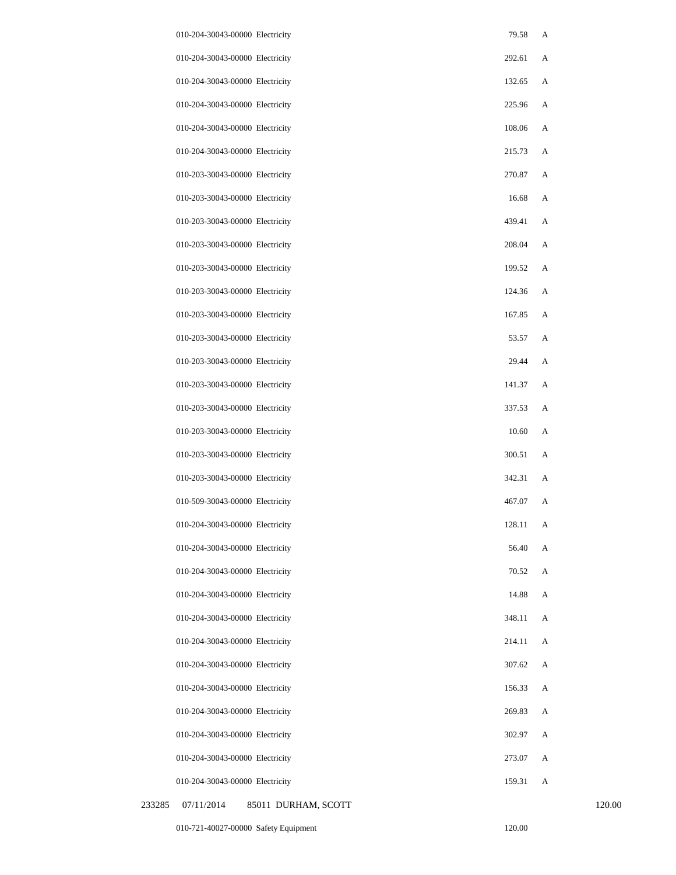|        | 010-204-30043-00000 Electricity   | 79.58  | A |        |
|--------|-----------------------------------|--------|---|--------|
|        | 010-204-30043-00000 Electricity   | 292.61 | A |        |
|        | 010-204-30043-00000 Electricity   | 132.65 | A |        |
|        | 010-204-30043-00000 Electricity   | 225.96 | A |        |
|        | 010-204-30043-00000 Electricity   | 108.06 | A |        |
|        | 010-204-30043-00000 Electricity   | 215.73 | A |        |
|        | 010-203-30043-00000 Electricity   | 270.87 | A |        |
|        | 010-203-30043-00000 Electricity   | 16.68  | A |        |
|        | 010-203-30043-00000 Electricity   | 439.41 | A |        |
|        | 010-203-30043-00000 Electricity   | 208.04 | A |        |
|        | 010-203-30043-00000 Electricity   | 199.52 | A |        |
|        | 010-203-30043-00000 Electricity   | 124.36 | A |        |
|        | 010-203-30043-00000 Electricity   | 167.85 | A |        |
|        | 010-203-30043-00000 Electricity   | 53.57  | A |        |
|        | 010-203-30043-00000 Electricity   | 29.44  | A |        |
|        | 010-203-30043-00000 Electricity   | 141.37 | A |        |
|        | 010-203-30043-00000 Electricity   | 337.53 | A |        |
|        | 010-203-30043-00000 Electricity   | 10.60  | A |        |
|        | 010-203-30043-00000 Electricity   | 300.51 | A |        |
|        | 010-203-30043-00000 Electricity   | 342.31 | A |        |
|        | 010-509-30043-00000 Electricity   | 467.07 | А |        |
|        | 010-204-30043-00000 Electricity   | 128.11 | A |        |
|        | 010-204-30043-00000 Electricity   | 56.40  | A |        |
|        | 010-204-30043-00000 Electricity   | 70.52  | A |        |
|        | 010-204-30043-00000 Electricity   | 14.88  | A |        |
|        | 010-204-30043-00000 Electricity   | 348.11 | A |        |
|        | 010-204-30043-00000 Electricity   | 214.11 | A |        |
|        | 010-204-30043-00000 Electricity   | 307.62 | A |        |
|        | 010-204-30043-00000 Electricity   | 156.33 | A |        |
|        | 010-204-30043-00000 Electricity   | 269.83 | A |        |
|        | 010-204-30043-00000 Electricity   | 302.97 | A |        |
|        | 010-204-30043-00000 Electricity   | 273.07 | A |        |
|        | 010-204-30043-00000 Electricity   | 159.31 | A |        |
| 233285 | 07/11/2014<br>85011 DURHAM, SCOTT |        |   | 120.00 |

010-721-40027-00000 Safety Equipment 120.00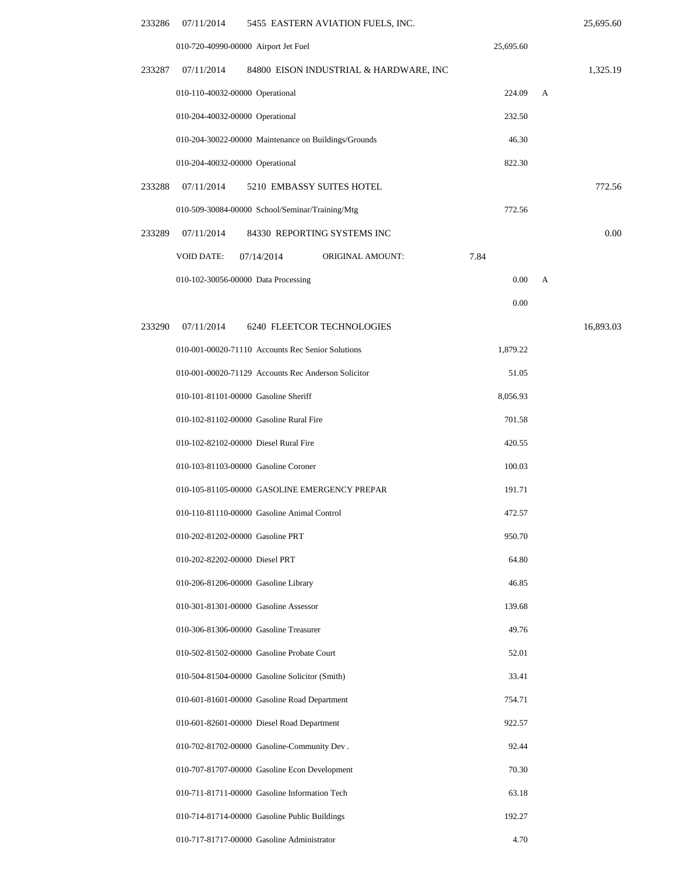| 233286 | 5455 EASTERN AVIATION FUELS, INC.<br>07/11/2014            |           |   | 25,695.60 |
|--------|------------------------------------------------------------|-----------|---|-----------|
|        | 010-720-40990-00000 Airport Jet Fuel                       | 25,695.60 |   |           |
| 233287 | 07/11/2014<br>84800 EISON INDUSTRIAL & HARDWARE, INC       |           |   | 1,325.19  |
|        | 010-110-40032-00000 Operational                            | 224.09    | A |           |
|        | 010-204-40032-00000 Operational                            | 232.50    |   |           |
|        | 010-204-30022-00000 Maintenance on Buildings/Grounds       | 46.30     |   |           |
|        | 010-204-40032-00000 Operational                            | 822.30    |   |           |
| 233288 | 07/11/2014<br>5210 EMBASSY SUITES HOTEL                    |           |   | 772.56    |
|        | 010-509-30084-00000 School/Seminar/Training/Mtg            | 772.56    |   |           |
| 233289 | 84330 REPORTING SYSTEMS INC<br>07/11/2014                  |           |   | 0.00      |
|        | <b>VOID DATE:</b><br><b>ORIGINAL AMOUNT:</b><br>07/14/2014 | 7.84      |   |           |
|        | 010-102-30056-00000 Data Processing                        | 0.00      | А |           |
|        |                                                            | 0.00      |   |           |
| 233290 | 07/11/2014<br>6240 FLEETCOR TECHNOLOGIES                   |           |   | 16,893.03 |
|        | 010-001-00020-71110 Accounts Rec Senior Solutions          | 1,879.22  |   |           |
|        | 010-001-00020-71129 Accounts Rec Anderson Solicitor        | 51.05     |   |           |
|        | 010-101-81101-00000 Gasoline Sheriff                       | 8,056.93  |   |           |
|        | 010-102-81102-00000 Gasoline Rural Fire                    | 701.58    |   |           |
|        | 010-102-82102-00000 Diesel Rural Fire                      | 420.55    |   |           |
|        | 010-103-81103-00000 Gasoline Coroner                       | 100.03    |   |           |
|        | 010-105-81105-00000 GASOLINE EMERGENCY PREPAR              | 191.71    |   |           |
|        | 010-110-81110-00000 Gasoline Animal Control                | 472.57    |   |           |
|        | 010-202-81202-00000 Gasoline PRT                           | 950.70    |   |           |
|        | 010-202-82202-00000 Diesel PRT                             | 64.80     |   |           |
|        | 010-206-81206-00000 Gasoline Library                       | 46.85     |   |           |
|        | 010-301-81301-00000 Gasoline Assessor                      | 139.68    |   |           |
|        | 010-306-81306-00000 Gasoline Treasurer                     | 49.76     |   |           |
|        | 010-502-81502-00000 Gasoline Probate Court                 | 52.01     |   |           |
|        | 010-504-81504-00000 Gasoline Solicitor (Smith)             | 33.41     |   |           |
|        | 010-601-81601-00000 Gasoline Road Department               | 754.71    |   |           |
|        | 010-601-82601-00000 Diesel Road Department                 | 922.57    |   |           |
|        | 010-702-81702-00000 Gasoline-Community Dev.                | 92.44     |   |           |
|        | 010-707-81707-00000 Gasoline Econ Development              | 70.30     |   |           |
|        | 010-711-81711-00000 Gasoline Information Tech              | 63.18     |   |           |
|        | 010-714-81714-00000 Gasoline Public Buildings              | 192.27    |   |           |
|        | 010-717-81717-00000 Gasoline Administrator                 | 4.70      |   |           |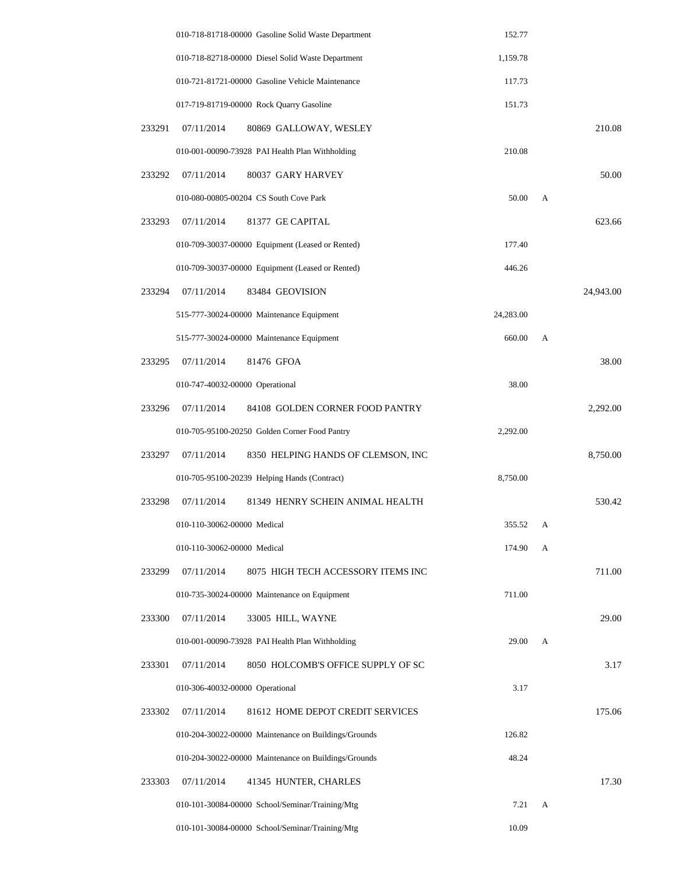|        |                                 | 010-718-81718-00000 Gasoline Solid Waste Department  | 152.77    |   |           |
|--------|---------------------------------|------------------------------------------------------|-----------|---|-----------|
|        |                                 | 010-718-82718-00000 Diesel Solid Waste Department    | 1,159.78  |   |           |
|        |                                 | 010-721-81721-00000 Gasoline Vehicle Maintenance     | 117.73    |   |           |
|        |                                 | 017-719-81719-00000 Rock Quarry Gasoline             | 151.73    |   |           |
| 233291 | 07/11/2014                      | 80869 GALLOWAY, WESLEY                               |           |   | 210.08    |
|        |                                 | 010-001-00090-73928 PAI Health Plan Withholding      | 210.08    |   |           |
| 233292 | 07/11/2014                      | 80037 GARY HARVEY                                    |           |   | 50.00     |
|        |                                 | 010-080-00805-00204 CS South Cove Park               | 50.00     | A |           |
| 233293 | 07/11/2014                      | 81377 GE CAPITAL                                     |           |   | 623.66    |
|        |                                 | 010-709-30037-00000 Equipment (Leased or Rented)     | 177.40    |   |           |
|        |                                 | 010-709-30037-00000 Equipment (Leased or Rented)     | 446.26    |   |           |
| 233294 | 07/11/2014                      | 83484 GEOVISION                                      |           |   | 24,943.00 |
|        |                                 | 515-777-30024-00000 Maintenance Equipment            | 24,283.00 |   |           |
|        |                                 | 515-777-30024-00000 Maintenance Equipment            | 660.00    | A |           |
| 233295 | 07/11/2014                      | 81476 GFOA                                           |           |   | 38.00     |
|        | 010-747-40032-00000 Operational |                                                      | 38.00     |   |           |
| 233296 | 07/11/2014                      | 84108 GOLDEN CORNER FOOD PANTRY                      |           |   | 2,292.00  |
|        |                                 | 010-705-95100-20250 Golden Corner Food Pantry        | 2,292.00  |   |           |
| 233297 | 07/11/2014                      | 8350 HELPING HANDS OF CLEMSON, INC                   |           |   | 8,750.00  |
|        |                                 | 010-705-95100-20239 Helping Hands (Contract)         | 8,750.00  |   |           |
| 233298 | 07/11/2014                      | 81349 HENRY SCHEIN ANIMAL HEALTH                     |           |   | 530.42    |
|        | 010-110-30062-00000 Medical     |                                                      | 355.52    | A |           |
|        | 010-110-30062-00000 Medical     |                                                      | 174.90    | A |           |
| 233299 | 07/11/2014                      | 8075 HIGH TECH ACCESSORY ITEMS INC                   |           |   | 711.00    |
|        |                                 | 010-735-30024-00000 Maintenance on Equipment         | 711.00    |   |           |
| 233300 | 07/11/2014                      | 33005 HILL, WAYNE                                    |           |   | 29.00     |
|        |                                 | 010-001-00090-73928 PAI Health Plan Withholding      | 29.00     | A |           |
| 233301 | 07/11/2014                      | 8050 HOLCOMB'S OFFICE SUPPLY OF SC                   |           |   | 3.17      |
|        | 010-306-40032-00000 Operational |                                                      | 3.17      |   |           |
| 233302 | 07/11/2014                      | 81612 HOME DEPOT CREDIT SERVICES                     |           |   | 175.06    |
|        |                                 | 010-204-30022-00000 Maintenance on Buildings/Grounds | 126.82    |   |           |
|        |                                 | 010-204-30022-00000 Maintenance on Buildings/Grounds | 48.24     |   |           |
| 233303 | 07/11/2014                      | 41345 HUNTER, CHARLES                                |           |   | 17.30     |
|        |                                 | 010-101-30084-00000 School/Seminar/Training/Mtg      | 7.21      | A |           |
|        |                                 | 010-101-30084-00000 School/Seminar/Training/Mtg      | 10.09     |   |           |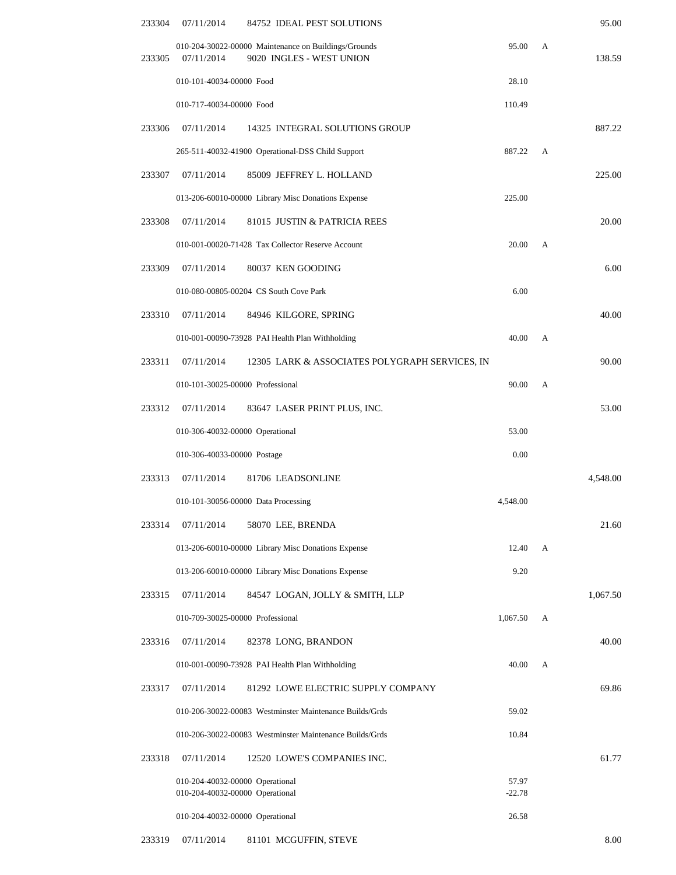| 233304 | 07/11/2014                                                         | 84752 IDEAL PEST SOLUTIONS                                                       |                   |   | 95.00    |
|--------|--------------------------------------------------------------------|----------------------------------------------------------------------------------|-------------------|---|----------|
| 233305 | 07/11/2014                                                         | 010-204-30022-00000 Maintenance on Buildings/Grounds<br>9020 INGLES - WEST UNION | 95.00             | A | 138.59   |
|        | 010-101-40034-00000 Food                                           |                                                                                  | 28.10             |   |          |
|        | 010-717-40034-00000 Food                                           |                                                                                  | 110.49            |   |          |
| 233306 | 07/11/2014                                                         | 14325 INTEGRAL SOLUTIONS GROUP                                                   |                   |   | 887.22   |
|        |                                                                    | 265-511-40032-41900 Operational-DSS Child Support                                | 887.22            | A |          |
| 233307 | 07/11/2014                                                         | 85009 JEFFREY L. HOLLAND                                                         |                   |   | 225.00   |
|        |                                                                    | 013-206-60010-00000 Library Misc Donations Expense                               | 225.00            |   |          |
| 233308 | 07/11/2014                                                         | 81015 JUSTIN & PATRICIA REES                                                     |                   |   | 20.00    |
|        |                                                                    | 010-001-00020-71428 Tax Collector Reserve Account                                | 20.00             | A |          |
| 233309 | 07/11/2014                                                         | 80037 KEN GOODING                                                                |                   |   | 6.00     |
|        |                                                                    | 010-080-00805-00204 CS South Cove Park                                           | 6.00              |   |          |
| 233310 | 07/11/2014                                                         | 84946 KILGORE, SPRING                                                            |                   |   | 40.00    |
|        |                                                                    | 010-001-00090-73928 PAI Health Plan Withholding                                  | 40.00             | A |          |
| 233311 | 07/11/2014                                                         | 12305 LARK & ASSOCIATES POLYGRAPH SERVICES, IN                                   |                   |   | 90.00    |
|        | 010-101-30025-00000 Professional                                   |                                                                                  | 90.00             | A |          |
| 233312 | 07/11/2014                                                         | 83647 LASER PRINT PLUS, INC.                                                     |                   |   | 53.00    |
|        | 010-306-40032-00000 Operational                                    |                                                                                  | 53.00             |   |          |
|        | 010-306-40033-00000 Postage                                        |                                                                                  | 0.00              |   |          |
| 233313 | 07/11/2014                                                         | 81706 LEADSONLINE                                                                |                   |   | 4,548.00 |
|        |                                                                    | 010-101-30056-00000 Data Processing                                              | 4,548.00          |   |          |
| 233314 | 07/11/2014                                                         | 58070 LEE, BRENDA                                                                |                   |   | 21.60    |
|        |                                                                    | 013-206-60010-00000 Library Misc Donations Expense                               | 12.40             | A |          |
|        |                                                                    | 013-206-60010-00000 Library Misc Donations Expense                               | 9.20              |   |          |
| 233315 | 07/11/2014                                                         | 84547 LOGAN, JOLLY & SMITH, LLP                                                  |                   |   | 1,067.50 |
|        | 010-709-30025-00000 Professional                                   |                                                                                  | 1,067.50          | А |          |
| 233316 | 07/11/2014                                                         | 82378 LONG, BRANDON                                                              |                   |   | 40.00    |
|        |                                                                    | 010-001-00090-73928 PAI Health Plan Withholding                                  | 40.00             | A |          |
| 233317 | 07/11/2014                                                         | 81292 LOWE ELECTRIC SUPPLY COMPANY                                               |                   |   | 69.86    |
|        |                                                                    | 010-206-30022-00083 Westminster Maintenance Builds/Grds                          | 59.02             |   |          |
|        |                                                                    | 010-206-30022-00083 Westminster Maintenance Builds/Grds                          | 10.84             |   |          |
| 233318 | 07/11/2014                                                         | 12520 LOWE'S COMPANIES INC.                                                      |                   |   | 61.77    |
|        | 010-204-40032-00000 Operational<br>010-204-40032-00000 Operational |                                                                                  | 57.97<br>$-22.78$ |   |          |
|        | 010-204-40032-00000 Operational                                    |                                                                                  | 26.58             |   |          |

233319 07/11/2014 81101 MCGUFFIN, STEVE 8.00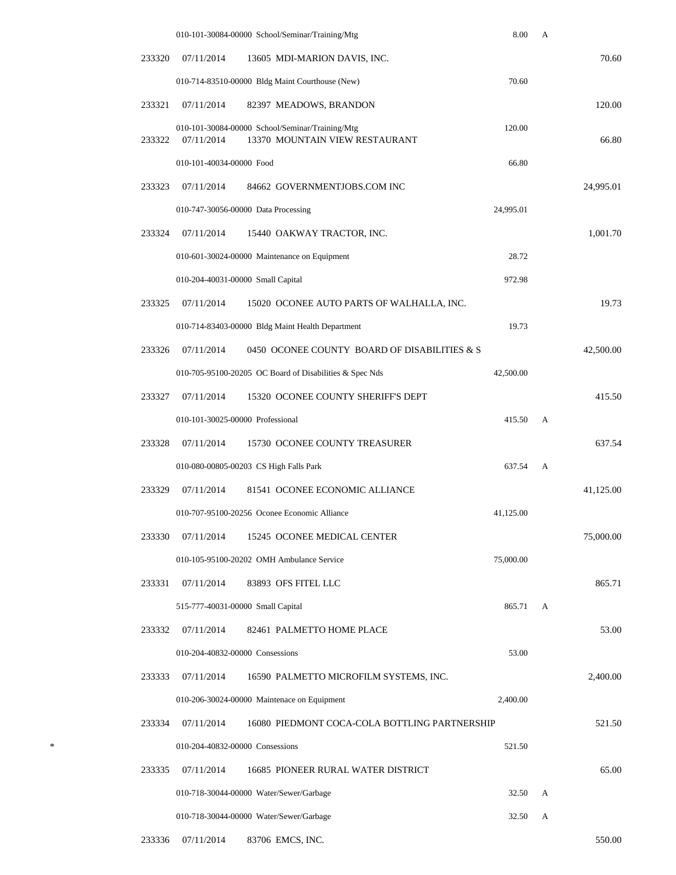|        |                                   | 010-101-30084-00000 School/Seminar/Training/Mtg                                   | 8.00      | А |           |
|--------|-----------------------------------|-----------------------------------------------------------------------------------|-----------|---|-----------|
| 233320 | 07/11/2014                        | 13605 MDI-MARION DAVIS, INC.                                                      |           |   | 70.60     |
|        |                                   | 010-714-83510-00000 Bldg Maint Courthouse (New)                                   | 70.60     |   |           |
| 233321 | 07/11/2014                        | 82397 MEADOWS, BRANDON                                                            |           |   | 120.00    |
| 233322 | 07/11/2014                        | 010-101-30084-00000 School/Seminar/Training/Mtg<br>13370 MOUNTAIN VIEW RESTAURANT | 120.00    |   | 66.80     |
|        | 010-101-40034-00000 Food          |                                                                                   | 66.80     |   |           |
| 233323 | 07/11/2014                        | 84662 GOVERNMENTJOBS.COM INC                                                      |           |   | 24,995.01 |
|        |                                   | 010-747-30056-00000 Data Processing                                               | 24,995.01 |   |           |
| 233324 | 07/11/2014                        | 15440 OAKWAY TRACTOR, INC.                                                        |           |   | 1,001.70  |
|        |                                   | 010-601-30024-00000 Maintenance on Equipment                                      | 28.72     |   |           |
|        | 010-204-40031-00000 Small Capital |                                                                                   | 972.98    |   |           |
| 233325 | 07/11/2014                        | 15020 OCONEE AUTO PARTS OF WALHALLA, INC.                                         |           |   | 19.73     |
|        |                                   | 010-714-83403-00000 Bldg Maint Health Department                                  | 19.73     |   |           |
| 233326 | 07/11/2014                        | 0450 OCONEE COUNTY BOARD OF DISABILITIES & S                                      |           |   | 42,500.00 |
|        |                                   | 010-705-95100-20205 OC Board of Disabilities & Spec Nds                           | 42,500.00 |   |           |
| 233327 | 07/11/2014                        | 15320 OCONEE COUNTY SHERIFF'S DEPT                                                |           |   | 415.50    |
|        | 010-101-30025-00000 Professional  |                                                                                   | 415.50    | А |           |
| 233328 | 07/11/2014                        | 15730 OCONEE COUNTY TREASURER                                                     |           |   | 637.54    |
|        |                                   | 010-080-00805-00203 CS High Falls Park                                            | 637.54    | A |           |
| 233329 | 07/11/2014                        | 81541 OCONEE ECONOMIC ALLIANCE                                                    |           |   | 41,125.00 |
|        |                                   | 010-707-95100-20256 Oconee Economic Alliance                                      | 41,125.00 |   |           |
| 233330 | 07/11/2014                        | 15245 OCONEE MEDICAL CENTER                                                       |           |   | 75,000.00 |
|        |                                   | 010-105-95100-20202 OMH Ambulance Service                                         | 75,000.00 |   |           |
| 233331 | 07/11/2014                        | 83893 OFS FITEL LLC                                                               |           |   | 865.71    |
|        | 515-777-40031-00000 Small Capital |                                                                                   | 865.71    | A |           |
| 233332 | 07/11/2014                        | 82461 PALMETTO HOME PLACE                                                         |           |   | 53.00     |
|        | 010-204-40832-00000 Consessions   |                                                                                   | 53.00     |   |           |
| 233333 | 07/11/2014                        | 16590 PALMETTO MICROFILM SYSTEMS, INC.                                            |           |   | 2,400.00  |
|        |                                   | 010-206-30024-00000 Maintenace on Equipment                                       | 2,400.00  |   |           |
| 233334 | 07/11/2014                        | 16080 PIEDMONT COCA-COLA BOTTLING PARTNERSHIP                                     |           |   | 521.50    |
|        | 010-204-40832-00000 Consessions   |                                                                                   | 521.50    |   |           |
| 233335 | 07/11/2014                        | 16685 PIONEER RURAL WATER DISTRICT                                                |           |   | 65.00     |
|        |                                   | 010-718-30044-00000 Water/Sewer/Garbage                                           | 32.50     | А |           |
|        |                                   | 010-718-30044-00000 Water/Sewer/Garbage                                           | 32.50     | А |           |
| 233336 | 07/11/2014                        | 83706 EMCS, INC.                                                                  |           |   | 550.00    |

\*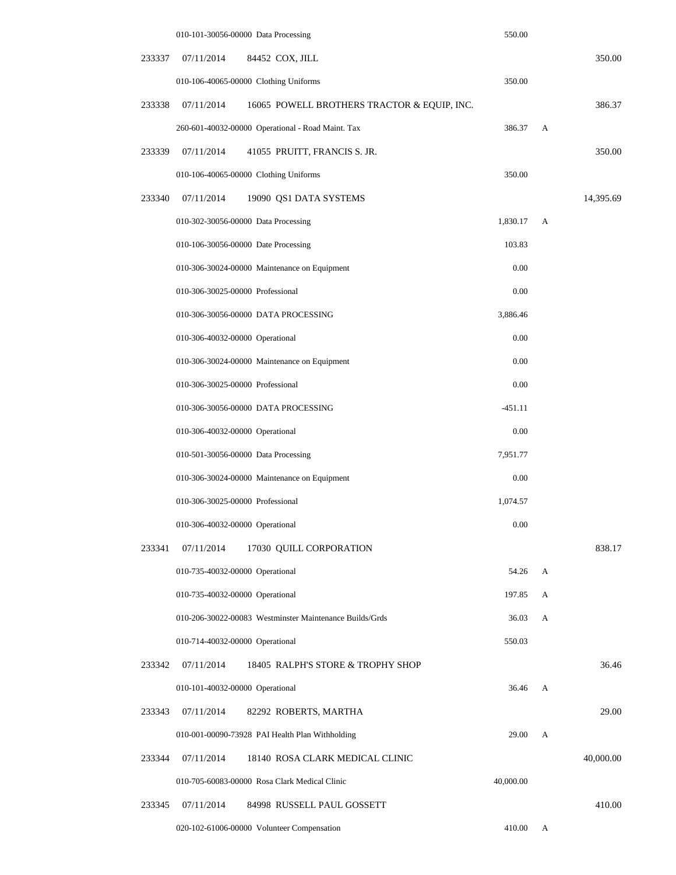|        | 010-101-30056-00000 Data Processing                       | 550.00    |   |           |
|--------|-----------------------------------------------------------|-----------|---|-----------|
| 233337 | 07/11/2014<br>84452 COX, JILL                             |           |   | 350.00    |
|        | 010-106-40065-00000 Clothing Uniforms                     | 350.00    |   |           |
| 233338 | 07/11/2014<br>16065 POWELL BROTHERS TRACTOR & EQUIP, INC. |           |   | 386.37    |
|        | 260-601-40032-00000 Operational - Road Maint. Tax         | 386.37    | A |           |
| 233339 | 07/11/2014<br>41055 PRUITT, FRANCIS S. JR.                |           |   | 350.00    |
|        | 010-106-40065-00000 Clothing Uniforms                     | 350.00    |   |           |
| 233340 | 07/11/2014<br>19090 QS1 DATA SYSTEMS                      |           |   | 14,395.69 |
|        | 010-302-30056-00000 Data Processing                       | 1,830.17  | А |           |
|        | 010-106-30056-00000 Date Processing                       | 103.83    |   |           |
|        | 010-306-30024-00000 Maintenance on Equipment              | 0.00      |   |           |
|        | 010-306-30025-00000 Professional                          | 0.00      |   |           |
|        | 010-306-30056-00000 DATA PROCESSING                       | 3,886.46  |   |           |
|        | 010-306-40032-00000 Operational                           | 0.00      |   |           |
|        | 010-306-30024-00000 Maintenance on Equipment              | 0.00      |   |           |
|        | 010-306-30025-00000 Professional                          | 0.00      |   |           |
|        | 010-306-30056-00000 DATA PROCESSING                       | $-451.11$ |   |           |
|        | 010-306-40032-00000 Operational                           | 0.00      |   |           |
|        | 010-501-30056-00000 Data Processing                       | 7,951.77  |   |           |
|        | 010-306-30024-00000 Maintenance on Equipment              | 0.00      |   |           |
|        | 010-306-30025-00000 Professional                          | 1,074.57  |   |           |
|        | 010-306-40032-00000 Operational                           | 0.00      |   |           |
| 233341 | 07/11/2014<br>17030 QUILL CORPORATION                     |           |   | 838.17    |
|        | 010-735-40032-00000 Operational                           | 54.26     | A |           |
|        | 010-735-40032-00000 Operational                           | 197.85    | A |           |
|        | 010-206-30022-00083 Westminster Maintenance Builds/Grds   | 36.03     | A |           |
|        | 010-714-40032-00000 Operational                           | 550.03    |   |           |
| 233342 | 07/11/2014<br>18405 RALPH'S STORE & TROPHY SHOP           |           |   | 36.46     |
|        | 010-101-40032-00000 Operational                           | 36.46     | A |           |
| 233343 | 82292 ROBERTS, MARTHA<br>07/11/2014                       |           |   | 29.00     |
|        | 010-001-00090-73928 PAI Health Plan Withholding           | 29.00     | A |           |
| 233344 | 07/11/2014<br>18140 ROSA CLARK MEDICAL CLINIC             |           |   | 40,000.00 |
|        | 010-705-60083-00000 Rosa Clark Medical Clinic             | 40,000.00 |   |           |
| 233345 | 84998 RUSSELL PAUL GOSSETT<br>07/11/2014                  |           |   | 410.00    |
|        | 020-102-61006-00000 Volunteer Compensation                | 410.00    | A |           |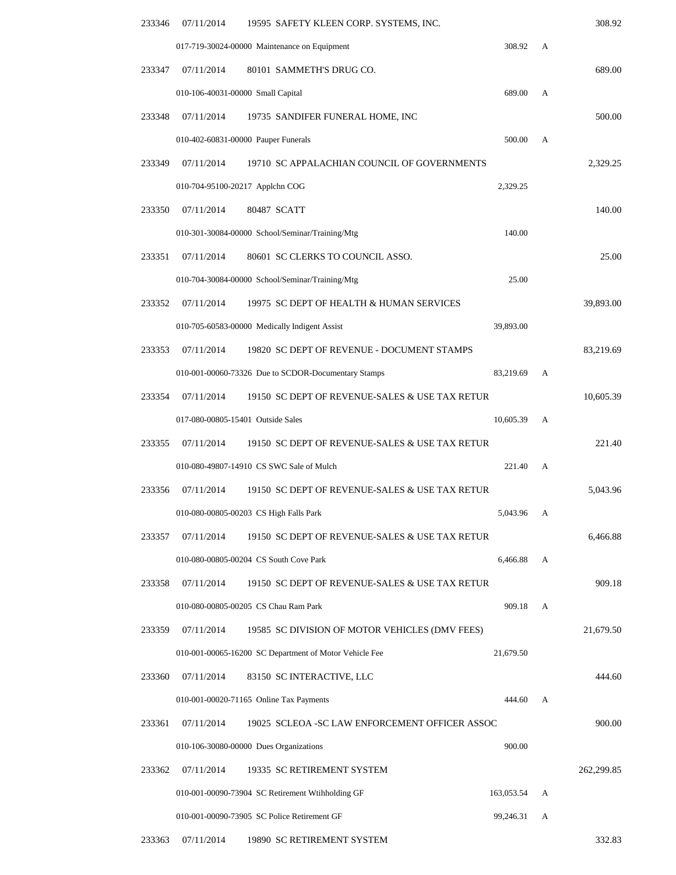| 308.92     |   | 07/11/2014<br>19595 SAFETY KLEEN CORP. SYSTEMS, INC.                | 233346 |
|------------|---|---------------------------------------------------------------------|--------|
|            | A | 017-719-30024-00000 Maintenance on Equipment<br>308.92              |        |
| 689.00     |   | 80101 SAMMETH'S DRUG CO.<br>07/11/2014                              | 233347 |
|            | А | 010-106-40031-00000 Small Capital<br>689.00                         |        |
| 500.00     |   | 07/11/2014<br>19735 SANDIFER FUNERAL HOME, INC                      | 233348 |
|            | A | 010-402-60831-00000 Pauper Funerals<br>500.00                       |        |
| 2,329.25   |   | 19710 SC APPALACHIAN COUNCIL OF GOVERNMENTS<br>07/11/2014           | 233349 |
|            |   | 2,329.25<br>010-704-95100-20217 Applchn COG                         |        |
| 140.00     |   | 80487 SCATT<br>07/11/2014                                           | 233350 |
|            |   | 010-301-30084-00000 School/Seminar/Training/Mtg<br>140.00           |        |
| 25.00      |   | 07/11/2014<br>80601 SC CLERKS TO COUNCIL ASSO.                      | 233351 |
|            |   | 010-704-30084-00000 School/Seminar/Training/Mtg<br>25.00            |        |
| 39,893.00  |   | 07/11/2014<br>19975 SC DEPT OF HEALTH & HUMAN SERVICES              | 233352 |
|            |   | 010-705-60583-00000 Medically Indigent Assist<br>39,893.00          |        |
| 83,219.69  |   | 07/11/2014<br>19820 SC DEPT OF REVENUE - DOCUMENT STAMPS            | 233353 |
|            | A | 010-001-00060-73326 Due to SCDOR-Documentary Stamps<br>83,219.69    |        |
| 10,605.39  |   | 07/11/2014<br>19150 SC DEPT OF REVENUE-SALES & USE TAX RETUR        | 233354 |
|            | А | 017-080-00805-15401 Outside Sales<br>10,605.39                      |        |
| 221.40     |   | 07/11/2014<br>19150 SC DEPT OF REVENUE-SALES & USE TAX RETUR        | 233355 |
|            | A | 010-080-49807-14910 CS SWC Sale of Mulch<br>221.40                  |        |
| 5,043.96   |   | 07/11/2014<br>19150 SC DEPT OF REVENUE-SALES & USE TAX RETUR        | 233356 |
|            |   | 010-080-00805-00203 CS High Falls Park<br>5,043.96 A                |        |
| 6,466.88   |   | 07/11/2014<br>19150 SC DEPT OF REVENUE-SALES & USE TAX RETUR        | 233357 |
|            | A | 010-080-00805-00204 CS South Cove Park<br>6,466.88                  |        |
| 909.18     |   | 07/11/2014<br>19150 SC DEPT OF REVENUE-SALES & USE TAX RETUR        | 233358 |
|            | A | 010-080-00805-00205 CS Chau Ram Park<br>909.18                      |        |
| 21,679.50  |   | 07/11/2014<br>19585 SC DIVISION OF MOTOR VEHICLES (DMV FEES)        | 233359 |
|            |   | 010-001-00065-16200 SC Department of Motor Vehicle Fee<br>21,679.50 |        |
| 444.60     |   | 07/11/2014<br>83150 SC INTERACTIVE, LLC                             | 233360 |
|            | A | 010-001-00020-71165 Online Tax Payments<br>444.60                   |        |
| 900.00     |   | 07/11/2014<br>19025 SCLEOA - SC LAW ENFORCEMENT OFFICER ASSOC       | 233361 |
|            |   | 010-106-30080-00000 Dues Organizations<br>900.00                    |        |
| 262,299.85 |   | 07/11/2014<br>19335 SC RETIREMENT SYSTEM                            | 233362 |
|            | A | 010-001-00090-73904 SC Retirement Wtihholding GF<br>163,053.54      |        |
|            | А | 010-001-00090-73905 SC Police Retirement GF<br>99,246.31            |        |
|            |   |                                                                     |        |

233363 07/11/2014 19890 SC RETIREMENT SYSTEM 332.83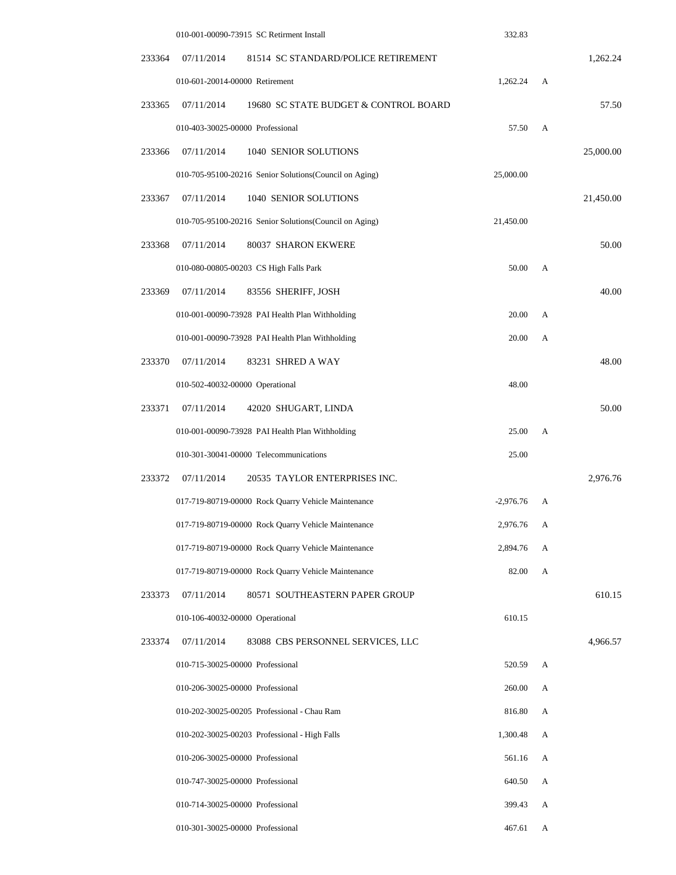|           |   | 332.83      | 010-001-00090-73915 SC Retirment Install                |        |
|-----------|---|-------------|---------------------------------------------------------|--------|
| 1,262.24  |   |             | 07/11/2014<br>81514 SC STANDARD/POLICE RETIREMENT       | 233364 |
|           | А | 1,262.24    | 010-601-20014-00000 Retirement                          |        |
| 57.50     |   |             | 07/11/2014<br>19680 SC STATE BUDGET & CONTROL BOARD     | 233365 |
|           | A | 57.50       | 010-403-30025-00000 Professional                        |        |
| 25,000.00 |   |             | 07/11/2014<br>1040 SENIOR SOLUTIONS                     | 233366 |
|           |   | 25,000.00   | 010-705-95100-20216 Senior Solutions (Council on Aging) |        |
| 21,450.00 |   |             | 07/11/2014<br>1040 SENIOR SOLUTIONS                     | 233367 |
|           |   | 21,450.00   | 010-705-95100-20216 Senior Solutions(Council on Aging)  |        |
| 50.00     |   |             | 07/11/2014<br>80037 SHARON EKWERE                       | 233368 |
|           | A | 50.00       | 010-080-00805-00203 CS High Falls Park                  |        |
| 40.00     |   |             | 07/11/2014<br>83556 SHERIFF, JOSH                       | 233369 |
|           | А | 20.00       | 010-001-00090-73928 PAI Health Plan Withholding         |        |
|           | А | 20.00       | 010-001-00090-73928 PAI Health Plan Withholding         |        |
| 48.00     |   |             | 07/11/2014<br>83231 SHRED A WAY                         | 233370 |
|           |   | 48.00       | 010-502-40032-00000 Operational                         |        |
| 50.00     |   |             | 07/11/2014<br>42020 SHUGART, LINDA                      | 233371 |
|           | A | 25.00       | 010-001-00090-73928 PAI Health Plan Withholding         |        |
|           |   | 25.00       | 010-301-30041-00000 Telecommunications                  |        |
| 2,976.76  |   |             | 07/11/2014<br>20535 TAYLOR ENTERPRISES INC.             | 233372 |
|           | А | $-2,976.76$ | 017-719-80719-00000 Rock Quarry Vehicle Maintenance     |        |
|           | A | 2,976.76    | 017-719-80719-00000 Rock Quarry Vehicle Maintenance     |        |
|           | А | 2,894.76    | 017-719-80719-00000 Rock Quarry Vehicle Maintenance     |        |
|           | A | 82.00       | 017-719-80719-00000 Rock Quarry Vehicle Maintenance     |        |
| 610.15    |   |             | 07/11/2014<br>80571 SOUTHEASTERN PAPER GROUP            | 233373 |
|           |   | 610.15      | 010-106-40032-00000 Operational                         |        |
| 4,966.57  |   |             | 07/11/2014<br>83088 CBS PERSONNEL SERVICES, LLC         | 233374 |
|           | A | 520.59      | 010-715-30025-00000 Professional                        |        |
|           | A | 260.00      | 010-206-30025-00000 Professional                        |        |
|           | A | 816.80      | 010-202-30025-00205 Professional - Chau Ram             |        |
|           | A | 1,300.48    | 010-202-30025-00203 Professional - High Falls           |        |
|           | A | 561.16      | 010-206-30025-00000 Professional                        |        |
|           | А | 640.50      | 010-747-30025-00000 Professional                        |        |
|           | А | 399.43      | 010-714-30025-00000 Professional                        |        |
|           | А | 467.61      | 010-301-30025-00000 Professional                        |        |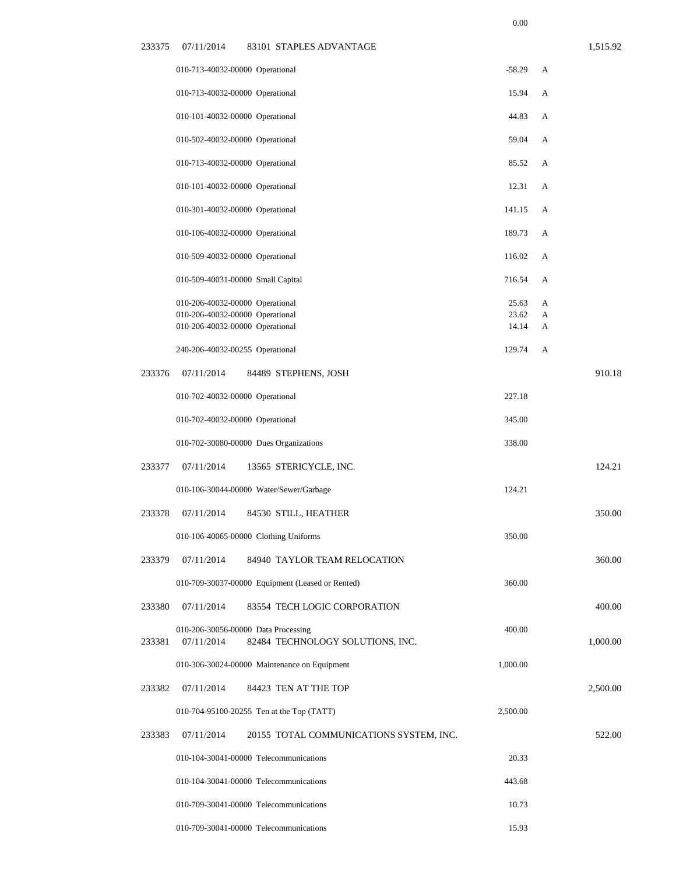|        | 010-713-40032-00000 Operational                                    |                                                                         | $-58.29$       | А      |          |
|--------|--------------------------------------------------------------------|-------------------------------------------------------------------------|----------------|--------|----------|
|        | 010-713-40032-00000 Operational                                    |                                                                         | 15.94          | A      |          |
|        | 010-101-40032-00000 Operational                                    |                                                                         | 44.83          | A      |          |
|        | 010-502-40032-00000 Operational                                    |                                                                         | 59.04          | A      |          |
|        | 010-713-40032-00000 Operational                                    |                                                                         | 85.52          | A      |          |
|        | 010-101-40032-00000 Operational                                    |                                                                         | 12.31          | A      |          |
|        | 010-301-40032-00000 Operational                                    |                                                                         | 141.15         | A      |          |
|        | 010-106-40032-00000 Operational                                    |                                                                         | 189.73         | A      |          |
|        | 010-509-40032-00000 Operational                                    |                                                                         | 116.02         | A      |          |
|        | 010-509-40031-00000 Small Capital                                  |                                                                         | 716.54         | A      |          |
|        | 010-206-40032-00000 Operational                                    |                                                                         | 25.63          | A      |          |
|        | 010-206-40032-00000 Operational<br>010-206-40032-00000 Operational |                                                                         | 23.62<br>14.14 | A<br>A |          |
|        | 240-206-40032-00255 Operational                                    |                                                                         | 129.74         | A      |          |
|        |                                                                    |                                                                         |                |        |          |
| 233376 | 07/11/2014                                                         | 84489 STEPHENS, JOSH                                                    |                |        | 910.18   |
|        | 010-702-40032-00000 Operational                                    |                                                                         | 227.18         |        |          |
|        | 010-702-40032-00000 Operational                                    |                                                                         | 345.00         |        |          |
|        |                                                                    | 010-702-30080-00000 Dues Organizations                                  | 338.00         |        |          |
| 233377 | 07/11/2014                                                         | 13565 STERICYCLE, INC.                                                  |                |        | 124.21   |
|        |                                                                    | 010-106-30044-00000 Water/Sewer/Garbage                                 | 124.21         |        |          |
| 233378 | 07/11/2014                                                         | 84530 STILL, HEATHER                                                    |                |        | 350.00   |
|        |                                                                    | 010-106-40065-00000 Clothing Uniforms                                   | 350.00         |        |          |
| 233379 | 07/11/2014                                                         | 84940 TAYLOR TEAM RELOCATION                                            |                |        | 360.00   |
|        |                                                                    | 010-709-30037-00000 Equipment (Leased or Rented)                        | 360.00         |        |          |
| 233380 | 07/11/2014                                                         | 83554 TECH LOGIC CORPORATION                                            |                |        | 400.00   |
| 233381 | 07/11/2014                                                         | 010-206-30056-00000 Data Processing<br>82484 TECHNOLOGY SOLUTIONS, INC. | 400.00         |        | 1,000.00 |
|        |                                                                    | 010-306-30024-00000 Maintenance on Equipment                            | 1,000.00       |        |          |
| 233382 | 07/11/2014                                                         | 84423 TEN AT THE TOP                                                    |                |        | 2,500.00 |
|        |                                                                    | 010-704-95100-20255 Ten at the Top (TATT)                               | 2,500.00       |        |          |
| 233383 | 07/11/2014                                                         | 20155 TOTAL COMMUNICATIONS SYSTEM, INC.                                 |                |        | 522.00   |
|        |                                                                    | 010-104-30041-00000 Telecommunications                                  | 20.33          |        |          |
|        |                                                                    | 010-104-30041-00000 Telecommunications                                  | 443.68         |        |          |
|        |                                                                    | 010-709-30041-00000 Telecommunications                                  | 10.73          |        |          |
|        |                                                                    | 010-709-30041-00000 Telecommunications                                  | 15.93          |        |          |
|        |                                                                    |                                                                         |                |        |          |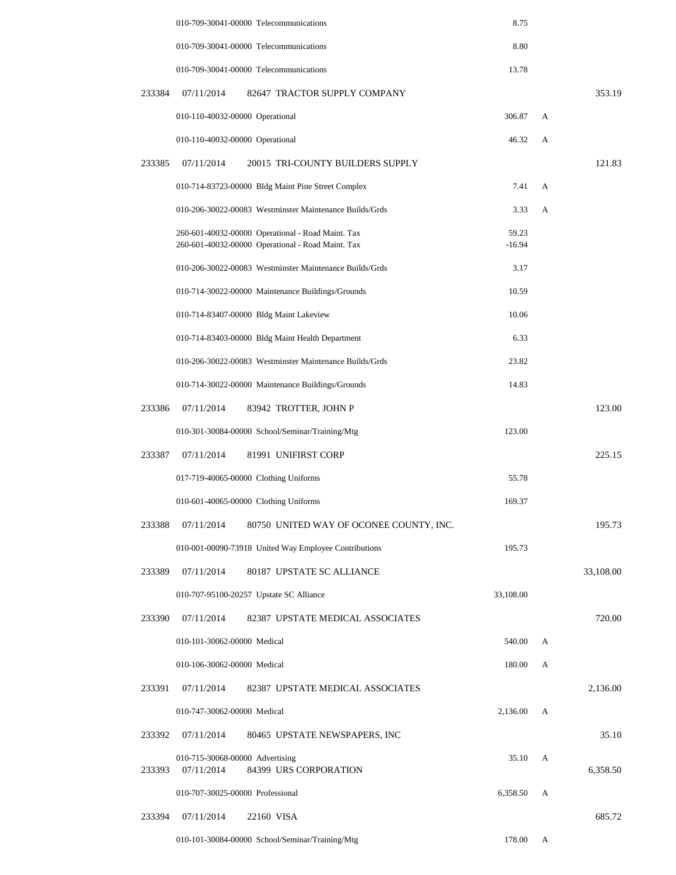|        | 010-709-30041-00000 Telecommunications                                                                 | 8.75              |   |           |
|--------|--------------------------------------------------------------------------------------------------------|-------------------|---|-----------|
|        | 010-709-30041-00000 Telecommunications                                                                 | 8.80              |   |           |
|        | 010-709-30041-00000 Telecommunications                                                                 | 13.78             |   |           |
| 233384 | 07/11/2014<br>82647 TRACTOR SUPPLY COMPANY                                                             |                   |   | 353.19    |
|        | 010-110-40032-00000 Operational                                                                        | 306.87            | A |           |
|        | 010-110-40032-00000 Operational                                                                        | 46.32             | А |           |
| 233385 | 07/11/2014<br>20015 TRI-COUNTY BUILDERS SUPPLY                                                         |                   |   | 121.83    |
|        | 010-714-83723-00000 Bldg Maint Pine Street Complex                                                     | 7.41              | A |           |
|        | 010-206-30022-00083 Westminster Maintenance Builds/Grds                                                | 3.33              | A |           |
|        | 260-601-40032-00000 Operational - Road Maint. Tax<br>260-601-40032-00000 Operational - Road Maint. Tax | 59.23<br>$-16.94$ |   |           |
|        | 010-206-30022-00083 Westminster Maintenance Builds/Grds                                                | 3.17              |   |           |
|        | 010-714-30022-00000 Maintenance Buildings/Grounds                                                      | 10.59             |   |           |
|        | 010-714-83407-00000 Bldg Maint Lakeview                                                                | 10.06             |   |           |
|        | 010-714-83403-00000 Bldg Maint Health Department                                                       | 6.33              |   |           |
|        | 010-206-30022-00083 Westminster Maintenance Builds/Grds                                                | 23.82             |   |           |
|        | 010-714-30022-00000 Maintenance Buildings/Grounds                                                      | 14.83             |   |           |
| 233386 | 07/11/2014<br>83942 TROTTER, JOHN P                                                                    |                   |   | 123.00    |
|        | 010-301-30084-00000 School/Seminar/Training/Mtg                                                        | 123.00            |   |           |
| 233387 | 07/11/2014<br>81991 UNIFIRST CORP                                                                      |                   |   | 225.15    |
|        | 017-719-40065-00000 Clothing Uniforms                                                                  | 55.78             |   |           |
|        | 010-601-40065-00000 Clothing Uniforms                                                                  | 169.37            |   |           |
| 233388 | 07/11/2014<br>80750 UNITED WAY OF OCONEE COUNTY, INC.                                                  |                   |   | 195.73    |
|        | 010-001-00090-73918 United Way Employee Contributions                                                  | 195.73            |   |           |
| 233389 | 07/11/2014<br>80187 UPSTATE SC ALLIANCE                                                                |                   |   | 33,108.00 |
|        | 010-707-95100-20257 Upstate SC Alliance                                                                | 33,108.00         |   |           |
| 233390 | 82387 UPSTATE MEDICAL ASSOCIATES<br>07/11/2014                                                         |                   |   | 720.00    |
|        | 010-101-30062-00000 Medical                                                                            | 540.00            | A |           |
|        | 010-106-30062-00000 Medical                                                                            | 180.00            | А |           |
| 233391 | 07/11/2014<br>82387 UPSTATE MEDICAL ASSOCIATES                                                         |                   |   | 2,136.00  |
|        | 010-747-30062-00000 Medical                                                                            | 2,136.00          | A |           |
| 233392 | 07/11/2014<br>80465 UPSTATE NEWSPAPERS, INC                                                            |                   |   | 35.10     |
| 233393 | 010-715-30068-00000 Advertising<br>84399 URS CORPORATION<br>07/11/2014                                 | 35.10             | A | 6,358.50  |
|        | 010-707-30025-00000 Professional                                                                       | 6,358.50          | A |           |
| 233394 | 07/11/2014<br>22160 VISA                                                                               |                   |   | 685.72    |
|        | 010-101-30084-00000 School/Seminar/Training/Mtg                                                        | 178.00            | A |           |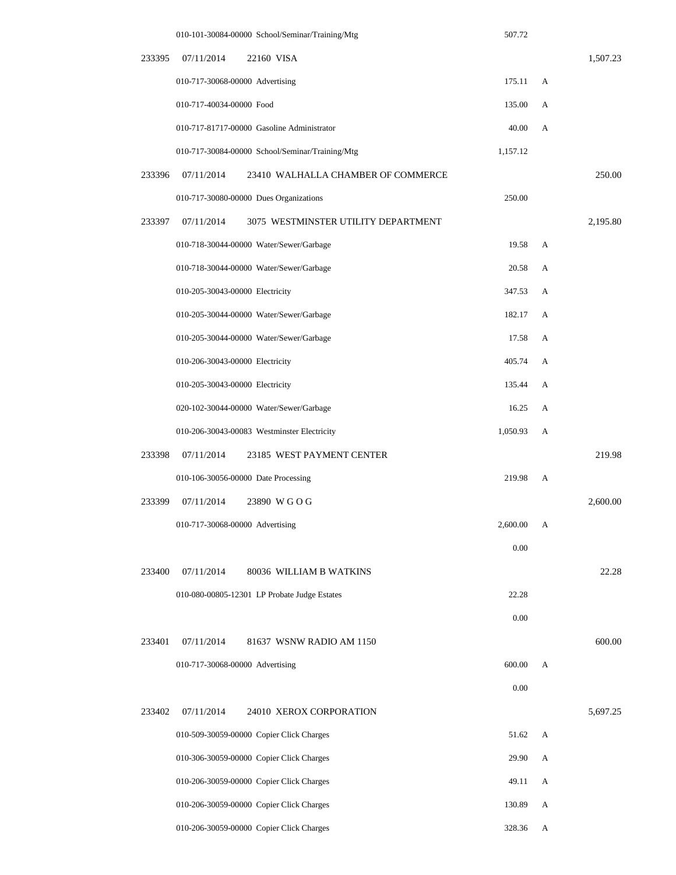|        | 010-101-30084-00000 School/Seminar/Training/Mtg   | 507.72   |   |          |
|--------|---------------------------------------------------|----------|---|----------|
| 233395 | 07/11/2014<br>22160 VISA                          |          |   | 1,507.23 |
|        | 010-717-30068-00000 Advertising                   | 175.11   | A |          |
|        | 010-717-40034-00000 Food                          | 135.00   | А |          |
|        | 010-717-81717-00000 Gasoline Administrator        | 40.00    | А |          |
|        | 010-717-30084-00000 School/Seminar/Training/Mtg   | 1,157.12 |   |          |
| 233396 | 07/11/2014<br>23410 WALHALLA CHAMBER OF COMMERCE  |          |   | 250.00   |
|        | 010-717-30080-00000 Dues Organizations            | 250.00   |   |          |
| 233397 | 07/11/2014<br>3075 WESTMINSTER UTILITY DEPARTMENT |          |   | 2,195.80 |
|        | 010-718-30044-00000 Water/Sewer/Garbage           | 19.58    | А |          |
|        | 010-718-30044-00000 Water/Sewer/Garbage           | 20.58    | А |          |
|        | 010-205-30043-00000 Electricity                   | 347.53   | A |          |
|        | 010-205-30044-00000 Water/Sewer/Garbage           | 182.17   | A |          |
|        | 010-205-30044-00000 Water/Sewer/Garbage           | 17.58    | A |          |
|        | 010-206-30043-00000 Electricity                   | 405.74   | А |          |
|        | 010-205-30043-00000 Electricity                   | 135.44   | A |          |
|        | 020-102-30044-00000 Water/Sewer/Garbage           | 16.25    | А |          |
|        | 010-206-30043-00083 Westminster Electricity       | 1,050.93 | А |          |
| 233398 | 07/11/2014<br>23185 WEST PAYMENT CENTER           |          |   | 219.98   |
|        | 010-106-30056-00000 Date Processing               | 219.98   | A |          |
| 233399 | 07/11/2014<br>23890 WGOG                          |          |   | 2,600.00 |
|        | 010-717-30068-00000 Advertising                   | 2,600.00 | A |          |
|        |                                                   | 0.00     |   |          |
| 233400 | 07/11/2014<br>80036 WILLIAM B WATKINS             |          |   | 22.28    |
|        | 010-080-00805-12301 LP Probate Judge Estates      | 22.28    |   |          |
|        |                                                   | 0.00     |   |          |
| 233401 | 07/11/2014<br>81637 WSNW RADIO AM 1150            |          |   | 600.00   |
|        | 010-717-30068-00000 Advertising                   | 600.00   | A |          |
|        |                                                   | 0.00     |   |          |
| 233402 | 07/11/2014<br>24010 XEROX CORPORATION             |          |   | 5,697.25 |
|        | 010-509-30059-00000 Copier Click Charges          | 51.62    | А |          |
|        | 010-306-30059-00000 Copier Click Charges          | 29.90    | А |          |
|        | 010-206-30059-00000 Copier Click Charges          | 49.11    | А |          |
|        | 010-206-30059-00000 Copier Click Charges          | 130.89   | А |          |
|        | 010-206-30059-00000 Copier Click Charges          | 328.36   | А |          |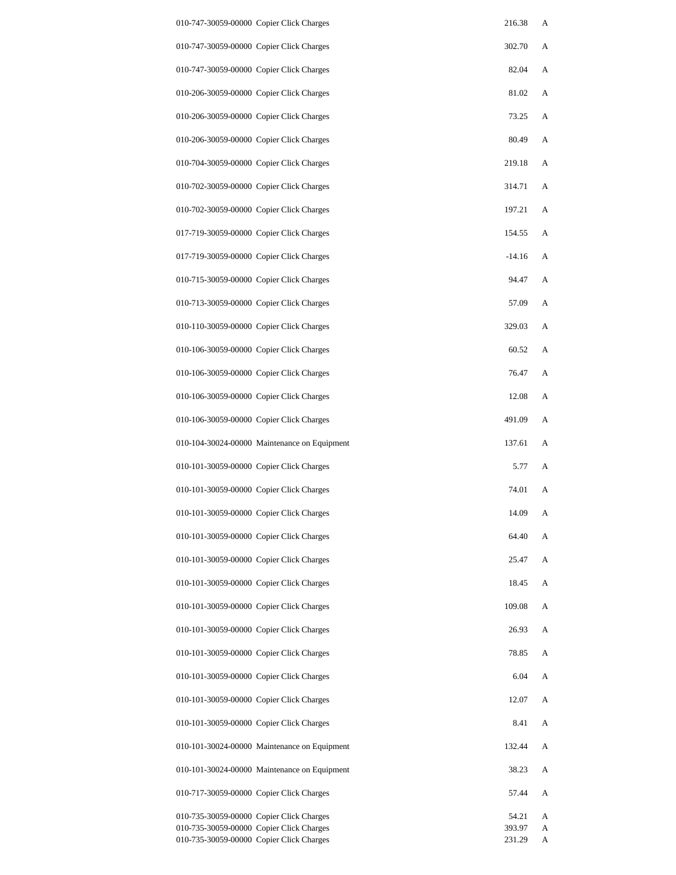| 010-747-30059-00000 Copier Click Charges                                             | 216.38           | A      |
|--------------------------------------------------------------------------------------|------------------|--------|
| 010-747-30059-00000 Copier Click Charges                                             | 302.70           | А      |
| 010-747-30059-00000 Copier Click Charges                                             | 82.04            | А      |
| 010-206-30059-00000 Copier Click Charges                                             | 81.02            | А      |
| 010-206-30059-00000 Copier Click Charges                                             | 73.25            | А      |
| 010-206-30059-00000 Copier Click Charges                                             | 80.49            | А      |
| 010-704-30059-00000 Copier Click Charges                                             | 219.18           | А      |
| 010-702-30059-00000 Copier Click Charges                                             | 314.71           | А      |
| 010-702-30059-00000 Copier Click Charges                                             | 197.21           | А      |
| 017-719-30059-00000 Copier Click Charges                                             | 154.55           | А      |
| 017-719-30059-00000 Copier Click Charges                                             | $-14.16$         | А      |
| 010-715-30059-00000 Copier Click Charges                                             | 94.47            | А      |
| 010-713-30059-00000 Copier Click Charges                                             | 57.09            | А      |
| 010-110-30059-00000 Copier Click Charges                                             | 329.03           | А      |
| 010-106-30059-00000 Copier Click Charges                                             | 60.52            | А      |
| 010-106-30059-00000 Copier Click Charges                                             | 76.47            | А      |
| 010-106-30059-00000 Copier Click Charges                                             | 12.08            | А      |
| 010-106-30059-00000 Copier Click Charges                                             | 491.09           | А      |
| 010-104-30024-00000 Maintenance on Equipment                                         | 137.61           | А      |
| 010-101-30059-00000 Copier Click Charges                                             | 5.77             | А      |
| 010-101-30059-00000 Copier Click Charges                                             | 74.01            | А      |
| 010-101-30059-00000 Copier Click Charges                                             | 14.09            | А      |
| 010-101-30059-00000 Copier Click Charges                                             | 64.40            | A      |
| 010-101-30059-00000 Copier Click Charges                                             | 25.47            | А      |
| 010-101-30059-00000 Copier Click Charges                                             | 18.45            | А      |
| 010-101-30059-00000 Copier Click Charges                                             | 109.08           | А      |
| 010-101-30059-00000 Copier Click Charges                                             | 26.93            | А      |
| 010-101-30059-00000 Copier Click Charges                                             | 78.85            | А      |
| 010-101-30059-00000 Copier Click Charges                                             | 6.04             | А      |
| 010-101-30059-00000 Copier Click Charges                                             | 12.07            | А      |
| 010-101-30059-00000 Copier Click Charges                                             | 8.41             | А      |
| 010-101-30024-00000 Maintenance on Equipment                                         | 132.44           | А      |
| 010-101-30024-00000 Maintenance on Equipment                                         | 38.23            | А      |
| 010-717-30059-00000 Copier Click Charges                                             | 57.44            | А      |
| 010-735-30059-00000 Copier Click Charges                                             | 54.21            | A      |
| 010-735-30059-00000 Copier Click Charges<br>010-735-30059-00000 Copier Click Charges | 393.97<br>231.29 | A<br>A |
|                                                                                      |                  |        |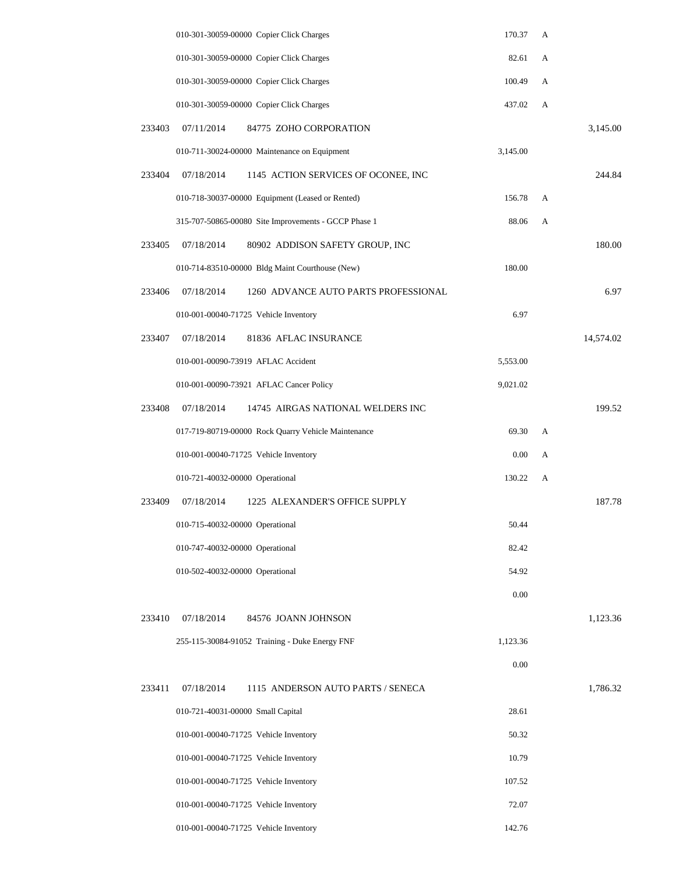|        | 010-301-30059-00000 Copier Click Charges             | 170.37   | A |           |
|--------|------------------------------------------------------|----------|---|-----------|
|        | 010-301-30059-00000 Copier Click Charges             | 82.61    | A |           |
|        | 010-301-30059-00000 Copier Click Charges             | 100.49   | А |           |
|        | 010-301-30059-00000 Copier Click Charges             | 437.02   | А |           |
| 233403 | 07/11/2014<br>84775 ZOHO CORPORATION                 |          |   | 3,145.00  |
|        | 010-711-30024-00000 Maintenance on Equipment         | 3,145.00 |   |           |
| 233404 | 07/18/2014<br>1145 ACTION SERVICES OF OCONEE, INC    |          |   | 244.84    |
|        | 010-718-30037-00000 Equipment (Leased or Rented)     | 156.78   | А |           |
|        | 315-707-50865-00080 Site Improvements - GCCP Phase 1 | 88.06    | А |           |
| 233405 | 07/18/2014<br>80902 ADDISON SAFETY GROUP, INC        |          |   | 180.00    |
|        | 010-714-83510-00000 Bldg Maint Courthouse (New)      | 180.00   |   |           |
| 233406 | 07/18/2014<br>1260 ADVANCE AUTO PARTS PROFESSIONAL   |          |   | 6.97      |
|        | 010-001-00040-71725 Vehicle Inventory                | 6.97     |   |           |
| 233407 | 07/18/2014<br>81836 AFLAC INSURANCE                  |          |   | 14,574.02 |
|        | 010-001-00090-73919 AFLAC Accident                   | 5,553.00 |   |           |
|        | 010-001-00090-73921 AFLAC Cancer Policy              | 9,021.02 |   |           |
| 233408 | 07/18/2014<br>14745 AIRGAS NATIONAL WELDERS INC      |          |   | 199.52    |
|        | 017-719-80719-00000 Rock Quarry Vehicle Maintenance  | 69.30    | А |           |
|        | 010-001-00040-71725 Vehicle Inventory                | 0.00     | А |           |
|        | 010-721-40032-00000 Operational                      | 130.22   | А |           |
| 233409 | 07/18/2014<br>1225 ALEXANDER'S OFFICE SUPPLY         |          |   | 187.78    |
|        | 010-715-40032-00000 Operational                      | 50.44    |   |           |
|        | 010-747-40032-00000 Operational                      | 82.42    |   |           |
|        | 010-502-40032-00000 Operational                      | 54.92    |   |           |
|        |                                                      | 0.00     |   |           |
| 233410 | 07/18/2014<br>84576 JOANN JOHNSON                    |          |   | 1,123.36  |
|        | 255-115-30084-91052 Training - Duke Energy FNF       | 1,123.36 |   |           |
|        |                                                      | 0.00     |   |           |
| 233411 | 07/18/2014<br>1115 ANDERSON AUTO PARTS / SENECA      |          |   | 1,786.32  |
|        | 010-721-40031-00000 Small Capital                    | 28.61    |   |           |
|        | 010-001-00040-71725 Vehicle Inventory                | 50.32    |   |           |
|        | 010-001-00040-71725 Vehicle Inventory                | 10.79    |   |           |
|        | 010-001-00040-71725 Vehicle Inventory                | 107.52   |   |           |
|        | 010-001-00040-71725 Vehicle Inventory                | 72.07    |   |           |
|        | 010-001-00040-71725 Vehicle Inventory                | 142.76   |   |           |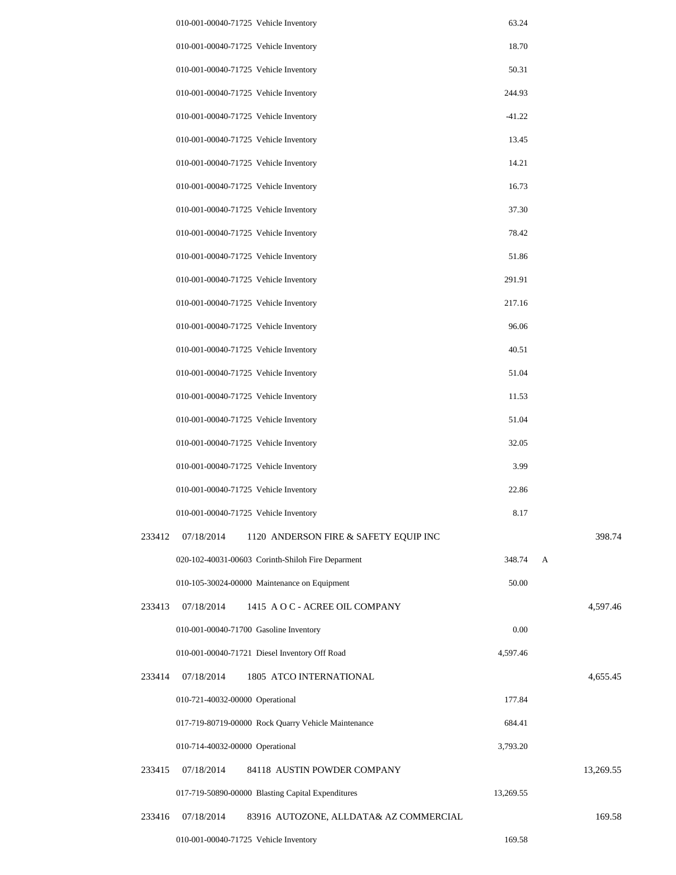|        | 010-001-00040-71725 Vehicle Inventory                | 63.24     |   |           |
|--------|------------------------------------------------------|-----------|---|-----------|
|        | 010-001-00040-71725 Vehicle Inventory                | 18.70     |   |           |
|        | 010-001-00040-71725 Vehicle Inventory                | 50.31     |   |           |
|        | 010-001-00040-71725 Vehicle Inventory                | 244.93    |   |           |
|        | 010-001-00040-71725 Vehicle Inventory                | $-41.22$  |   |           |
|        | 010-001-00040-71725 Vehicle Inventory                | 13.45     |   |           |
|        | 010-001-00040-71725 Vehicle Inventory                | 14.21     |   |           |
|        | 010-001-00040-71725 Vehicle Inventory                | 16.73     |   |           |
|        | 010-001-00040-71725 Vehicle Inventory                | 37.30     |   |           |
|        | 010-001-00040-71725 Vehicle Inventory                | 78.42     |   |           |
|        | 010-001-00040-71725 Vehicle Inventory                | 51.86     |   |           |
|        | 010-001-00040-71725 Vehicle Inventory                | 291.91    |   |           |
|        | 010-001-00040-71725 Vehicle Inventory                | 217.16    |   |           |
|        | 010-001-00040-71725 Vehicle Inventory                | 96.06     |   |           |
|        | 010-001-00040-71725 Vehicle Inventory                | 40.51     |   |           |
|        | 010-001-00040-71725 Vehicle Inventory                | 51.04     |   |           |
|        | 010-001-00040-71725 Vehicle Inventory                | 11.53     |   |           |
|        | 010-001-00040-71725 Vehicle Inventory                | 51.04     |   |           |
|        | 010-001-00040-71725 Vehicle Inventory                | 32.05     |   |           |
|        | 010-001-00040-71725 Vehicle Inventory                | 3.99      |   |           |
|        | 010-001-00040-71725 Vehicle Inventory                | 22.86     |   |           |
|        | 010-001-00040-71725 Vehicle Inventory                | 8.17      |   |           |
| 233412 | 07/18/2014<br>1120 ANDERSON FIRE & SAFETY EQUIP INC  |           |   | 398.74    |
|        | 020-102-40031-00603 Corinth-Shiloh Fire Deparment    | 348.74    | A |           |
|        | 010-105-30024-00000 Maintenance on Equipment         | 50.00     |   |           |
| 233413 | 07/18/2014<br>1415 A O C - ACREE OIL COMPANY         |           |   | 4,597.46  |
|        | 010-001-00040-71700 Gasoline Inventory               | 0.00      |   |           |
|        | 010-001-00040-71721 Diesel Inventory Off Road        | 4,597.46  |   |           |
| 233414 | 07/18/2014<br>1805 ATCO INTERNATIONAL                |           |   | 4,655.45  |
|        | 010-721-40032-00000 Operational                      | 177.84    |   |           |
|        | 017-719-80719-00000 Rock Quarry Vehicle Maintenance  | 684.41    |   |           |
|        | 010-714-40032-00000 Operational                      | 3,793.20  |   |           |
| 233415 | 07/18/2014<br>84118 AUSTIN POWDER COMPANY            |           |   | 13,269.55 |
|        | 017-719-50890-00000 Blasting Capital Expenditures    | 13,269.55 |   |           |
| 233416 | 07/18/2014<br>83916 AUTOZONE, ALLDATA& AZ COMMERCIAL |           |   | 169.58    |
|        | 010-001-00040-71725 Vehicle Inventory                | 169.58    |   |           |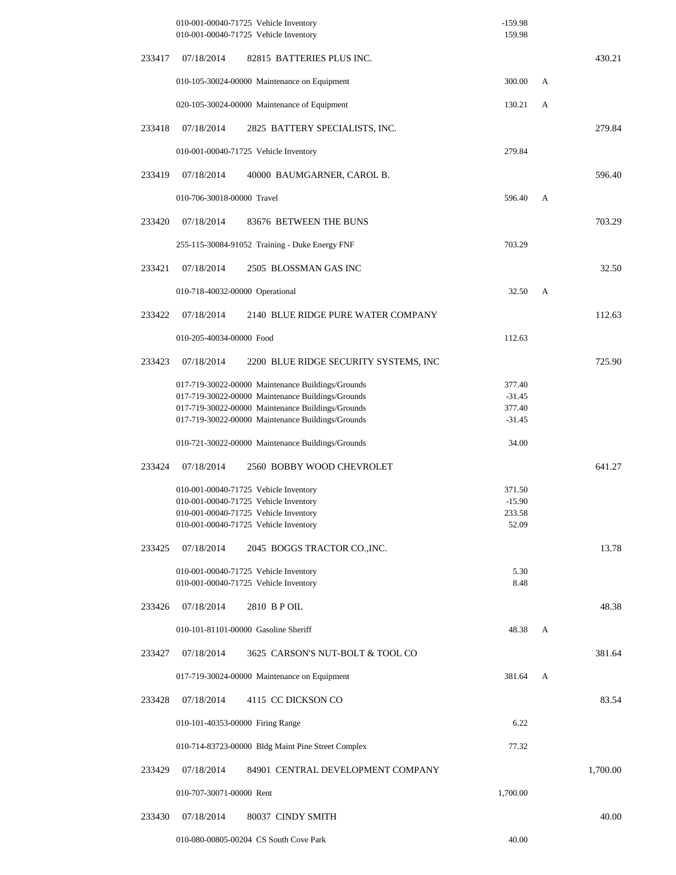|        |                                  | 010-001-00040-71725 Vehicle Inventory<br>010-001-00040-71725 Vehicle Inventory                         | $-159.98$<br>159.98 |   |          |
|--------|----------------------------------|--------------------------------------------------------------------------------------------------------|---------------------|---|----------|
| 233417 | 07/18/2014                       | 82815 BATTERIES PLUS INC.                                                                              |                     |   | 430.21   |
|        |                                  | 010-105-30024-00000 Maintenance on Equipment                                                           | 300.00              | A |          |
|        |                                  | 020-105-30024-00000 Maintenance of Equipment                                                           | 130.21              | А |          |
| 233418 | 07/18/2014                       | 2825 BATTERY SPECIALISTS, INC.                                                                         |                     |   | 279.84   |
|        |                                  | 010-001-00040-71725 Vehicle Inventory                                                                  | 279.84              |   |          |
| 233419 | 07/18/2014                       | 40000 BAUMGARNER, CAROL B.                                                                             |                     |   | 596.40   |
|        | 010-706-30018-00000 Travel       |                                                                                                        | 596.40              | A |          |
| 233420 | 07/18/2014                       | 83676 BETWEEN THE BUNS                                                                                 |                     |   | 703.29   |
|        |                                  | 255-115-30084-91052 Training - Duke Energy FNF                                                         | 703.29              |   |          |
| 233421 | 07/18/2014                       | 2505 BLOSSMAN GAS INC                                                                                  |                     |   | 32.50    |
|        | 010-718-40032-00000 Operational  |                                                                                                        | 32.50               | A |          |
| 233422 | 07/18/2014                       | 2140 BLUE RIDGE PURE WATER COMPANY                                                                     |                     |   | 112.63   |
|        | 010-205-40034-00000 Food         |                                                                                                        | 112.63              |   |          |
| 233423 | 07/18/2014                       | 2200 BLUE RIDGE SECURITY SYSTEMS, INC                                                                  |                     |   | 725.90   |
|        |                                  | 017-719-30022-00000 Maintenance Buildings/Grounds                                                      | 377.40              |   |          |
|        |                                  | 017-719-30022-00000 Maintenance Buildings/Grounds<br>017-719-30022-00000 Maintenance Buildings/Grounds | $-31.45$<br>377.40  |   |          |
|        |                                  | 017-719-30022-00000 Maintenance Buildings/Grounds                                                      | $-31.45$            |   |          |
|        |                                  | 010-721-30022-00000 Maintenance Buildings/Grounds                                                      | 34.00               |   |          |
| 233424 | 07/18/2014                       | 2560 BOBBY WOOD CHEVROLET                                                                              |                     |   | 641.27   |
|        |                                  | 010-001-00040-71725 Vehicle Inventory                                                                  | 371.50              |   |          |
|        |                                  | 010-001-00040-71725 Vehicle Inventory                                                                  | $-15.90$            |   |          |
|        |                                  | 010-001-00040-71725 Vehicle Inventory<br>010-001-00040-71725 Vehicle Inventory                         | 233.58<br>52.09     |   |          |
| 233425 | 07/18/2014                       | 2045 BOGGS TRACTOR CO., INC.                                                                           |                     |   | 13.78    |
|        |                                  | 010-001-00040-71725 Vehicle Inventory                                                                  | 5.30                |   |          |
|        |                                  | 010-001-00040-71725 Vehicle Inventory                                                                  | 8.48                |   |          |
| 233426 | 07/18/2014                       | 2810 B P OIL                                                                                           |                     |   | 48.38    |
|        |                                  | 010-101-81101-00000 Gasoline Sheriff                                                                   | 48.38               | А |          |
| 233427 | 07/18/2014                       | 3625 CARSON'S NUT-BOLT & TOOL CO                                                                       |                     |   | 381.64   |
|        |                                  | 017-719-30024-00000 Maintenance on Equipment                                                           | 381.64              | A |          |
| 233428 | 07/18/2014                       | 4115 CC DICKSON CO                                                                                     |                     |   | 83.54    |
|        | 010-101-40353-00000 Firing Range |                                                                                                        | 6.22                |   |          |
|        |                                  | 010-714-83723-00000 Bldg Maint Pine Street Complex                                                     | 77.32               |   |          |
| 233429 | 07/18/2014                       | 84901 CENTRAL DEVELOPMENT COMPANY                                                                      |                     |   | 1,700.00 |
|        | 010-707-30071-00000 Rent         |                                                                                                        | 1,700.00            |   |          |
| 233430 | 07/18/2014                       | 80037 CINDY SMITH                                                                                      |                     |   | 40.00    |
|        |                                  | 010-080-00805-00204 CS South Cove Park                                                                 | 40.00               |   |          |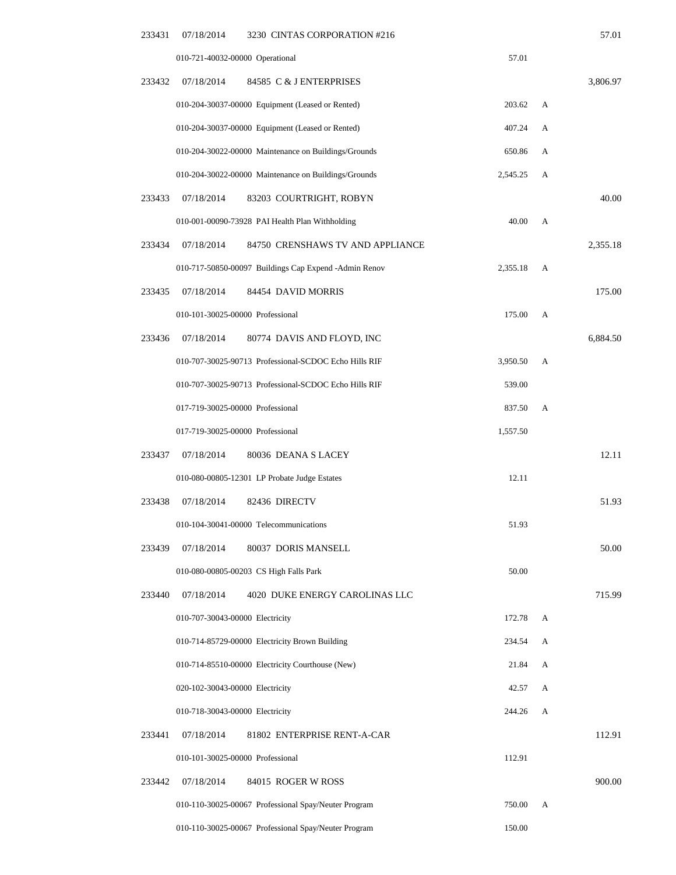| 233431 | 07/18/2014                       | 3230 CINTAS CORPORATION #216                          |          |   | 57.01    |
|--------|----------------------------------|-------------------------------------------------------|----------|---|----------|
|        | 010-721-40032-00000 Operational  |                                                       | 57.01    |   |          |
| 233432 | 07/18/2014                       | 84585 C & J ENTERPRISES                               |          |   | 3,806.97 |
|        |                                  | 010-204-30037-00000 Equipment (Leased or Rented)      | 203.62   | A |          |
|        |                                  | 010-204-30037-00000 Equipment (Leased or Rented)      | 407.24   | А |          |
|        |                                  | 010-204-30022-00000 Maintenance on Buildings/Grounds  | 650.86   | А |          |
|        |                                  | 010-204-30022-00000 Maintenance on Buildings/Grounds  | 2,545.25 | A |          |
| 233433 | 07/18/2014                       | 83203 COURTRIGHT, ROBYN                               |          |   | 40.00    |
|        |                                  | 010-001-00090-73928 PAI Health Plan Withholding       | 40.00    | A |          |
| 233434 | 07/18/2014                       | 84750 CRENSHAWS TV AND APPLIANCE                      |          |   | 2,355.18 |
|        |                                  | 010-717-50850-00097 Buildings Cap Expend -Admin Renov | 2,355.18 | A |          |
| 233435 | 07/18/2014                       | 84454 DAVID MORRIS                                    |          |   | 175.00   |
|        | 010-101-30025-00000 Professional |                                                       | 175.00   | А |          |
| 233436 | 07/18/2014                       | 80774 DAVIS AND FLOYD, INC                            |          |   | 6,884.50 |
|        |                                  | 010-707-30025-90713 Professional-SCDOC Echo Hills RIF | 3,950.50 | А |          |
|        |                                  | 010-707-30025-90713 Professional-SCDOC Echo Hills RIF | 539.00   |   |          |
|        | 017-719-30025-00000 Professional |                                                       | 837.50   | А |          |
|        | 017-719-30025-00000 Professional |                                                       | 1,557.50 |   |          |
| 233437 | 07/18/2014                       | 80036 DEANA S LACEY                                   |          |   | 12.11    |
|        |                                  | 010-080-00805-12301 LP Probate Judge Estates          | 12.11    |   |          |
| 233438 | 07/18/2014                       | 82436 DIRECTV                                         |          |   | 51.93    |
|        |                                  | 010-104-30041-00000 Telecommunications                | 51.93    |   |          |
| 233439 | 07/18/2014                       | 80037 DORIS MANSELL                                   |          |   | 50.00    |
|        |                                  | 010-080-00805-00203 CS High Falls Park                | 50.00    |   |          |
| 233440 | 07/18/2014                       | 4020 DUKE ENERGY CAROLINAS LLC                        |          |   | 715.99   |
|        | 010-707-30043-00000 Electricity  |                                                       | 172.78   | А |          |
|        |                                  | 010-714-85729-00000 Electricity Brown Building        | 234.54   | А |          |
|        |                                  | 010-714-85510-00000 Electricity Courthouse (New)      | 21.84    | A |          |
|        | 020-102-30043-00000 Electricity  |                                                       | 42.57    | А |          |
|        | 010-718-30043-00000 Electricity  |                                                       | 244.26   | А |          |
| 233441 | 07/18/2014                       | 81802 ENTERPRISE RENT-A-CAR                           |          |   | 112.91   |
|        | 010-101-30025-00000 Professional |                                                       | 112.91   |   |          |
| 233442 | 07/18/2014                       | 84015 ROGER W ROSS                                    |          |   | 900.00   |
|        |                                  | 010-110-30025-00067 Professional Spay/Neuter Program  | 750.00   | А |          |
|        |                                  | 010-110-30025-00067 Professional Spay/Neuter Program  | 150.00   |   |          |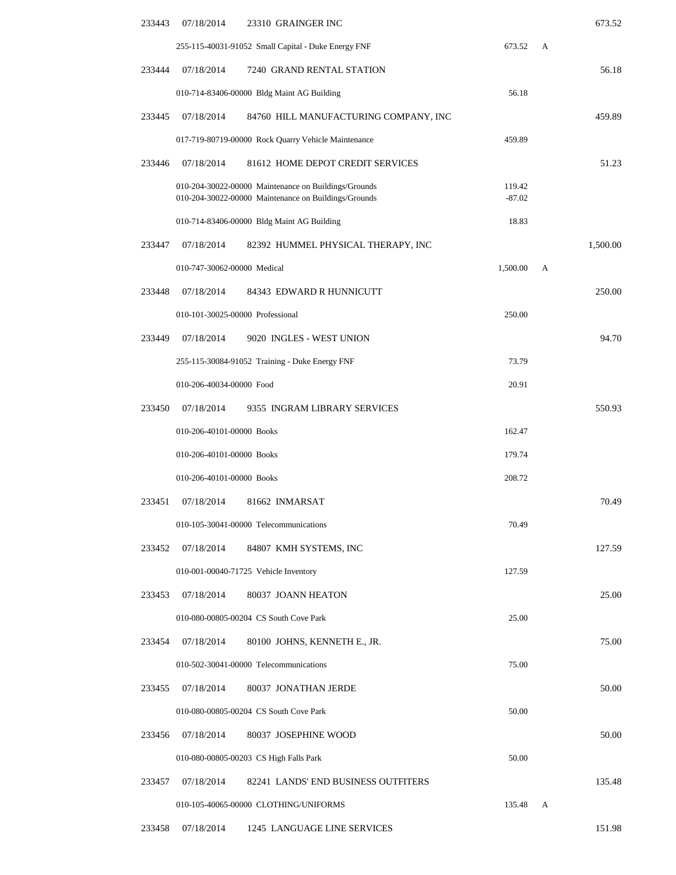| 233443 | 07/18/2014                       | 23310 GRAINGER INC                                                                                           |                    |   | 673.52   |
|--------|----------------------------------|--------------------------------------------------------------------------------------------------------------|--------------------|---|----------|
|        |                                  | 255-115-40031-91052 Small Capital - Duke Energy FNF                                                          | 673.52             | A |          |
| 233444 | 07/18/2014                       | 7240 GRAND RENTAL STATION                                                                                    |                    |   | 56.18    |
|        |                                  | 010-714-83406-00000 Bldg Maint AG Building                                                                   | 56.18              |   |          |
| 233445 | 07/18/2014                       | 84760 HILL MANUFACTURING COMPANY, INC                                                                        |                    |   | 459.89   |
|        |                                  | 017-719-80719-00000 Rock Quarry Vehicle Maintenance                                                          | 459.89             |   |          |
| 233446 | 07/18/2014                       | 81612 HOME DEPOT CREDIT SERVICES                                                                             |                    |   | 51.23    |
|        |                                  | 010-204-30022-00000 Maintenance on Buildings/Grounds<br>010-204-30022-00000 Maintenance on Buildings/Grounds | 119.42<br>$-87.02$ |   |          |
|        |                                  | 010-714-83406-00000 Bldg Maint AG Building                                                                   | 18.83              |   |          |
| 233447 | 07/18/2014                       | 82392 HUMMEL PHYSICAL THERAPY, INC                                                                           |                    |   | 1,500.00 |
|        | 010-747-30062-00000 Medical      |                                                                                                              | 1,500.00           | A |          |
| 233448 | 07/18/2014                       | 84343 EDWARD R HUNNICUTT                                                                                     |                    |   | 250.00   |
|        | 010-101-30025-00000 Professional |                                                                                                              | 250.00             |   |          |
| 233449 | 07/18/2014                       | 9020 INGLES - WEST UNION                                                                                     |                    |   | 94.70    |
|        |                                  | 255-115-30084-91052 Training - Duke Energy FNF                                                               | 73.79              |   |          |
|        | 010-206-40034-00000 Food         |                                                                                                              | 20.91              |   |          |
| 233450 | 07/18/2014                       | 9355 INGRAM LIBRARY SERVICES                                                                                 |                    |   | 550.93   |
|        | 010-206-40101-00000 Books        |                                                                                                              | 162.47             |   |          |
|        | 010-206-40101-00000 Books        |                                                                                                              | 179.74             |   |          |
|        | 010-206-40101-00000 Books        |                                                                                                              | 208.72             |   |          |
| 233451 | 07/18/2014                       | 81662 INMARSAT                                                                                               |                    |   | 70.49    |
|        |                                  | 010-105-30041-00000 Telecommunications                                                                       | 70.49              |   |          |
| 233452 | 07/18/2014                       | 84807 KMH SYSTEMS, INC                                                                                       |                    |   | 127.59   |
|        |                                  | 010-001-00040-71725 Vehicle Inventory                                                                        | 127.59             |   |          |
| 233453 | 07/18/2014                       | 80037 JOANN HEATON                                                                                           |                    |   | 25.00    |
|        |                                  | 010-080-00805-00204 CS South Cove Park                                                                       | 25.00              |   |          |
| 233454 | 07/18/2014                       | 80100 JOHNS, KENNETH E., JR.                                                                                 |                    |   | 75.00    |
|        |                                  | 010-502-30041-00000 Telecommunications                                                                       | 75.00              |   |          |
| 233455 | 07/18/2014                       | 80037 JONATHAN JERDE                                                                                         |                    |   | 50.00    |
|        |                                  | 010-080-00805-00204 CS South Cove Park                                                                       | 50.00              |   |          |
| 233456 | 07/18/2014                       | 80037 JOSEPHINE WOOD                                                                                         |                    |   | 50.00    |
|        |                                  | 010-080-00805-00203 CS High Falls Park                                                                       | 50.00              |   |          |
| 233457 | 07/18/2014                       | 82241 LANDS' END BUSINESS OUTFITERS                                                                          |                    |   | 135.48   |
|        |                                  | 010-105-40065-00000 CLOTHING/UNIFORMS                                                                        | 135.48             | A |          |
| 233458 | 07/18/2014                       | 1245 LANGUAGE LINE SERVICES                                                                                  |                    |   | 151.98   |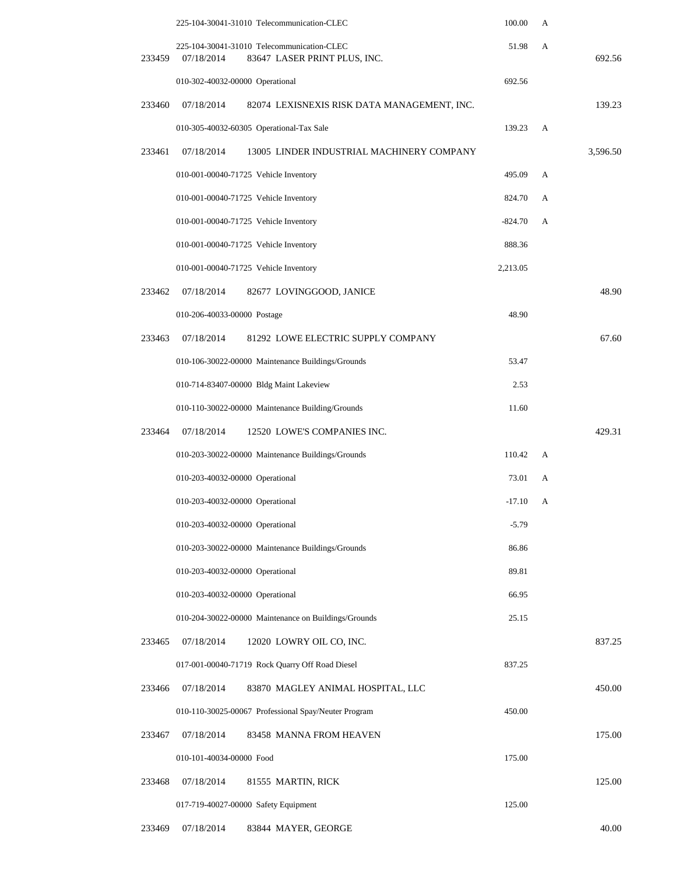|        | 225-104-30041-31010 Telecommunication-CLEC                                               | 100.00    | А |          |
|--------|------------------------------------------------------------------------------------------|-----------|---|----------|
| 233459 | 225-104-30041-31010 Telecommunication-CLEC<br>07/18/2014<br>83647 LASER PRINT PLUS, INC. | 51.98     | A | 692.56   |
|        | 010-302-40032-00000 Operational                                                          | 692.56    |   |          |
| 233460 | 07/18/2014<br>82074 LEXISNEXIS RISK DATA MANAGEMENT, INC.                                |           |   | 139.23   |
|        | 010-305-40032-60305 Operational-Tax Sale                                                 | 139.23    | A |          |
| 233461 | 07/18/2014<br>13005 LINDER INDUSTRIAL MACHINERY COMPANY                                  |           |   | 3,596.50 |
|        | 010-001-00040-71725 Vehicle Inventory                                                    | 495.09    | A |          |
|        | 010-001-00040-71725 Vehicle Inventory                                                    | 824.70    | А |          |
|        | 010-001-00040-71725 Vehicle Inventory                                                    | $-824.70$ | A |          |
|        | 010-001-00040-71725 Vehicle Inventory                                                    | 888.36    |   |          |
|        | 010-001-00040-71725 Vehicle Inventory                                                    | 2,213.05  |   |          |
| 233462 | 07/18/2014<br>82677 LOVINGGOOD, JANICE                                                   |           |   | 48.90    |
|        | 010-206-40033-00000 Postage                                                              | 48.90     |   |          |
| 233463 | 07/18/2014<br>81292 LOWE ELECTRIC SUPPLY COMPANY                                         |           |   | 67.60    |
|        | 010-106-30022-00000 Maintenance Buildings/Grounds                                        | 53.47     |   |          |
|        | 010-714-83407-00000 Bldg Maint Lakeview                                                  | 2.53      |   |          |
|        | 010-110-30022-00000 Maintenance Building/Grounds                                         | 11.60     |   |          |
| 233464 | 07/18/2014<br>12520 LOWE'S COMPANIES INC.                                                |           |   | 429.31   |
|        | 010-203-30022-00000 Maintenance Buildings/Grounds                                        | 110.42    | A |          |
|        | 010-203-40032-00000 Operational                                                          | 73.01     | A |          |
|        | 010-203-40032-00000 Operational                                                          | $-17.10$  | А |          |
|        | 010-203-40032-00000 Operational                                                          | $-5.79$   |   |          |
|        | 010-203-30022-00000 Maintenance Buildings/Grounds                                        | 86.86     |   |          |
|        | 010-203-40032-00000 Operational                                                          | 89.81     |   |          |
|        | 010-203-40032-00000 Operational                                                          | 66.95     |   |          |
|        | 010-204-30022-00000 Maintenance on Buildings/Grounds                                     | 25.15     |   |          |
| 233465 | 07/18/2014<br>12020 LOWRY OIL CO, INC.                                                   |           |   | 837.25   |
|        | 017-001-00040-71719 Rock Quarry Off Road Diesel                                          | 837.25    |   |          |
| 233466 | 07/18/2014<br>83870 MAGLEY ANIMAL HOSPITAL, LLC                                          |           |   | 450.00   |
|        | 010-110-30025-00067 Professional Spay/Neuter Program                                     | 450.00    |   |          |
| 233467 | 07/18/2014<br>83458 MANNA FROM HEAVEN                                                    |           |   | 175.00   |
|        | 010-101-40034-00000 Food                                                                 | 175.00    |   |          |
| 233468 | 07/18/2014<br>81555 MARTIN, RICK                                                         |           |   | 125.00   |
|        | 017-719-40027-00000 Safety Equipment                                                     | 125.00    |   |          |
| 233469 | 07/18/2014<br>83844 MAYER, GEORGE                                                        |           |   | 40.00    |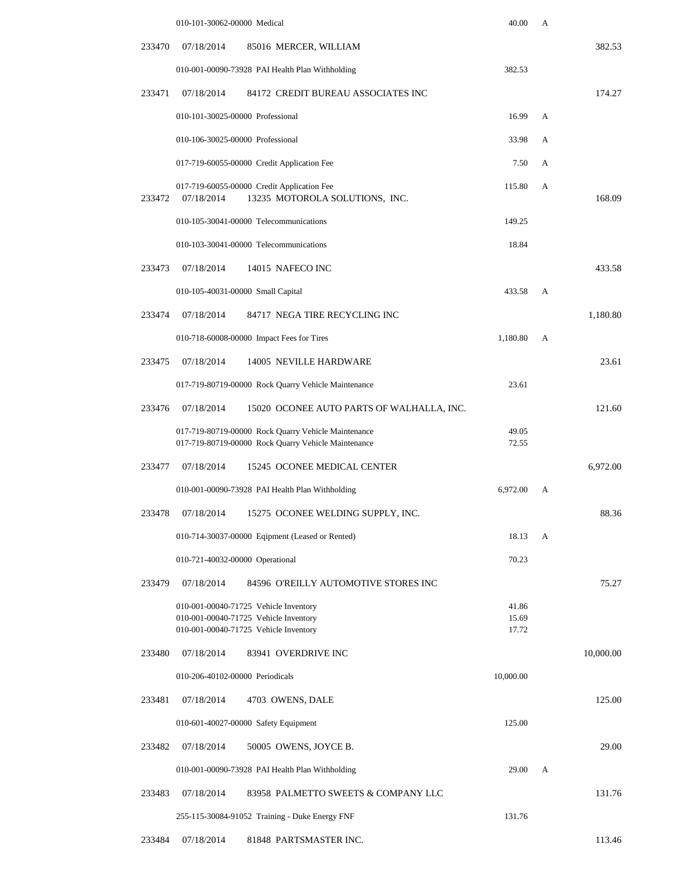|        | 010-101-30062-00000 Medical       |                                                                                                                         | 40.00                   | А |           |
|--------|-----------------------------------|-------------------------------------------------------------------------------------------------------------------------|-------------------------|---|-----------|
| 233470 | 07/18/2014                        | 85016 MERCER, WILLIAM                                                                                                   |                         |   | 382.53    |
|        |                                   | 010-001-00090-73928 PAI Health Plan Withholding                                                                         | 382.53                  |   |           |
| 233471 | 07/18/2014                        | 84172 CREDIT BUREAU ASSOCIATES INC                                                                                      |                         |   | 174.27    |
|        | 010-101-30025-00000 Professional  |                                                                                                                         | 16.99                   | A |           |
|        | 010-106-30025-00000 Professional  |                                                                                                                         | 33.98                   | А |           |
|        |                                   | 017-719-60055-00000 Credit Application Fee                                                                              | 7.50                    | A |           |
| 233472 | 07/18/2014                        | 017-719-60055-00000 Credit Application Fee<br>13235 MOTOROLA SOLUTIONS, INC.                                            | 115.80                  | А | 168.09    |
|        |                                   | 010-105-30041-00000 Telecommunications                                                                                  | 149.25                  |   |           |
|        |                                   | 010-103-30041-00000 Telecommunications                                                                                  | 18.84                   |   |           |
| 233473 | 07/18/2014                        | 14015 NAFECO INC                                                                                                        |                         |   | 433.58    |
|        | 010-105-40031-00000 Small Capital |                                                                                                                         | 433.58                  | А |           |
| 233474 | 07/18/2014                        | 84717 NEGA TIRE RECYCLING INC                                                                                           |                         |   | 1,180.80  |
|        |                                   | 010-718-60008-00000 Impact Fees for Tires                                                                               | 1,180.80                | А |           |
| 233475 | 07/18/2014                        | 14005 NEVILLE HARDWARE                                                                                                  |                         |   | 23.61     |
|        |                                   | 017-719-80719-00000 Rock Quarry Vehicle Maintenance                                                                     | 23.61                   |   |           |
| 233476 | 07/18/2014                        | 15020 OCONEE AUTO PARTS OF WALHALLA, INC.                                                                               |                         |   | 121.60    |
|        |                                   | 017-719-80719-00000 Rock Quarry Vehicle Maintenance<br>017-719-80719-00000 Rock Quarry Vehicle Maintenance              | 49.05<br>72.55          |   |           |
| 233477 | 07/18/2014                        | 15245 OCONEE MEDICAL CENTER                                                                                             |                         |   | 6,972.00  |
|        |                                   | 010-001-00090-73928 PAI Health Plan Withholding                                                                         | 6,972.00                | А |           |
| 233478 | 07/18/2014                        | 15275 OCONEE WELDING SUPPLY, INC.                                                                                       |                         |   | 88.36     |
|        |                                   | 010-714-30037-00000 Eqipment (Leased or Rented)                                                                         | 18.13                   | A |           |
|        | 010-721-40032-00000 Operational   |                                                                                                                         | 70.23                   |   |           |
| 233479 | 07/18/2014                        | 84596 O'REILLY AUTOMOTIVE STORES INC                                                                                    |                         |   | 75.27     |
|        |                                   | 010-001-00040-71725 Vehicle Inventory<br>010-001-00040-71725 Vehicle Inventory<br>010-001-00040-71725 Vehicle Inventory | 41.86<br>15.69<br>17.72 |   |           |
| 233480 | 07/18/2014                        | 83941 OVERDRIVE INC                                                                                                     |                         |   | 10,000.00 |
|        | 010-206-40102-00000 Periodicals   |                                                                                                                         | 10,000.00               |   |           |
| 233481 | 07/18/2014                        | 4703 OWENS, DALE                                                                                                        |                         |   | 125.00    |
|        |                                   | 010-601-40027-00000 Safety Equipment                                                                                    | 125.00                  |   |           |
| 233482 | 07/18/2014                        | 50005 OWENS, JOYCE B.                                                                                                   |                         |   | 29.00     |
|        |                                   | 010-001-00090-73928 PAI Health Plan Withholding                                                                         | 29.00                   | А |           |
| 233483 | 07/18/2014                        | 83958 PALMETTO SWEETS & COMPANY LLC                                                                                     |                         |   | 131.76    |
|        |                                   | 255-115-30084-91052 Training - Duke Energy FNF                                                                          | 131.76                  |   |           |
| 233484 | 07/18/2014                        | 81848 PARTSMASTER INC.                                                                                                  |                         |   | 113.46    |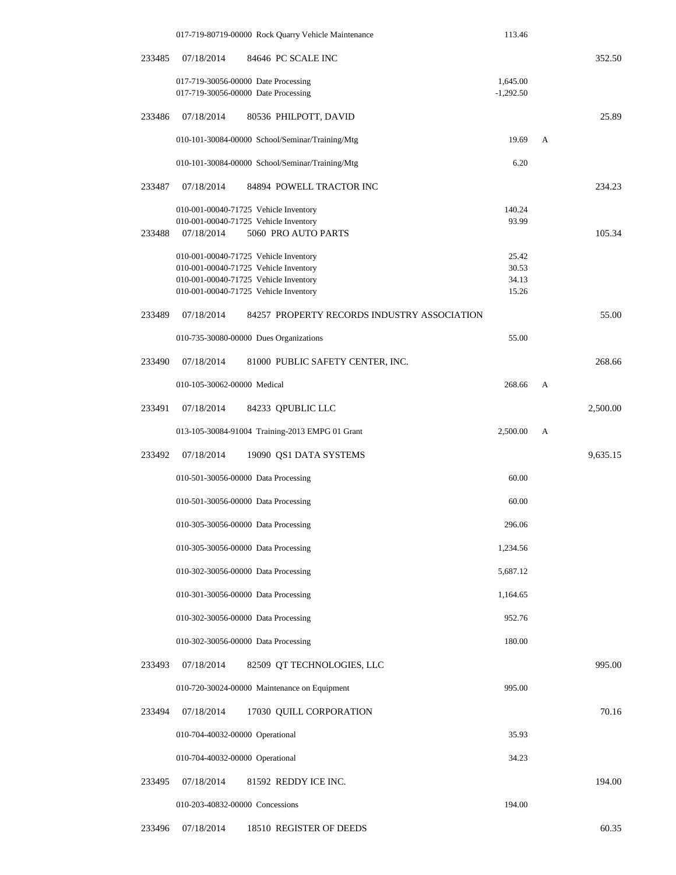|        | 017-719-80719-00000 Rock Quarry Vehicle Maintenance       | 113.46      |   |          |
|--------|-----------------------------------------------------------|-------------|---|----------|
| 233485 | 07/18/2014<br>84646 PC SCALE INC                          |             |   | 352.50   |
|        | 017-719-30056-00000 Date Processing                       | 1,645.00    |   |          |
|        | 017-719-30056-00000 Date Processing                       | $-1,292.50$ |   |          |
| 233486 | 07/18/2014<br>80536 PHILPOTT, DAVID                       |             |   | 25.89    |
|        | 010-101-30084-00000 School/Seminar/Training/Mtg           | 19.69       | A |          |
|        | 010-101-30084-00000 School/Seminar/Training/Mtg           | 6.20        |   |          |
| 233487 | 07/18/2014<br>84894 POWELL TRACTOR INC                    |             |   | 234.23   |
|        | 010-001-00040-71725 Vehicle Inventory                     | 140.24      |   |          |
|        | 010-001-00040-71725 Vehicle Inventory                     | 93.99       |   |          |
| 233488 | 07/18/2014<br>5060 PRO AUTO PARTS                         |             |   | 105.34   |
|        | 010-001-00040-71725 Vehicle Inventory                     | 25.42       |   |          |
|        | 010-001-00040-71725 Vehicle Inventory                     | 30.53       |   |          |
|        | 010-001-00040-71725 Vehicle Inventory                     | 34.13       |   |          |
|        | 010-001-00040-71725 Vehicle Inventory                     | 15.26       |   |          |
| 233489 | 07/18/2014<br>84257 PROPERTY RECORDS INDUSTRY ASSOCIATION |             |   | 55.00    |
|        | 010-735-30080-00000 Dues Organizations                    | 55.00       |   |          |
| 233490 | 07/18/2014<br>81000 PUBLIC SAFETY CENTER, INC.            |             |   | 268.66   |
|        | 010-105-30062-00000 Medical                               | 268.66      | A |          |
| 233491 | 07/18/2014<br>84233 QPUBLIC LLC                           |             |   | 2,500.00 |
|        | 013-105-30084-91004 Training-2013 EMPG 01 Grant           | 2,500.00    | A |          |
| 233492 | 07/18/2014<br>19090 QS1 DATA SYSTEMS                      |             |   | 9,635.15 |
|        | 010-501-30056-00000 Data Processing                       | 60.00       |   |          |
|        | 010-501-30056-00000 Data Processing                       | 60.00       |   |          |
|        | 010-305-30056-00000 Data Processing                       | 296.06      |   |          |
|        | 010-305-30056-00000 Data Processing                       | 1,234.56    |   |          |
|        | 010-302-30056-00000 Data Processing                       | 5,687.12    |   |          |
|        | 010-301-30056-00000 Data Processing                       | 1,164.65    |   |          |
|        | 010-302-30056-00000 Data Processing                       | 952.76      |   |          |
|        | 010-302-30056-00000 Data Processing                       | 180.00      |   |          |
| 233493 | 07/18/2014<br>82509 QT TECHNOLOGIES, LLC                  |             |   | 995.00   |
|        | 010-720-30024-00000 Maintenance on Equipment              | 995.00      |   |          |
| 233494 | 07/18/2014<br>17030 QUILL CORPORATION                     |             |   | 70.16    |
|        | 010-704-40032-00000 Operational                           | 35.93       |   |          |
|        | 010-704-40032-00000 Operational                           | 34.23       |   |          |
| 233495 | 07/18/2014<br>81592 REDDY ICE INC.                        |             |   | 194.00   |
|        | 010-203-40832-00000 Concessions                           | 194.00      |   |          |
| 233496 | 07/18/2014<br>18510 REGISTER OF DEEDS                     |             |   | 60.35    |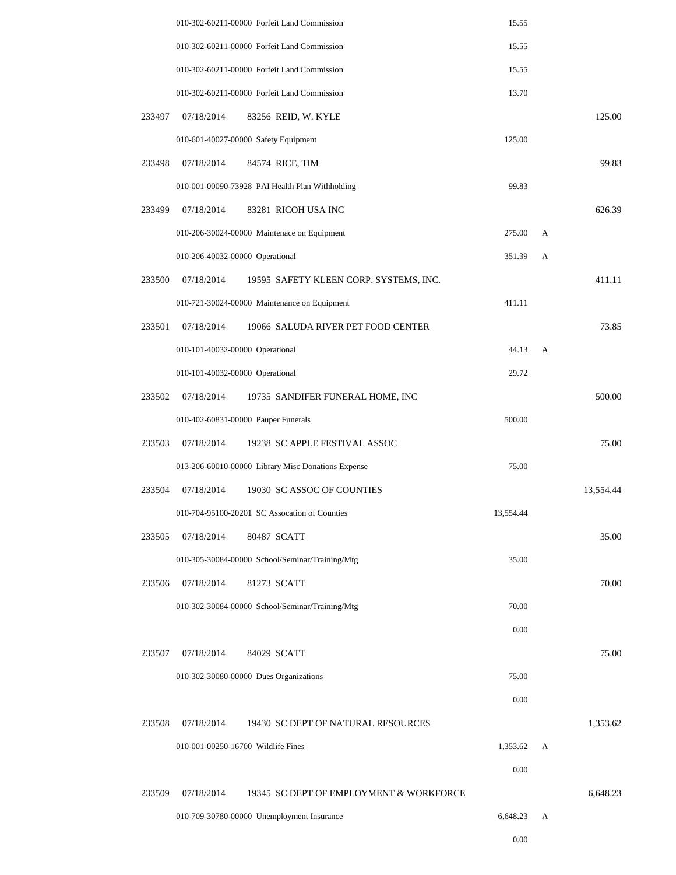|        |                                    | 010-302-60211-00000 Forfeit Land Commission        | 15.55     |   |           |
|--------|------------------------------------|----------------------------------------------------|-----------|---|-----------|
|        |                                    | 010-302-60211-00000 Forfeit Land Commission        | 15.55     |   |           |
|        |                                    | 010-302-60211-00000 Forfeit Land Commission        | 15.55     |   |           |
|        |                                    | 010-302-60211-00000 Forfeit Land Commission        | 13.70     |   |           |
| 233497 | 07/18/2014                         | 83256 REID, W. KYLE                                |           |   | 125.00    |
|        |                                    | 010-601-40027-00000 Safety Equipment               | 125.00    |   |           |
| 233498 | 07/18/2014                         | 84574 RICE, TIM                                    |           |   | 99.83     |
|        |                                    | 010-001-00090-73928 PAI Health Plan Withholding    | 99.83     |   |           |
| 233499 | 07/18/2014                         | 83281 RICOH USA INC                                |           |   | 626.39    |
|        |                                    | 010-206-30024-00000 Maintenace on Equipment        | 275.00    | A |           |
|        | 010-206-40032-00000 Operational    |                                                    | 351.39    | А |           |
| 233500 | 07/18/2014                         | 19595 SAFETY KLEEN CORP. SYSTEMS, INC.             |           |   | 411.11    |
|        |                                    | 010-721-30024-00000 Maintenance on Equipment       | 411.11    |   |           |
| 233501 | 07/18/2014                         | 19066 SALUDA RIVER PET FOOD CENTER                 |           |   | 73.85     |
|        | 010-101-40032-00000 Operational    |                                                    | 44.13     | А |           |
|        | 010-101-40032-00000 Operational    |                                                    | 29.72     |   |           |
| 233502 | 07/18/2014                         | 19735 SANDIFER FUNERAL HOME, INC                   |           |   | 500.00    |
|        |                                    | 010-402-60831-00000 Pauper Funerals                | 500.00    |   |           |
| 233503 | 07/18/2014                         | 19238 SC APPLE FESTIVAL ASSOC                      |           |   | 75.00     |
|        |                                    | 013-206-60010-00000 Library Misc Donations Expense | 75.00     |   |           |
| 233504 | 07/18/2014                         | 19030 SC ASSOC OF COUNTIES                         |           |   | 13,554.44 |
|        |                                    | 010-704-95100-20201 SC Assocation of Counties      | 13,554.44 |   |           |
| 233505 | 07/18/2014                         | 80487 SCATT                                        |           |   | 35.00     |
|        |                                    | 010-305-30084-00000 School/Seminar/Training/Mtg    | 35.00     |   |           |
| 233506 | 07/18/2014                         | 81273 SCATT                                        |           |   | 70.00     |
|        |                                    | 010-302-30084-00000 School/Seminar/Training/Mtg    | 70.00     |   |           |
|        |                                    |                                                    | 0.00      |   |           |
| 233507 | 07/18/2014                         | 84029 SCATT                                        |           |   | 75.00     |
|        |                                    | 010-302-30080-00000 Dues Organizations             | 75.00     |   |           |
|        |                                    |                                                    | 0.00      |   |           |
| 233508 | 07/18/2014                         | 19430 SC DEPT OF NATURAL RESOURCES                 |           |   | 1,353.62  |
|        | 010-001-00250-16700 Wildlife Fines |                                                    | 1,353.62  | А |           |
|        |                                    |                                                    | 0.00      |   |           |
| 233509 | 07/18/2014                         | 19345 SC DEPT OF EMPLOYMENT & WORKFORCE            |           |   | 6,648.23  |
|        |                                    | 010-709-30780-00000 Unemployment Insurance         | 6,648.23  | А |           |
|        |                                    |                                                    | 0.00      |   |           |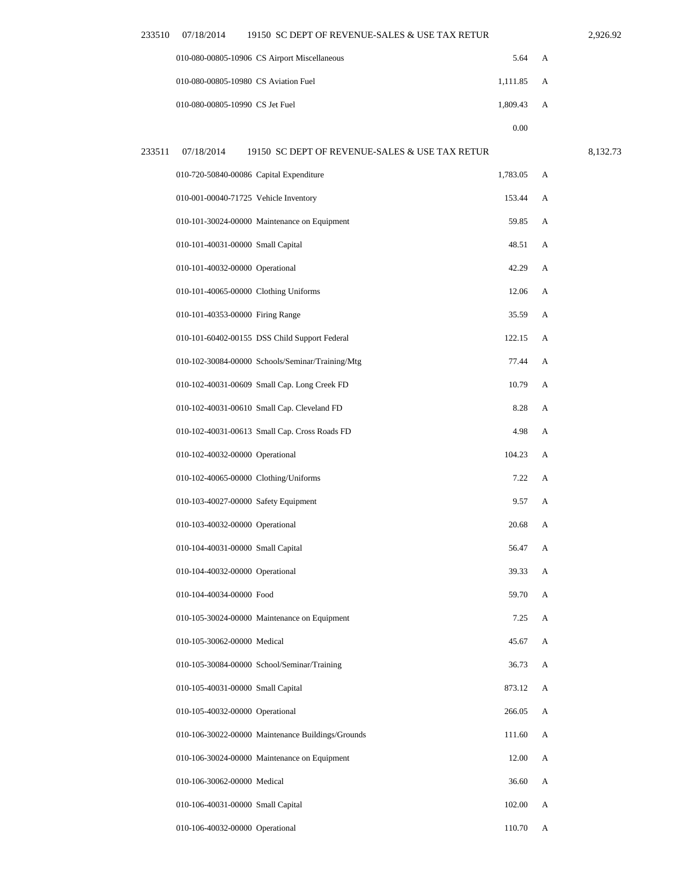| 233510 | 07/18/2014                      | 19150 SC DEPT OF REVENUE-SALES & USE TAX RETUR |            |   | 2.926.92 |
|--------|---------------------------------|------------------------------------------------|------------|---|----------|
|        |                                 | 010-080-00805-10906 CS Airport Miscellaneous   | 5.64       | A |          |
|        |                                 | 010-080-00805-10980 CS Aviation Fuel           | 1.111.85 A |   |          |
|        | 010-080-00805-10990 CS Jet Fuel |                                                | 1.809.43   | A |          |
|        |                                 |                                                | 0.00       |   |          |
| 233511 | 07/18/2014                      | 19150 SC DEPT OF REVENUE-SALES & USE TAX RETUR |            |   | 8.132.73 |

| 010-720-50840-00086 Capital Expenditure |                                                  | 1,783.05 | A            |
|-----------------------------------------|--------------------------------------------------|----------|--------------|
| 010-001-00040-71725 Vehicle Inventory   |                                                  | 153.44   | A            |
|                                         | 010-101-30024-00000 Maintenance on Equipment     | 59.85    | A            |
| 010-101-40031-00000 Small Capital       |                                                  | 48.51    | A            |
| 010-101-40032-00000 Operational         |                                                  | 42.29    | A            |
| 010-101-40065-00000 Clothing Uniforms   |                                                  | 12.06    | А            |
| 010-101-40353-00000 Firing Range        |                                                  | 35.59    | A            |
|                                         | 010-101-60402-00155 DSS Child Support Federal    | 122.15   | A            |
|                                         | 010-102-30084-00000 Schools/Seminar/Training/Mtg | 77.44    | А            |
|                                         | 010-102-40031-00609 Small Cap. Long Creek FD     | 10.79    | $\mathsf{A}$ |
|                                         | 010-102-40031-00610 Small Cap. Cleveland FD      | 8.28     | А            |
|                                         | 010-102-40031-00613 Small Cap. Cross Roads FD    | 4.98     | А            |
| 010-102-40032-00000 Operational         |                                                  | 104.23   | A            |
| 010-102-40065-00000 Clothing/Uniforms   |                                                  | 7.22     | A            |
| 010-103-40027-00000 Safety Equipment    |                                                  | 9.57     | А            |
| 010-103-40032-00000 Operational         |                                                  | 20.68    | A            |
| 010-104-40031-00000 Small Capital       |                                                  | 56.47    | A            |
| 010-104-40032-00000 Operational         |                                                  | 39.33    | A            |
| 010-104-40034-00000 Food                |                                                  | 59.70    | A            |
|                                         | 010-105-30024-00000 Maintenance on Equipment     | 7.25     | A            |
| 010-105-30062-00000 Medical             |                                                  | 45.67    | A            |
|                                         | 010-105-30084-00000 School/Seminar/Training      | 36.73    | A            |
| 010-105-40031-00000 Small Capital       |                                                  | 873.12   | A            |
| 010-105-40032-00000 Operational         |                                                  | 266.05   | А            |
|                                         |                                                  |          |              |

| 010-106-30022-00000 Maintenance Buildings/Grounds | 111.60 | $\mathsf{A}$ |
|---------------------------------------------------|--------|--------------|
| $010-106-30024-00000$ Maintenance on Equipment    | 12.00  | $\mathsf{A}$ |
| 010-106-30062-00000 Medical                       | 36.60  | A            |
| 010-106-40031-00000 Small Capital                 | 102.00 | A            |

110.70 A

010-106-40032-00000 Operational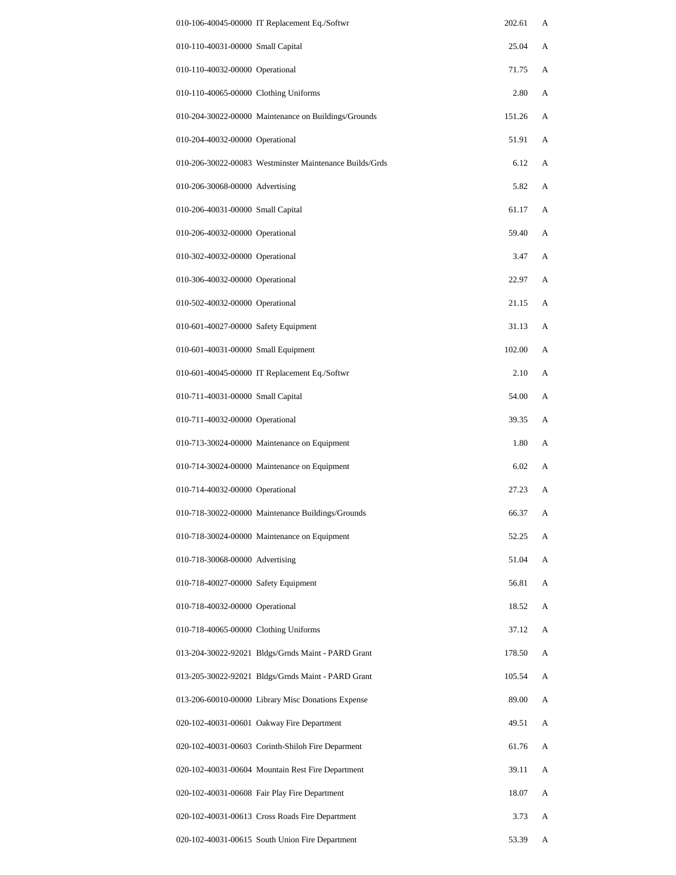| 010-106-40045-00000 IT Replacement Eq./Softwr           | 202.61 | А |
|---------------------------------------------------------|--------|---|
| 010-110-40031-00000 Small Capital                       | 25.04  | А |
| 010-110-40032-00000 Operational                         | 71.75  | A |
| 010-110-40065-00000 Clothing Uniforms                   | 2.80   | А |
| 010-204-30022-00000 Maintenance on Buildings/Grounds    | 151.26 | А |
| 010-204-40032-00000 Operational                         | 51.91  | А |
| 010-206-30022-00083 Westminster Maintenance Builds/Grds | 6.12   | А |
| 010-206-30068-00000 Advertising                         | 5.82   | А |
| 010-206-40031-00000 Small Capital                       | 61.17  | A |
| 010-206-40032-00000 Operational                         | 59.40  | А |
| 010-302-40032-00000 Operational                         | 3.47   | А |
| 010-306-40032-00000 Operational                         | 22.97  | А |
| 010-502-40032-00000 Operational                         | 21.15  | A |
| 010-601-40027-00000 Safety Equipment                    | 31.13  | А |
| 010-601-40031-00000 Small Equipment                     | 102.00 | А |
| 010-601-40045-00000 IT Replacement Eq./Softwr           | 2.10   | А |
| 010-711-40031-00000 Small Capital                       | 54.00  | A |
| 010-711-40032-00000 Operational                         | 39.35  | А |
| 010-713-30024-00000 Maintenance on Equipment            | 1.80   | A |
| 010-714-30024-00000 Maintenance on Equipment            | 6.02   | A |
| 010-714-40032-00000 Operational                         | 27.23  | А |
| 010-718-30022-00000 Maintenance Buildings/Grounds       | 66.37  | A |
| 010-718-30024-00000 Maintenance on Equipment            | 52.25  | А |
| 010-718-30068-00000 Advertising                         | 51.04  | А |
| 010-718-40027-00000 Safety Equipment                    | 56.81  | А |
| 010-718-40032-00000 Operational                         | 18.52  | А |
| 010-718-40065-00000 Clothing Uniforms                   | 37.12  | А |
| 013-204-30022-92021 Bldgs/Grnds Maint - PARD Grant      | 178.50 | А |
| 013-205-30022-92021 Bldgs/Grnds Maint - PARD Grant      | 105.54 | A |
| 013-206-60010-00000 Library Misc Donations Expense      | 89.00  | А |
| 020-102-40031-00601 Oakway Fire Department              | 49.51  | А |
| 020-102-40031-00603 Corinth-Shiloh Fire Deparment       | 61.76  | А |
| 020-102-40031-00604 Mountain Rest Fire Department       | 39.11  | А |
| 020-102-40031-00608 Fair Play Fire Department           | 18.07  | А |
| 020-102-40031-00613 Cross Roads Fire Department         | 3.73   | A |
| 020-102-40031-00615 South Union Fire Department         | 53.39  | A |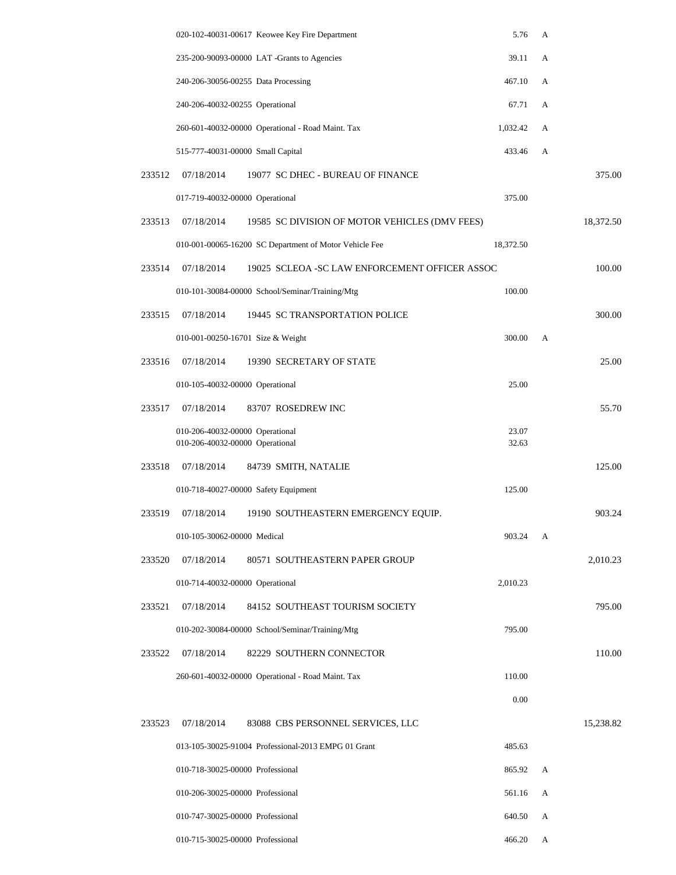|        |                                                                    | 020-102-40031-00617 Keowee Key Fire Department         | 5.76           | A |           |
|--------|--------------------------------------------------------------------|--------------------------------------------------------|----------------|---|-----------|
|        |                                                                    | 235-200-90093-00000 LAT -Grants to Agencies            | 39.11          | A |           |
|        | 240-206-30056-00255 Data Processing                                |                                                        | 467.10         | А |           |
|        | 240-206-40032-00255 Operational                                    |                                                        | 67.71          | А |           |
|        |                                                                    | 260-601-40032-00000 Operational - Road Maint. Tax      | 1,032.42       | А |           |
|        | 515-777-40031-00000 Small Capital                                  |                                                        | 433.46         | A |           |
| 233512 | 07/18/2014                                                         | 19077 SC DHEC - BUREAU OF FINANCE                      |                |   | 375.00    |
|        | 017-719-40032-00000 Operational                                    |                                                        | 375.00         |   |           |
| 233513 | 07/18/2014                                                         | 19585 SC DIVISION OF MOTOR VEHICLES (DMV FEES)         |                |   | 18,372.50 |
|        |                                                                    | 010-001-00065-16200 SC Department of Motor Vehicle Fee | 18,372.50      |   |           |
| 233514 | 07/18/2014                                                         | 19025 SCLEOA - SC LAW ENFORCEMENT OFFICER ASSOC        |                |   | 100.00    |
|        |                                                                    | 010-101-30084-00000 School/Seminar/Training/Mtg        | 100.00         |   |           |
| 233515 | 07/18/2014                                                         | 19445 SC TRANSPORTATION POLICE                         |                |   | 300.00    |
|        | 010-001-00250-16701 Size & Weight                                  |                                                        | 300.00         | A |           |
| 233516 | 07/18/2014                                                         | 19390 SECRETARY OF STATE                               |                |   | 25.00     |
|        | 010-105-40032-00000 Operational                                    |                                                        | 25.00          |   |           |
| 233517 | 07/18/2014                                                         | 83707 ROSEDREW INC                                     |                |   | 55.70     |
|        | 010-206-40032-00000 Operational<br>010-206-40032-00000 Operational |                                                        | 23.07<br>32.63 |   |           |
| 233518 | 07/18/2014                                                         | 84739 SMITH, NATALIE                                   |                |   | 125.00    |
|        |                                                                    | 010-718-40027-00000 Safety Equipment                   | 125.00         |   |           |
| 233519 | 07/18/2014                                                         | 19190 SOUTHEASTERN EMERGENCY EQUIP.                    |                |   | 903.24    |
|        | 010-105-30062-00000 Medical                                        |                                                        | 903.24         | А |           |
| 233520 | 07/18/2014                                                         | 80571 SOUTHEASTERN PAPER GROUP                         |                |   | 2,010.23  |
|        | 010-714-40032-00000 Operational                                    |                                                        | 2,010.23       |   |           |
| 233521 | 07/18/2014                                                         | 84152 SOUTHEAST TOURISM SOCIETY                        |                |   | 795.00    |
|        |                                                                    | 010-202-30084-00000 School/Seminar/Training/Mtg        | 795.00         |   |           |
| 233522 | 07/18/2014                                                         | 82229 SOUTHERN CONNECTOR                               |                |   | 110.00    |
|        |                                                                    | 260-601-40032-00000 Operational - Road Maint. Tax      | 110.00         |   |           |
|        |                                                                    |                                                        | 0.00           |   |           |
| 233523 | 07/18/2014                                                         | 83088 CBS PERSONNEL SERVICES, LLC                      |                |   | 15,238.82 |
|        |                                                                    | 013-105-30025-91004 Professional-2013 EMPG 01 Grant    | 485.63         |   |           |
|        | 010-718-30025-00000 Professional                                   |                                                        | 865.92         | A |           |
|        | 010-206-30025-00000 Professional                                   |                                                        | 561.16         | А |           |
|        | 010-747-30025-00000 Professional                                   |                                                        | 640.50         | А |           |
|        | 010-715-30025-00000 Professional                                   |                                                        | 466.20         | А |           |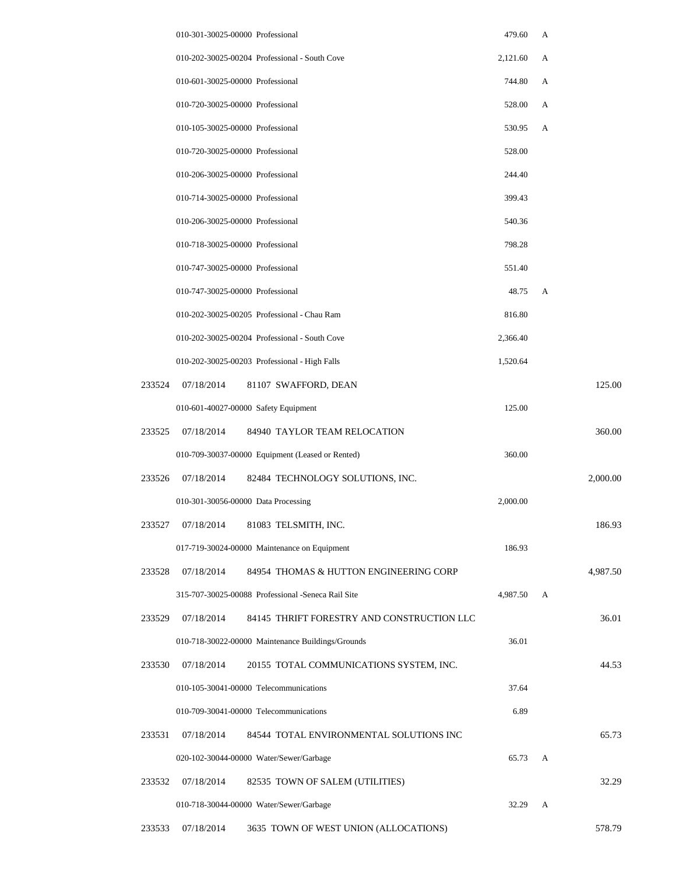|        | 010-301-30025-00000 Professional                         | 479.60   | А |          |
|--------|----------------------------------------------------------|----------|---|----------|
|        | 010-202-30025-00204 Professional - South Cove            | 2,121.60 | А |          |
|        | 010-601-30025-00000 Professional                         | 744.80   | A |          |
|        | 010-720-30025-00000 Professional                         | 528.00   | А |          |
|        | 010-105-30025-00000 Professional                         | 530.95   | А |          |
|        | 010-720-30025-00000 Professional                         | 528.00   |   |          |
|        | 010-206-30025-00000 Professional                         | 244.40   |   |          |
|        | 010-714-30025-00000 Professional                         | 399.43   |   |          |
|        | 010-206-30025-00000 Professional                         | 540.36   |   |          |
|        | 010-718-30025-00000 Professional                         | 798.28   |   |          |
|        | 010-747-30025-00000 Professional                         | 551.40   |   |          |
|        | 010-747-30025-00000 Professional                         | 48.75    | A |          |
|        | 010-202-30025-00205 Professional - Chau Ram              | 816.80   |   |          |
|        | 010-202-30025-00204 Professional - South Cove            | 2,366.40 |   |          |
|        | 010-202-30025-00203 Professional - High Falls            | 1,520.64 |   |          |
| 233524 | 07/18/2014<br>81107 SWAFFORD, DEAN                       |          |   | 125.00   |
|        | 010-601-40027-00000 Safety Equipment                     | 125.00   |   |          |
| 233525 | 07/18/2014<br>84940 TAYLOR TEAM RELOCATION               |          |   | 360.00   |
|        | 010-709-30037-00000 Equipment (Leased or Rented)         | 360.00   |   |          |
| 233526 | 07/18/2014<br>82484 TECHNOLOGY SOLUTIONS, INC.           |          |   | 2,000.00 |
|        | 010-301-30056-00000 Data Processing                      | 2,000.00 |   |          |
| 233527 | 07/18/2014<br>81083 TELSMITH, INC.                       |          |   | 186.93   |
|        | 017-719-30024-00000 Maintenance on Equipment             | 186.93   |   |          |
| 233528 | 07/18/2014<br>84954 THOMAS & HUTTON ENGINEERING CORP     |          |   | 4,987.50 |
|        | 315-707-30025-00088 Professional -Seneca Rail Site       | 4,987.50 | А |          |
| 233529 | 07/18/2014<br>84145 THRIFT FORESTRY AND CONSTRUCTION LLC |          |   | 36.01    |
|        | 010-718-30022-00000 Maintenance Buildings/Grounds        | 36.01    |   |          |
| 233530 | 07/18/2014<br>20155 TOTAL COMMUNICATIONS SYSTEM, INC.    |          |   | 44.53    |
|        | 010-105-30041-00000 Telecommunications                   | 37.64    |   |          |
|        | 010-709-30041-00000 Telecommunications                   | 6.89     |   |          |
| 233531 | 07/18/2014<br>84544 TOTAL ENVIRONMENTAL SOLUTIONS INC    |          |   | 65.73    |
|        | 020-102-30044-00000 Water/Sewer/Garbage                  | 65.73    | A |          |
| 233532 | 07/18/2014<br>82535 TOWN OF SALEM (UTILITIES)            |          |   | 32.29    |
|        | 010-718-30044-00000 Water/Sewer/Garbage                  | 32.29    | A |          |
| 233533 | 07/18/2014<br>3635 TOWN OF WEST UNION (ALLOCATIONS)      |          |   | 578.79   |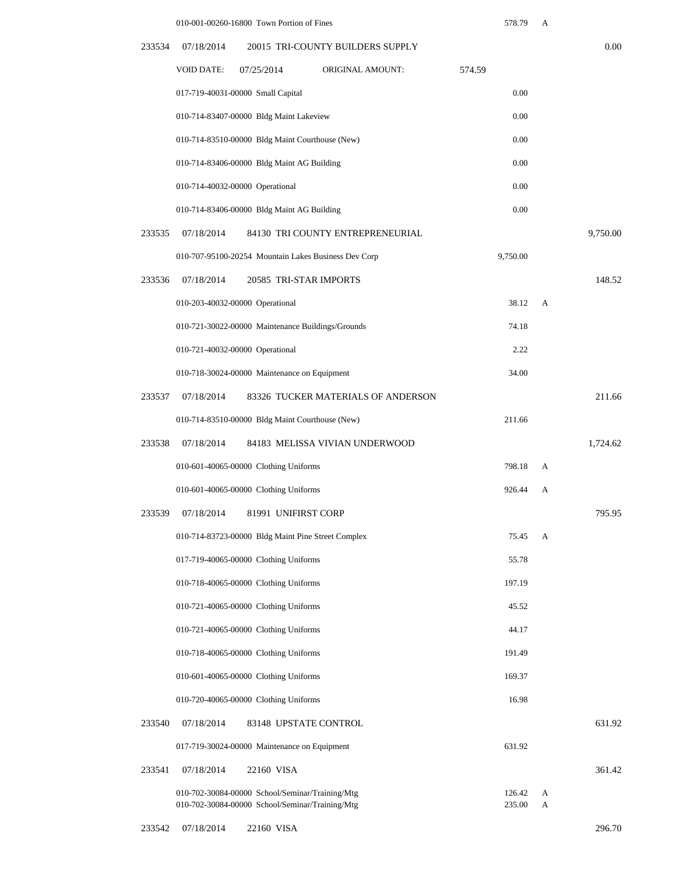|        | 010-001-00260-16800 Town Portion of Fines                                                          | 578.79           | А      |          |
|--------|----------------------------------------------------------------------------------------------------|------------------|--------|----------|
| 233534 | 20015 TRI-COUNTY BUILDERS SUPPLY<br>07/18/2014                                                     |                  |        | 0.00     |
|        | <b>VOID DATE:</b><br><b>ORIGINAL AMOUNT:</b><br>07/25/2014                                         | 574.59           |        |          |
|        | 017-719-40031-00000 Small Capital                                                                  | 0.00             |        |          |
|        | 010-714-83407-00000 Bldg Maint Lakeview                                                            | 0.00             |        |          |
|        | 010-714-83510-00000 Bldg Maint Courthouse (New)                                                    | 0.00             |        |          |
|        | 010-714-83406-00000 Bldg Maint AG Building                                                         | 0.00             |        |          |
|        | 010-714-40032-00000 Operational                                                                    | 0.00             |        |          |
|        | 010-714-83406-00000 Bldg Maint AG Building                                                         | 0.00             |        |          |
| 233535 | 07/18/2014<br>84130 TRI COUNTY ENTREPRENEURIAL                                                     |                  |        | 9,750.00 |
|        | 010-707-95100-20254 Mountain Lakes Business Dev Corp                                               | 9,750.00         |        |          |
| 233536 | 07/18/2014<br>20585 TRI-STAR IMPORTS                                                               |                  |        | 148.52   |
|        | 010-203-40032-00000 Operational                                                                    | 38.12            | A      |          |
|        | 010-721-30022-00000 Maintenance Buildings/Grounds                                                  | 74.18            |        |          |
|        | 010-721-40032-00000 Operational                                                                    | 2.22             |        |          |
|        | 010-718-30024-00000 Maintenance on Equipment                                                       | 34.00            |        |          |
| 233537 | 07/18/2014<br>83326 TUCKER MATERIALS OF ANDERSON                                                   |                  |        | 211.66   |
|        | 010-714-83510-00000 Bldg Maint Courthouse (New)                                                    | 211.66           |        |          |
| 233538 | 07/18/2014<br>84183 MELISSA VIVIAN UNDERWOOD                                                       |                  |        | 1.724.62 |
|        | 010-601-40065-00000 Clothing Uniforms                                                              | 798.18           | А      |          |
|        | 010-601-40065-00000 Clothing Uniforms                                                              | 926.44           | А      |          |
| 233539 | 07/18/2014<br>81991 UNIFIRST CORP                                                                  |                  |        | 795.95   |
|        | 010-714-83723-00000 Bldg Maint Pine Street Complex                                                 | 75.45            | A      |          |
|        | 017-719-40065-00000 Clothing Uniforms                                                              | 55.78            |        |          |
|        | 010-718-40065-00000 Clothing Uniforms                                                              | 197.19           |        |          |
|        | 010-721-40065-00000 Clothing Uniforms                                                              | 45.52            |        |          |
|        | 010-721-40065-00000 Clothing Uniforms                                                              | 44.17            |        |          |
|        | 010-718-40065-00000 Clothing Uniforms                                                              | 191.49           |        |          |
|        | 010-601-40065-00000 Clothing Uniforms                                                              | 169.37           |        |          |
|        | 010-720-40065-00000 Clothing Uniforms                                                              | 16.98            |        |          |
| 233540 | 07/18/2014<br>83148 UPSTATE CONTROL                                                                |                  |        | 631.92   |
|        | 017-719-30024-00000 Maintenance on Equipment                                                       | 631.92           |        |          |
| 233541 | 07/18/2014<br>22160 VISA                                                                           |                  |        | 361.42   |
|        | 010-702-30084-00000 School/Seminar/Training/Mtg<br>010-702-30084-00000 School/Seminar/Training/Mtg | 126.42<br>235.00 | A<br>A |          |

233542 07/18/2014 22160 VISA 296.70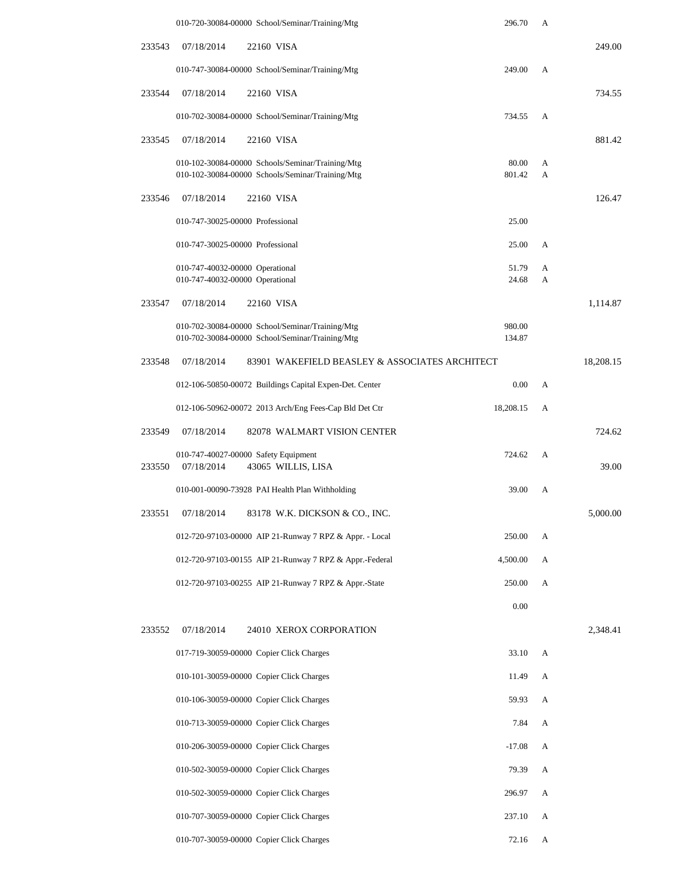|        | 010-720-30084-00000 School/Seminar/Training/Mtg                          | 296.70         | A      |           |
|--------|--------------------------------------------------------------------------|----------------|--------|-----------|
| 233543 | 07/18/2014<br>22160 VISA                                                 |                |        | 249.00    |
|        | 010-747-30084-00000 School/Seminar/Training/Mtg                          | 249.00         | А      |           |
| 233544 | 07/18/2014<br>22160 VISA                                                 |                |        | 734.55    |
|        | 010-702-30084-00000 School/Seminar/Training/Mtg                          | 734.55         | А      |           |
| 233545 | 07/18/2014<br>22160 VISA                                                 |                |        | 881.42    |
|        | 010-102-30084-00000 Schools/Seminar/Training/Mtg                         | 80.00          | А      |           |
|        | 010-102-30084-00000 Schools/Seminar/Training/Mtg                         | 801.42         | А      |           |
| 233546 | 07/18/2014<br>22160 VISA                                                 |                |        | 126.47    |
|        | 010-747-30025-00000 Professional                                         | 25.00          |        |           |
|        | 010-747-30025-00000 Professional                                         | 25.00          | A      |           |
|        | 010-747-40032-00000 Operational<br>010-747-40032-00000 Operational       | 51.79<br>24.68 | А<br>А |           |
| 233547 | 07/18/2014<br>22160 VISA                                                 |                |        | 1,114.87  |
|        | 010-702-30084-00000 School/Seminar/Training/Mtg                          | 980.00         |        |           |
|        | 010-702-30084-00000 School/Seminar/Training/Mtg                          | 134.87         |        |           |
| 233548 | 07/18/2014<br>83901 WAKEFIELD BEASLEY & ASSOCIATES ARCHITECT             |                |        | 18,208.15 |
|        | 012-106-50850-00072 Buildings Capital Expen-Det. Center                  | 0.00           | A      |           |
|        | 012-106-50962-00072 2013 Arch/Eng Fees-Cap Bld Det Ctr                   | 18,208.15      | А      |           |
| 233549 | 07/18/2014<br>82078 WALMART VISION CENTER                                |                |        | 724.62    |
| 233550 | 010-747-40027-00000 Safety Equipment<br>07/18/2014<br>43065 WILLIS, LISA | 724.62         | А      | 39.00     |
|        | 010-001-00090-73928 PAI Health Plan Withholding                          | 39.00          | А      |           |
| 233551 | 07/18/2014<br>83178 W.K. DICKSON & CO., INC.                             |                |        | 5,000.00  |
|        | 012-720-97103-00000 AIP 21-Runway 7 RPZ & Appr. - Local                  | 250.00         | A      |           |
|        | 012-720-97103-00155 AIP 21-Runway 7 RPZ & Appr.-Federal                  | 4,500.00       | A      |           |
|        | 012-720-97103-00255 AIP 21-Runway 7 RPZ & Appr.-State                    | 250.00         | А      |           |
|        |                                                                          | 0.00           |        |           |
| 233552 | 07/18/2014<br>24010 XEROX CORPORATION                                    |                |        | 2,348.41  |
|        | 017-719-30059-00000 Copier Click Charges                                 | 33.10          | A      |           |
|        | 010-101-30059-00000 Copier Click Charges                                 | 11.49          | А      |           |
|        | 010-106-30059-00000 Copier Click Charges                                 | 59.93          | A      |           |
|        | 010-713-30059-00000 Copier Click Charges                                 | 7.84           | A      |           |
|        | 010-206-30059-00000 Copier Click Charges                                 | $-17.08$       | A      |           |
|        | 010-502-30059-00000 Copier Click Charges                                 | 79.39          | A      |           |
|        | 010-502-30059-00000 Copier Click Charges                                 | 296.97         | A      |           |
|        | 010-707-30059-00000 Copier Click Charges                                 | 237.10         | А      |           |
|        | 010-707-30059-00000 Copier Click Charges                                 | 72.16          | A      |           |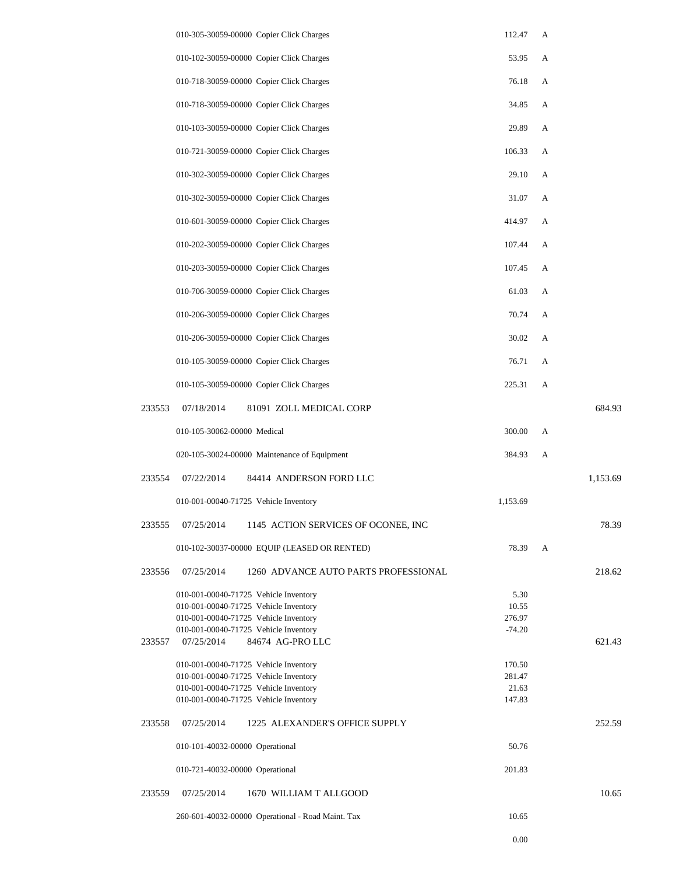|        | 010-305-30059-00000 Copier Click Charges            |                                                   | 112.47   | А |          |
|--------|-----------------------------------------------------|---------------------------------------------------|----------|---|----------|
|        | 010-102-30059-00000 Copier Click Charges            |                                                   | 53.95    | A |          |
|        | 010-718-30059-00000 Copier Click Charges            |                                                   | 76.18    | А |          |
|        | 010-718-30059-00000 Copier Click Charges            |                                                   | 34.85    | А |          |
|        | 010-103-30059-00000 Copier Click Charges            |                                                   | 29.89    | А |          |
|        | 010-721-30059-00000 Copier Click Charges            |                                                   | 106.33   | А |          |
|        |                                                     | 010-302-30059-00000 Copier Click Charges          | 29.10    | А |          |
|        | 010-302-30059-00000 Copier Click Charges            |                                                   | 31.07    | А |          |
|        | 010-601-30059-00000 Copier Click Charges            |                                                   | 414.97   | А |          |
|        |                                                     | 010-202-30059-00000 Copier Click Charges          | 107.44   | А |          |
|        | 010-203-30059-00000 Copier Click Charges            |                                                   | 107.45   | А |          |
|        |                                                     | 010-706-30059-00000 Copier Click Charges          | 61.03    | А |          |
|        | 010-206-30059-00000 Copier Click Charges            |                                                   | 70.74    | А |          |
|        | 010-206-30059-00000 Copier Click Charges            |                                                   | 30.02    | А |          |
|        | 010-105-30059-00000 Copier Click Charges            |                                                   | 76.71    | А |          |
|        | 010-105-30059-00000 Copier Click Charges            |                                                   | 225.31   | А |          |
| 233553 | 07/18/2014                                          | 81091 ZOLL MEDICAL CORP                           |          |   | 684.93   |
|        | 010-105-30062-00000 Medical                         |                                                   | 300.00   | А |          |
|        |                                                     | 020-105-30024-00000 Maintenance of Equipment      | 384.93   | А |          |
| 233554 | 07/22/2014                                          | 84414 ANDERSON FORD LLC                           |          |   | 1,153.69 |
|        | 010-001-00040-71725 Vehicle Inventory               |                                                   | 1,153.69 |   |          |
| 233555 | 07/25/2014                                          | 1145 ACTION SERVICES OF OCONEE, INC               |          |   | 78.39    |
|        |                                                     | 010-102-30037-00000 EQUIP (LEASED OR RENTED)      | 78.39    | A |          |
| 233556 | 07/25/2014                                          | 1260 ADVANCE AUTO PARTS PROFESSIONAL              |          |   | 218.62   |
|        | 010-001-00040-71725 Vehicle Inventory               |                                                   | 5.30     |   |          |
|        | 010-001-00040-71725 Vehicle Inventory               |                                                   | 10.55    |   |          |
|        | 010-001-00040-71725 Vehicle Inventory               |                                                   | 276.97   |   |          |
| 233557 | 010-001-00040-71725 Vehicle Inventory<br>07/25/2014 | 84674 AG-PRO LLC                                  | $-74.20$ |   | 621.43   |
|        | 010-001-00040-71725 Vehicle Inventory               |                                                   | 170.50   |   |          |
|        | 010-001-00040-71725 Vehicle Inventory               |                                                   | 281.47   |   |          |
|        | 010-001-00040-71725 Vehicle Inventory               |                                                   | 21.63    |   |          |
|        | 010-001-00040-71725 Vehicle Inventory               |                                                   | 147.83   |   |          |
| 233558 | 07/25/2014                                          | 1225 ALEXANDER'S OFFICE SUPPLY                    |          |   | 252.59   |
|        | 010-101-40032-00000 Operational                     |                                                   | 50.76    |   |          |
|        | 010-721-40032-00000 Operational                     |                                                   | 201.83   |   |          |
| 233559 | 07/25/2014                                          | 1670 WILLIAM T ALLGOOD                            |          |   | 10.65    |
|        |                                                     | 260-601-40032-00000 Operational - Road Maint. Tax | 10.65    |   |          |

0.00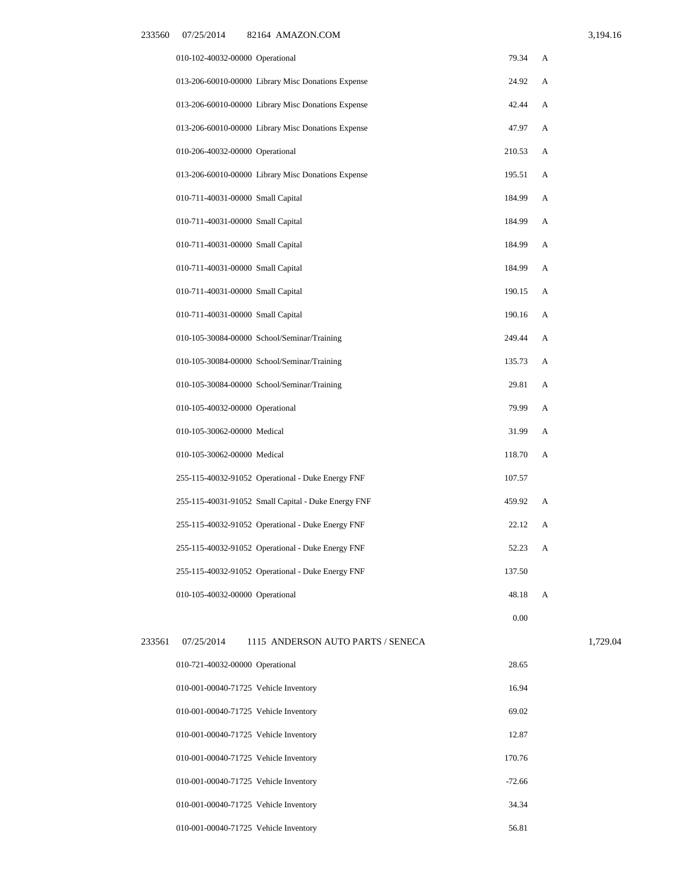|  | 3,194.16 |  |  |
|--|----------|--|--|
|  |          |  |  |

|        | 010-102-40032-00000 Operational   |                                                     | 79.34    | А |
|--------|-----------------------------------|-----------------------------------------------------|----------|---|
|        |                                   | 013-206-60010-00000 Library Misc Donations Expense  | 24.92    | А |
|        |                                   | 013-206-60010-00000 Library Misc Donations Expense  | 42.44    | А |
|        |                                   | 013-206-60010-00000 Library Misc Donations Expense  | 47.97    | А |
|        | 010-206-40032-00000 Operational   |                                                     | 210.53   | А |
|        |                                   | 013-206-60010-00000 Library Misc Donations Expense  | 195.51   | А |
|        | 010-711-40031-00000 Small Capital |                                                     | 184.99   | А |
|        | 010-711-40031-00000 Small Capital |                                                     | 184.99   | А |
|        | 010-711-40031-00000 Small Capital |                                                     | 184.99   | А |
|        | 010-711-40031-00000 Small Capital |                                                     | 184.99   | А |
|        | 010-711-40031-00000 Small Capital |                                                     | 190.15   | А |
|        | 010-711-40031-00000 Small Capital |                                                     | 190.16   | А |
|        |                                   | 010-105-30084-00000 School/Seminar/Training         | 249.44   | А |
|        |                                   | 010-105-30084-00000 School/Seminar/Training         | 135.73   | А |
|        |                                   | 010-105-30084-00000 School/Seminar/Training         | 29.81    | А |
|        | 010-105-40032-00000 Operational   |                                                     | 79.99    | А |
|        | 010-105-30062-00000 Medical       |                                                     | 31.99    | А |
|        | 010-105-30062-00000 Medical       |                                                     | 118.70   | А |
|        |                                   | 255-115-40032-91052 Operational - Duke Energy FNF   | 107.57   |   |
|        |                                   | 255-115-40031-91052 Small Capital - Duke Energy FNF | 459.92   | А |
|        |                                   | 255-115-40032-91052 Operational - Duke Energy FNF   | 22.12    | А |
|        |                                   | 255-115-40032-91052 Operational - Duke Energy FNF   | 52.23    | A |
|        |                                   | 255-115-40032-91052 Operational - Duke Energy FNF   | 137.50   |   |
|        | 010-105-40032-00000 Operational   |                                                     | 48.18    | A |
|        |                                   |                                                     | $0.00\,$ |   |
| 233561 | 07/25/2014                        | 1115 ANDERSON AUTO PARTS / SENECA                   |          |   |

| 010-721-40032-00000 Operational       | 28.65    |
|---------------------------------------|----------|
| 010-001-00040-71725 Vehicle Inventory | 16.94    |
| 010-001-00040-71725 Vehicle Inventory | 69.02    |
| 010-001-00040-71725 Vehicle Inventory | 12.87    |
| 010-001-00040-71725 Vehicle Inventory | 170.76   |
| 010-001-00040-71725 Vehicle Inventory | $-72.66$ |
| 010-001-00040-71725 Vehicle Inventory | 34.34    |
| 010-001-00040-71725 Vehicle Inventory | 56.81    |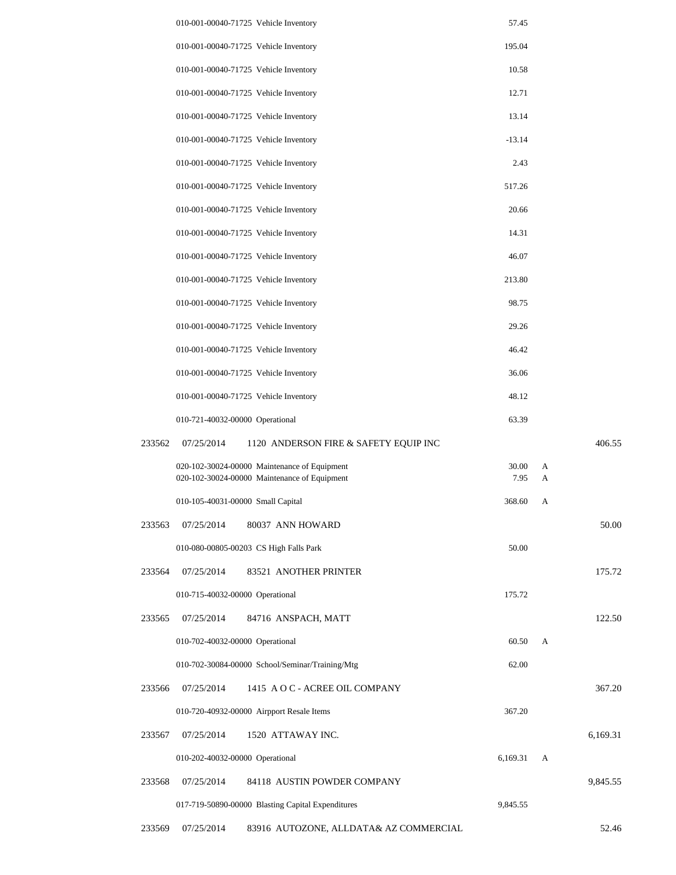|        | 010-001-00040-71725 Vehicle Inventory                                                        | 57.45                                 |          |
|--------|----------------------------------------------------------------------------------------------|---------------------------------------|----------|
|        | 010-001-00040-71725 Vehicle Inventory                                                        | 195.04                                |          |
|        | 010-001-00040-71725 Vehicle Inventory                                                        | 10.58                                 |          |
|        | 010-001-00040-71725 Vehicle Inventory                                                        | 12.71                                 |          |
|        | 010-001-00040-71725 Vehicle Inventory                                                        | 13.14                                 |          |
|        | 010-001-00040-71725 Vehicle Inventory                                                        | $-13.14$                              |          |
|        | 010-001-00040-71725 Vehicle Inventory                                                        | 2.43                                  |          |
|        | 010-001-00040-71725 Vehicle Inventory                                                        | 517.26                                |          |
|        | 010-001-00040-71725 Vehicle Inventory                                                        | 20.66                                 |          |
|        | 010-001-00040-71725 Vehicle Inventory                                                        | 14.31                                 |          |
|        | 010-001-00040-71725 Vehicle Inventory                                                        | 46.07                                 |          |
|        | 010-001-00040-71725 Vehicle Inventory                                                        | 213.80                                |          |
|        | 010-001-00040-71725 Vehicle Inventory                                                        | 98.75                                 |          |
|        | 010-001-00040-71725 Vehicle Inventory                                                        | 29.26                                 |          |
|        | 010-001-00040-71725 Vehicle Inventory                                                        | 46.42                                 |          |
|        | 010-001-00040-71725 Vehicle Inventory                                                        | 36.06                                 |          |
|        | 010-001-00040-71725 Vehicle Inventory                                                        | 48.12                                 |          |
|        | 010-721-40032-00000 Operational                                                              | 63.39                                 |          |
| 233562 | 07/25/2014                                                                                   | 1120 ANDERSON FIRE & SAFETY EQUIP INC | 406.55   |
|        | 020-102-30024-00000 Maintenance of Equipment<br>020-102-30024-00000 Maintenance of Equipment | 30.00<br>7.95                         | A<br>A   |
|        | 010-105-40031-00000 Small Capital                                                            | 368.60                                | A        |
| 233563 | 07/25/2014<br>80037 ANN HOWARD                                                               |                                       | 50.00    |
|        | 010-080-00805-00203 CS High Falls Park                                                       | 50.00                                 |          |
| 233564 | 07/25/2014<br>83521 ANOTHER PRINTER                                                          |                                       | 175.72   |
|        | 010-715-40032-00000 Operational                                                              | 175.72                                |          |
| 233565 | 07/25/2014<br>84716 ANSPACH, MATT                                                            |                                       | 122.50   |
|        | 010-702-40032-00000 Operational                                                              | 60.50                                 | A        |
|        | 010-702-30084-00000 School/Seminar/Training/Mtg                                              | 62.00                                 |          |
| 233566 | 07/25/2014                                                                                   | 1415 A O C - ACREE OIL COMPANY        | 367.20   |
|        | 010-720-40932-00000 Airpport Resale Items                                                    | 367.20                                |          |
| 233567 | 07/25/2014<br>1520 ATTAWAY INC.                                                              |                                       | 6,169.31 |
|        | 010-202-40032-00000 Operational                                                              | 6,169.31                              | A        |
| 233568 | 07/25/2014                                                                                   | 84118 AUSTIN POWDER COMPANY           | 9,845.55 |
|        | 017-719-50890-00000 Blasting Capital Expenditures                                            | 9,845.55                              |          |
|        |                                                                                              |                                       |          |

233569 07/25/2014 83916 AUTOZONE, ALLDATA& AZ COMMERCIAL 52.46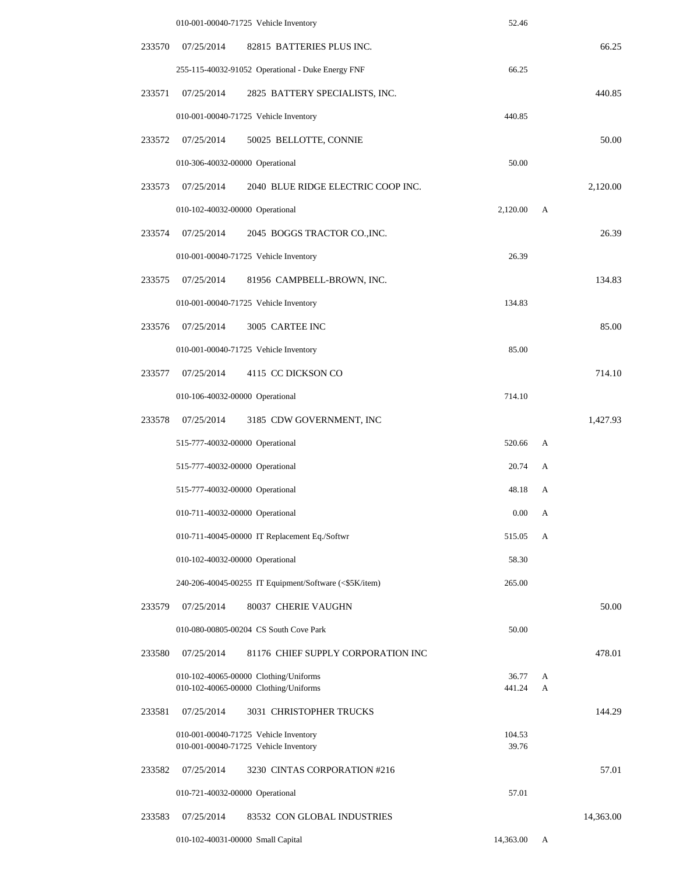|        |                                   | 010-001-00040-71725 Vehicle Inventory                                          | 52.46           |        |           |
|--------|-----------------------------------|--------------------------------------------------------------------------------|-----------------|--------|-----------|
| 233570 | 07/25/2014                        | 82815 BATTERIES PLUS INC.                                                      |                 |        | 66.25     |
|        |                                   | 255-115-40032-91052 Operational - Duke Energy FNF                              | 66.25           |        |           |
| 233571 | 07/25/2014                        | 2825 BATTERY SPECIALISTS, INC.                                                 |                 |        | 440.85    |
|        |                                   | 010-001-00040-71725 Vehicle Inventory                                          | 440.85          |        |           |
| 233572 | 07/25/2014                        | 50025 BELLOTTE, CONNIE                                                         |                 |        | 50.00     |
|        | 010-306-40032-00000 Operational   |                                                                                | 50.00           |        |           |
| 233573 | 07/25/2014                        | 2040 BLUE RIDGE ELECTRIC COOP INC.                                             |                 |        | 2,120.00  |
|        | 010-102-40032-00000 Operational   |                                                                                | 2,120.00        | A      |           |
| 233574 | 07/25/2014                        | 2045 BOGGS TRACTOR CO., INC.                                                   |                 |        | 26.39     |
|        |                                   | 010-001-00040-71725 Vehicle Inventory                                          | 26.39           |        |           |
| 233575 | 07/25/2014                        | 81956 CAMPBELL-BROWN, INC.                                                     |                 |        | 134.83    |
|        |                                   | 010-001-00040-71725 Vehicle Inventory                                          | 134.83          |        |           |
| 233576 | 07/25/2014                        | 3005 CARTEE INC                                                                |                 |        | 85.00     |
|        |                                   | 010-001-00040-71725 Vehicle Inventory                                          | 85.00           |        |           |
| 233577 | 07/25/2014                        | 4115 CC DICKSON CO                                                             |                 |        | 714.10    |
|        | 010-106-40032-00000 Operational   |                                                                                | 714.10          |        |           |
| 233578 | 07/25/2014                        | 3185 CDW GOVERNMENT, INC                                                       |                 |        | 1,427.93  |
|        | 515-777-40032-00000 Operational   |                                                                                | 520.66          | A      |           |
|        | 515-777-40032-00000 Operational   |                                                                                | 20.74           | A      |           |
|        | 515-777-40032-00000 Operational   |                                                                                | 48.18           | А      |           |
|        | 010-711-40032-00000 Operational   |                                                                                | $0.00\,$        | А      |           |
|        |                                   | 010-711-40045-00000 IT Replacement Eq./Softwr                                  | 515.05          | А      |           |
|        | 010-102-40032-00000 Operational   |                                                                                | 58.30           |        |           |
|        |                                   | 240-206-40045-00255 IT Equipment/Software (<\$5K/item)                         | 265.00          |        |           |
| 233579 | 07/25/2014                        | 80037 CHERIE VAUGHN                                                            |                 |        | 50.00     |
|        |                                   | 010-080-00805-00204 CS South Cove Park                                         | 50.00           |        |           |
| 233580 | 07/25/2014                        | 81176 CHIEF SUPPLY CORPORATION INC                                             |                 |        | 478.01    |
|        |                                   | 010-102-40065-00000 Clothing/Uniforms<br>010-102-40065-00000 Clothing/Uniforms | 36.77<br>441.24 | A<br>A |           |
| 233581 | 07/25/2014                        | 3031 CHRISTOPHER TRUCKS                                                        |                 |        | 144.29    |
|        |                                   | 010-001-00040-71725 Vehicle Inventory<br>010-001-00040-71725 Vehicle Inventory | 104.53<br>39.76 |        |           |
| 233582 | 07/25/2014                        | 3230 CINTAS CORPORATION #216                                                   |                 |        | 57.01     |
|        | 010-721-40032-00000 Operational   |                                                                                | 57.01           |        |           |
| 233583 | 07/25/2014                        | 83532 CON GLOBAL INDUSTRIES                                                    |                 |        | 14,363.00 |
|        | 010-102-40031-00000 Small Capital |                                                                                | 14,363.00       | A      |           |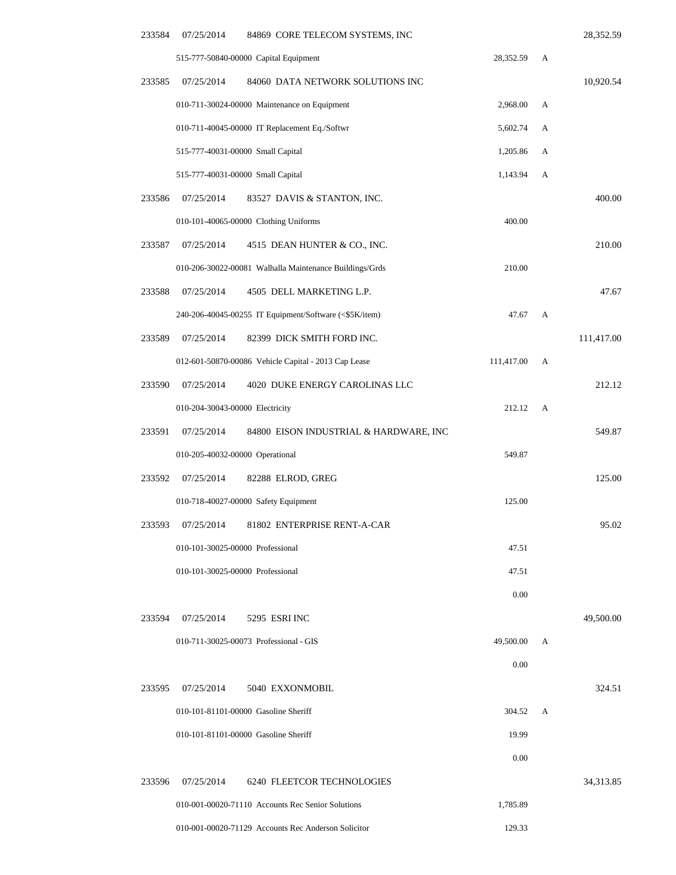| 233584 | 07/25/2014                       | 84869 CORE TELECOM SYSTEMS, INC                         |            |   | 28,352.59  |
|--------|----------------------------------|---------------------------------------------------------|------------|---|------------|
|        |                                  | 515-777-50840-00000 Capital Equipment                   | 28,352.59  | А |            |
| 233585 | 07/25/2014                       | 84060 DATA NETWORK SOLUTIONS INC                        |            |   | 10,920.54  |
|        |                                  | 010-711-30024-00000 Maintenance on Equipment            | 2,968.00   | А |            |
|        |                                  | 010-711-40045-00000 IT Replacement Eq./Softwr           | 5,602.74   | А |            |
|        |                                  | 515-777-40031-00000 Small Capital                       | 1,205.86   | А |            |
|        |                                  | 515-777-40031-00000 Small Capital                       | 1,143.94   | А |            |
| 233586 | 07/25/2014                       | 83527 DAVIS & STANTON, INC.                             |            |   | 400.00     |
|        |                                  | 010-101-40065-00000 Clothing Uniforms                   | 400.00     |   |            |
| 233587 | 07/25/2014                       | 4515 DEAN HUNTER & CO., INC.                            |            |   | 210.00     |
|        |                                  | 010-206-30022-00081 Walhalla Maintenance Buildings/Grds | 210.00     |   |            |
| 233588 | 07/25/2014                       | 4505 DELL MARKETING L.P.                                |            |   | 47.67      |
|        |                                  | 240-206-40045-00255 IT Equipment/Software (<\$5K/item)  | 47.67      | A |            |
| 233589 | 07/25/2014                       | 82399 DICK SMITH FORD INC.                              |            |   | 111,417.00 |
|        |                                  | 012-601-50870-00086 Vehicle Capital - 2013 Cap Lease    | 111,417.00 | A |            |
| 233590 | 07/25/2014                       | 4020 DUKE ENERGY CAROLINAS LLC                          |            |   | 212.12     |
|        | 010-204-30043-00000 Electricity  |                                                         | 212.12     | A |            |
| 233591 | 07/25/2014                       | 84800 EISON INDUSTRIAL & HARDWARE, INC                  |            |   | 549.87     |
|        | 010-205-40032-00000 Operational  |                                                         | 549.87     |   |            |
| 233592 | 07/25/2014                       | 82288 ELROD, GREG                                       |            |   | 125.00     |
|        |                                  | 010-718-40027-00000 Safety Equipment                    | 125.00     |   |            |
| 233593 |                                  | 07/25/2014 81802 ENTERPRISE RENT-A-CAR                  |            |   | 95.02      |
|        |                                  | 010-101-30025-00000 Professional                        | 47.51      |   |            |
|        | 010-101-30025-00000 Professional |                                                         | 47.51      |   |            |
|        |                                  |                                                         | 0.00       |   |            |
| 233594 | 07/25/2014                       | 5295 ESRI INC                                           |            |   | 49,500.00  |
|        |                                  | 010-711-30025-00073 Professional - GIS                  | 49,500.00  | А |            |
|        |                                  |                                                         | 0.00       |   |            |
| 233595 | 07/25/2014                       | 5040 EXXONMOBIL                                         |            |   | 324.51     |
|        |                                  | 010-101-81101-00000 Gasoline Sheriff                    | 304.52     | A |            |
|        |                                  | 010-101-81101-00000 Gasoline Sheriff                    | 19.99      |   |            |
|        |                                  |                                                         | 0.00       |   |            |
| 233596 | 07/25/2014                       | 6240 FLEETCOR TECHNOLOGIES                              |            |   | 34,313.85  |
|        |                                  | 010-001-00020-71110 Accounts Rec Senior Solutions       | 1,785.89   |   |            |
|        |                                  | 010-001-00020-71129 Accounts Rec Anderson Solicitor     | 129.33     |   |            |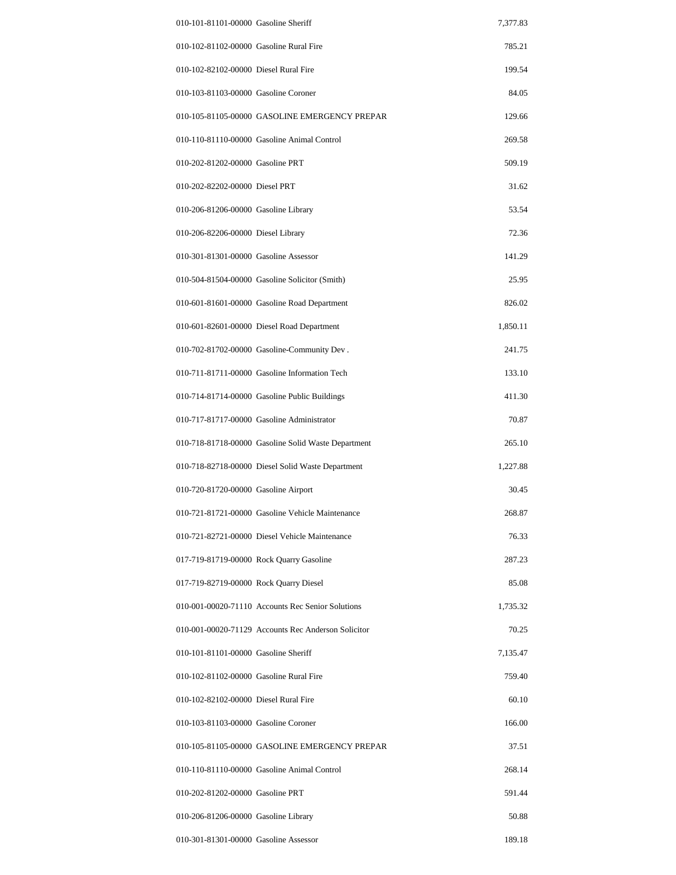| 010-101-81101-00000 Gasoline Sheriff    |                                                     | 7,377.83 |
|-----------------------------------------|-----------------------------------------------------|----------|
| 010-102-81102-00000 Gasoline Rural Fire |                                                     | 785.21   |
| 010-102-82102-00000 Diesel Rural Fire   |                                                     | 199.54   |
| 010-103-81103-00000 Gasoline Coroner    |                                                     | 84.05    |
|                                         | 010-105-81105-00000 GASOLINE EMERGENCY PREPAR       | 129.66   |
|                                         | 010-110-81110-00000 Gasoline Animal Control         | 269.58   |
| 010-202-81202-00000 Gasoline PRT        |                                                     | 509.19   |
| 010-202-82202-00000 Diesel PRT          |                                                     | 31.62    |
| 010-206-81206-00000 Gasoline Library    |                                                     | 53.54    |
| 010-206-82206-00000 Diesel Library      |                                                     | 72.36    |
| 010-301-81301-00000 Gasoline Assessor   |                                                     | 141.29   |
|                                         | 010-504-81504-00000 Gasoline Solicitor (Smith)      | 25.95    |
|                                         | 010-601-81601-00000 Gasoline Road Department        | 826.02   |
|                                         | 010-601-82601-00000 Diesel Road Department          | 1,850.11 |
|                                         | 010-702-81702-00000 Gasoline-Community Dev.         | 241.75   |
|                                         | 010-711-81711-00000 Gasoline Information Tech       | 133.10   |
|                                         | 010-714-81714-00000 Gasoline Public Buildings       | 411.30   |
|                                         | 010-717-81717-00000 Gasoline Administrator          | 70.87    |
|                                         | 010-718-81718-00000 Gasoline Solid Waste Department | 265.10   |
|                                         | 010-718-82718-00000 Diesel Solid Waste Department   | 1,227.88 |
| 010-720-81720-00000 Gasoline Airport    |                                                     | 30.45    |
|                                         | 010-721-81721-00000 Gasoline Vehicle Maintenance    | 268.87   |
|                                         | 010-721-82721-00000 Diesel Vehicle Maintenance      | 76.33    |
|                                         | 017-719-81719-00000 Rock Quarry Gasoline            | 287.23   |
| 017-719-82719-00000 Rock Quarry Diesel  |                                                     | 85.08    |
|                                         | 010-001-00020-71110 Accounts Rec Senior Solutions   | 1,735.32 |
|                                         | 010-001-00020-71129 Accounts Rec Anderson Solicitor | 70.25    |
| 010-101-81101-00000 Gasoline Sheriff    |                                                     | 7,135.47 |
| 010-102-81102-00000 Gasoline Rural Fire |                                                     | 759.40   |
| 010-102-82102-00000 Diesel Rural Fire   |                                                     | 60.10    |
| 010-103-81103-00000 Gasoline Coroner    |                                                     | 166.00   |
|                                         | 010-105-81105-00000 GASOLINE EMERGENCY PREPAR       | 37.51    |
|                                         | 010-110-81110-00000 Gasoline Animal Control         | 268.14   |
| 010-202-81202-00000 Gasoline PRT        |                                                     | 591.44   |
| 010-206-81206-00000 Gasoline Library    |                                                     | 50.88    |
| 010-301-81301-00000 Gasoline Assessor   |                                                     | 189.18   |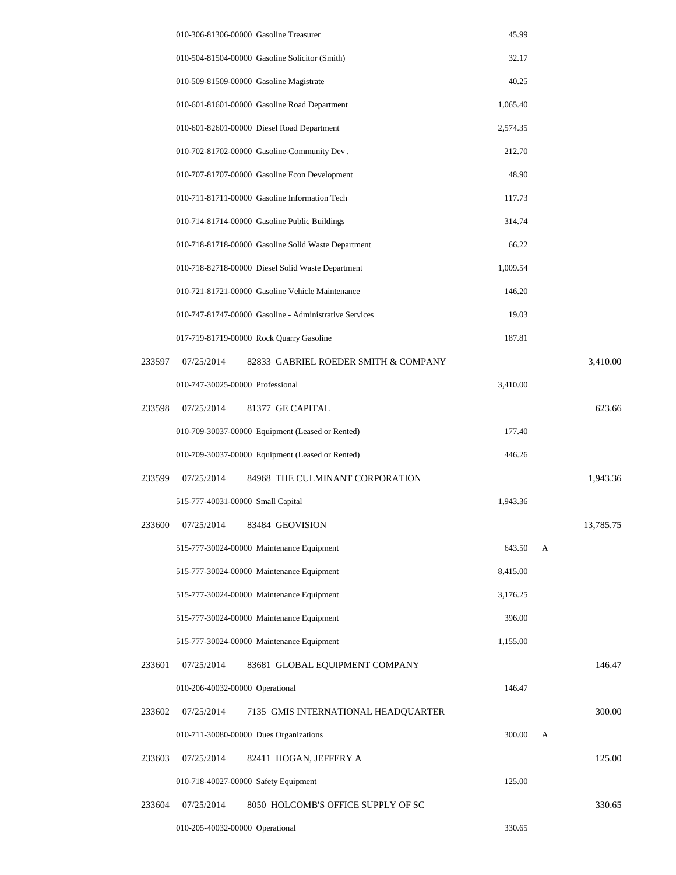|        | 010-306-81306-00000 Gasoline Treasurer                 | 45.99    |   |           |
|--------|--------------------------------------------------------|----------|---|-----------|
|        | 010-504-81504-00000 Gasoline Solicitor (Smith)         | 32.17    |   |           |
|        | 010-509-81509-00000 Gasoline Magistrate                | 40.25    |   |           |
|        | 010-601-81601-00000 Gasoline Road Department           | 1,065.40 |   |           |
|        | 010-601-82601-00000 Diesel Road Department             | 2,574.35 |   |           |
|        | 010-702-81702-00000 Gasoline-Community Dev.            | 212.70   |   |           |
|        | 010-707-81707-00000 Gasoline Econ Development          | 48.90    |   |           |
|        | 010-711-81711-00000 Gasoline Information Tech          | 117.73   |   |           |
|        | 010-714-81714-00000 Gasoline Public Buildings          | 314.74   |   |           |
|        | 010-718-81718-00000 Gasoline Solid Waste Department    | 66.22    |   |           |
|        | 010-718-82718-00000 Diesel Solid Waste Department      | 1,009.54 |   |           |
|        | 010-721-81721-00000 Gasoline Vehicle Maintenance       | 146.20   |   |           |
|        | 010-747-81747-00000 Gasoline - Administrative Services | 19.03    |   |           |
|        | 017-719-81719-00000 Rock Quarry Gasoline               | 187.81   |   |           |
| 233597 | 07/25/2014<br>82833 GABRIEL ROEDER SMITH & COMPANY     |          |   | 3,410.00  |
|        | 010-747-30025-00000 Professional                       | 3,410.00 |   |           |
| 233598 | 07/25/2014<br>81377 GE CAPITAL                         |          |   | 623.66    |
|        | 010-709-30037-00000 Equipment (Leased or Rented)       | 177.40   |   |           |
|        | 010-709-30037-00000 Equipment (Leased or Rented)       | 446.26   |   |           |
| 233599 | 07/25/2014<br>84968 THE CULMINANT CORPORATION          |          |   | 1,943.36  |
|        | 515-777-40031-00000 Small Capital                      | 1,943.36 |   |           |
|        | 233600 07/25/2014<br>83484 GEOVISION                   |          |   | 13,785.75 |
|        | 515-777-30024-00000 Maintenance Equipment              | 643.50   | А |           |
|        | 515-777-30024-00000 Maintenance Equipment              | 8,415.00 |   |           |
|        | 515-777-30024-00000 Maintenance Equipment              | 3,176.25 |   |           |
|        | 515-777-30024-00000 Maintenance Equipment              | 396.00   |   |           |
|        | 515-777-30024-00000 Maintenance Equipment              | 1,155.00 |   |           |
| 233601 | 07/25/2014<br>83681 GLOBAL EQUIPMENT COMPANY           |          |   | 146.47    |
|        | 010-206-40032-00000 Operational                        | 146.47   |   |           |
| 233602 | 07/25/2014<br>7135 GMIS INTERNATIONAL HEADQUARTER      |          |   | 300.00    |
|        | 010-711-30080-00000 Dues Organizations                 | 300.00   | А |           |
| 233603 | 07/25/2014<br>82411 HOGAN, JEFFERY A                   |          |   | 125.00    |
|        | 010-718-40027-00000 Safety Equipment                   | 125.00   |   |           |
| 233604 | 07/25/2014<br>8050 HOLCOMB'S OFFICE SUPPLY OF SC       |          |   | 330.65    |
|        | 010-205-40032-00000 Operational                        | 330.65   |   |           |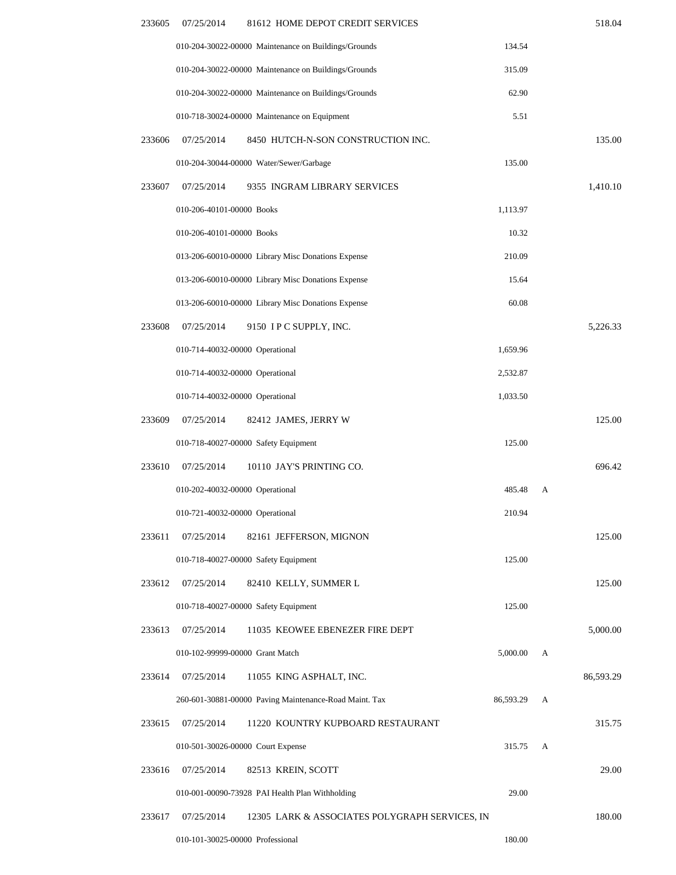| 233605 | 07/25/2014<br>81612 HOME DEPOT CREDIT SERVICES               |           |   | 518.04    |
|--------|--------------------------------------------------------------|-----------|---|-----------|
|        | 010-204-30022-00000 Maintenance on Buildings/Grounds         | 134.54    |   |           |
|        | 010-204-30022-00000 Maintenance on Buildings/Grounds         | 315.09    |   |           |
|        | 010-204-30022-00000 Maintenance on Buildings/Grounds         | 62.90     |   |           |
|        | 010-718-30024-00000 Maintenance on Equipment                 | 5.51      |   |           |
| 233606 | 07/25/2014<br>8450 HUTCH-N-SON CONSTRUCTION INC.             |           |   | 135.00    |
|        | 010-204-30044-00000 Water/Sewer/Garbage                      | 135.00    |   |           |
| 233607 | 07/25/2014<br>9355 INGRAM LIBRARY SERVICES                   |           |   | 1,410.10  |
|        | 010-206-40101-00000 Books                                    | 1,113.97  |   |           |
|        | 010-206-40101-00000 Books                                    | 10.32     |   |           |
|        | 013-206-60010-00000 Library Misc Donations Expense           | 210.09    |   |           |
|        | 013-206-60010-00000 Library Misc Donations Expense           | 15.64     |   |           |
|        | 013-206-60010-00000 Library Misc Donations Expense           | 60.08     |   |           |
| 233608 | 07/25/2014<br>9150 IP C SUPPLY, INC.                         |           |   | 5,226.33  |
|        | 010-714-40032-00000 Operational                              | 1,659.96  |   |           |
|        | 010-714-40032-00000 Operational                              | 2,532.87  |   |           |
|        | 010-714-40032-00000 Operational                              | 1,033.50  |   |           |
| 233609 | 07/25/2014<br>82412 JAMES, JERRY W                           |           |   | 125.00    |
|        | 010-718-40027-00000 Safety Equipment                         | 125.00    |   |           |
| 233610 | 07/25/2014<br>10110 JAY'S PRINTING CO.                       |           |   | 696.42    |
|        | 010-202-40032-00000 Operational                              | 485.48    | А |           |
|        | 010-721-40032-00000 Operational                              | 210.94    |   |           |
| 233611 | 07/25/2014<br>82161 JEFFERSON, MIGNON                        |           |   | 125.00    |
|        | 010-718-40027-00000 Safety Equipment                         | 125.00    |   |           |
| 233612 | 07/25/2014<br>82410 KELLY, SUMMER L                          |           |   | 125.00    |
|        | 010-718-40027-00000 Safety Equipment                         | 125.00    |   |           |
| 233613 | 07/25/2014<br>11035 KEOWEE EBENEZER FIRE DEPT                |           |   | 5,000.00  |
|        | 010-102-99999-00000 Grant Match                              | 5,000.00  | А |           |
| 233614 | 07/25/2014<br>11055 KING ASPHALT, INC.                       |           |   | 86,593.29 |
|        | 260-601-30881-00000 Paving Maintenance-Road Maint. Tax       | 86,593.29 | А |           |
| 233615 | 07/25/2014<br>11220 KOUNTRY KUPBOARD RESTAURANT              |           |   | 315.75    |
|        | 010-501-30026-00000 Court Expense                            | 315.75    | А |           |
| 233616 | 07/25/2014<br>82513 KREIN, SCOTT                             |           |   | 29.00     |
|        | 010-001-00090-73928 PAI Health Plan Withholding              | 29.00     |   |           |
| 233617 | 07/25/2014<br>12305 LARK & ASSOCIATES POLYGRAPH SERVICES, IN |           |   | 180.00    |
|        | 010-101-30025-00000 Professional                             | 180.00    |   |           |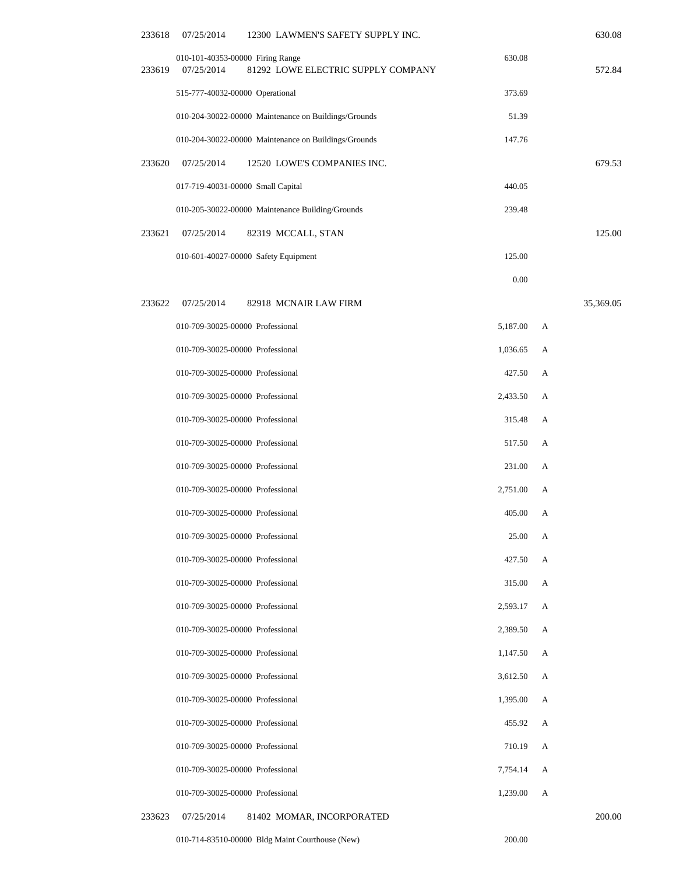| 233618 | 07/25/2014                                     | 12300 LAWMEN'S SAFETY SUPPLY INC.                    |          |   | 630.08    |
|--------|------------------------------------------------|------------------------------------------------------|----------|---|-----------|
| 233619 | 010-101-40353-00000 Firing Range<br>07/25/2014 | 81292 LOWE ELECTRIC SUPPLY COMPANY                   | 630.08   |   | 572.84    |
|        | 515-777-40032-00000 Operational                |                                                      | 373.69   |   |           |
|        |                                                | 010-204-30022-00000 Maintenance on Buildings/Grounds | 51.39    |   |           |
|        |                                                | 010-204-30022-00000 Maintenance on Buildings/Grounds | 147.76   |   |           |
| 233620 | 07/25/2014                                     | 12520 LOWE'S COMPANIES INC.                          |          |   | 679.53    |
|        | 017-719-40031-00000 Small Capital              |                                                      | 440.05   |   |           |
|        |                                                | 010-205-30022-00000 Maintenance Building/Grounds     | 239.48   |   |           |
| 233621 | 07/25/2014                                     | 82319 MCCALL, STAN                                   |          |   | 125.00    |
|        | 010-601-40027-00000 Safety Equipment           |                                                      | 125.00   |   |           |
|        |                                                |                                                      | 0.00     |   |           |
| 233622 | 07/25/2014                                     | 82918 MCNAIR LAW FIRM                                |          |   | 35,369.05 |
|        | 010-709-30025-00000 Professional               |                                                      | 5,187.00 | А |           |
|        | 010-709-30025-00000 Professional               |                                                      | 1,036.65 | A |           |
|        | 010-709-30025-00000 Professional               |                                                      | 427.50   | А |           |
|        | 010-709-30025-00000 Professional               |                                                      | 2,433.50 | А |           |
|        | 010-709-30025-00000 Professional               |                                                      | 315.48   | А |           |
|        | 010-709-30025-00000 Professional               |                                                      | 517.50   | А |           |
|        | 010-709-30025-00000 Professional               |                                                      | 231.00   | А |           |
|        | 010-709-30025-00000 Professional               |                                                      | 2,751.00 | А |           |
|        | 010-709-30025-00000 Professional               |                                                      | 405.00   | А |           |
|        | 010-709-30025-00000 Professional               |                                                      | 25.00    | А |           |
|        | 010-709-30025-00000 Professional               |                                                      | 427.50   | А |           |
|        | 010-709-30025-00000 Professional               |                                                      | 315.00   | А |           |
|        | 010-709-30025-00000 Professional               |                                                      | 2,593.17 | A |           |
|        | 010-709-30025-00000 Professional               |                                                      | 2,389.50 | А |           |
|        | 010-709-30025-00000 Professional               |                                                      | 1,147.50 | А |           |
|        | 010-709-30025-00000 Professional               |                                                      | 3,612.50 | А |           |
|        | 010-709-30025-00000 Professional               |                                                      | 1,395.00 | A |           |
|        | 010-709-30025-00000 Professional               |                                                      | 455.92   | А |           |
|        | 010-709-30025-00000 Professional               |                                                      | 710.19   | А |           |
|        | 010-709-30025-00000 Professional               |                                                      | 7,754.14 | А |           |
|        | 010-709-30025-00000 Professional               |                                                      | 1,239.00 | A |           |
| 233623 | 07/25/2014                                     | 81402 MOMAR, INCORPORATED                            |          |   | 200.00    |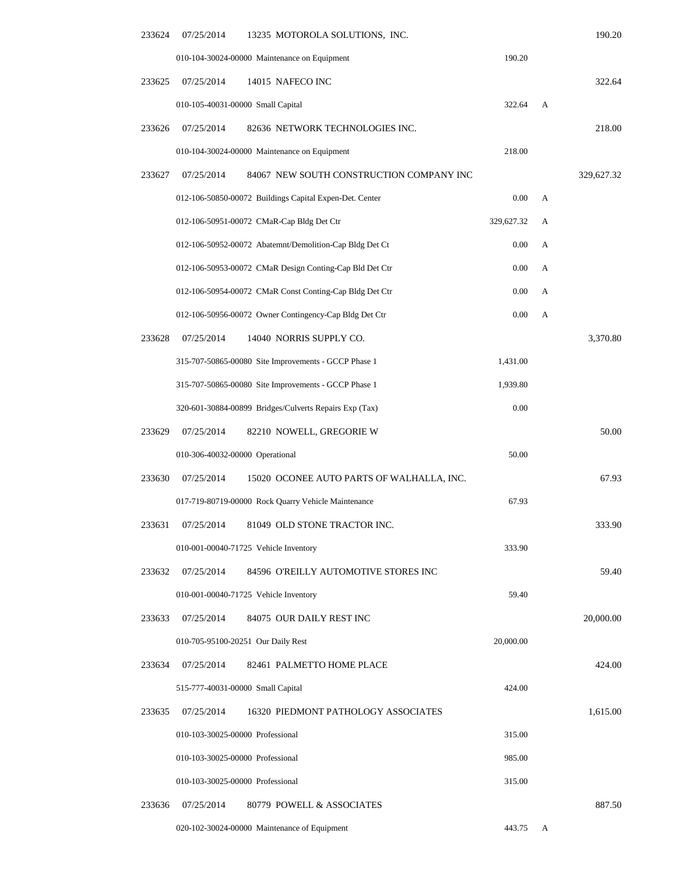| 233624 | 07/25/2014                       | 13235 MOTOROLA SOLUTIONS, INC.                          |            |   | 190.20     |
|--------|----------------------------------|---------------------------------------------------------|------------|---|------------|
|        |                                  | 010-104-30024-00000 Maintenance on Equipment            | 190.20     |   |            |
| 233625 | 07/25/2014                       | 14015 NAFECO INC                                        |            |   | 322.64     |
|        |                                  | 010-105-40031-00000 Small Capital                       | 322.64     | A |            |
| 233626 | 07/25/2014                       | 82636 NETWORK TECHNOLOGIES INC.                         |            |   | 218.00     |
|        |                                  | 010-104-30024-00000 Maintenance on Equipment            | 218.00     |   |            |
| 233627 | 07/25/2014                       | 84067 NEW SOUTH CONSTRUCTION COMPANY INC                |            |   | 329,627.32 |
|        |                                  | 012-106-50850-00072 Buildings Capital Expen-Det. Center | 0.00       | А |            |
|        |                                  | 012-106-50951-00072 CMaR-Cap Bldg Det Ctr               | 329,627.32 | А |            |
|        |                                  | 012-106-50952-00072 Abatemnt/Demolition-Cap Bldg Det Ct | 0.00       | А |            |
|        |                                  | 012-106-50953-00072 CMaR Design Conting-Cap Bld Det Ctr | 0.00       | A |            |
|        |                                  | 012-106-50954-00072 CMaR Const Conting-Cap Bldg Det Ctr | 0.00       | А |            |
|        |                                  | 012-106-50956-00072 Owner Contingency-Cap Bldg Det Ctr  | 0.00       | А |            |
| 233628 | 07/25/2014                       | 14040 NORRIS SUPPLY CO.                                 |            |   | 3,370.80   |
|        |                                  | 315-707-50865-00080 Site Improvements - GCCP Phase 1    | 1,431.00   |   |            |
|        |                                  | 315-707-50865-00080 Site Improvements - GCCP Phase 1    | 1,939.80   |   |            |
|        |                                  | 320-601-30884-00899 Bridges/Culverts Repairs Exp (Tax)  | 0.00       |   |            |
| 233629 | 07/25/2014                       | 82210 NOWELL, GREGORIE W                                |            |   | 50.00      |
|        | 010-306-40032-00000 Operational  |                                                         | 50.00      |   |            |
| 233630 | 07/25/2014                       | 15020 OCONEE AUTO PARTS OF WALHALLA, INC.               |            |   | 67.93      |
|        |                                  | 017-719-80719-00000 Rock Quarry Vehicle Maintenance     | 67.93      |   |            |
| 233631 | 07/25/2014                       | 81049 OLD STONE TRACTOR INC.                            |            |   | 333.90     |
|        |                                  | 010-001-00040-71725 Vehicle Inventory                   | 333.90     |   |            |
| 233632 | 07/25/2014                       | 84596 O'REILLY AUTOMOTIVE STORES INC                    |            |   | 59.40      |
|        |                                  | 010-001-00040-71725 Vehicle Inventory                   | 59.40      |   |            |
| 233633 | 07/25/2014                       | 84075 OUR DAILY REST INC                                |            |   | 20,000.00  |
|        |                                  | 010-705-95100-20251 Our Daily Rest                      | 20,000.00  |   |            |
| 233634 | 07/25/2014                       | 82461 PALMETTO HOME PLACE                               |            |   | 424.00     |
|        |                                  | 515-777-40031-00000 Small Capital                       | 424.00     |   |            |
| 233635 | 07/25/2014                       | 16320 PIEDMONT PATHOLOGY ASSOCIATES                     |            |   | 1,615.00   |
|        | 010-103-30025-00000 Professional |                                                         | 315.00     |   |            |
|        | 010-103-30025-00000 Professional |                                                         | 985.00     |   |            |
|        | 010-103-30025-00000 Professional |                                                         | 315.00     |   |            |
| 233636 | 07/25/2014                       | 80779 POWELL & ASSOCIATES                               |            |   | 887.50     |
|        |                                  | 020-102-30024-00000 Maintenance of Equipment            | 443.75     | A |            |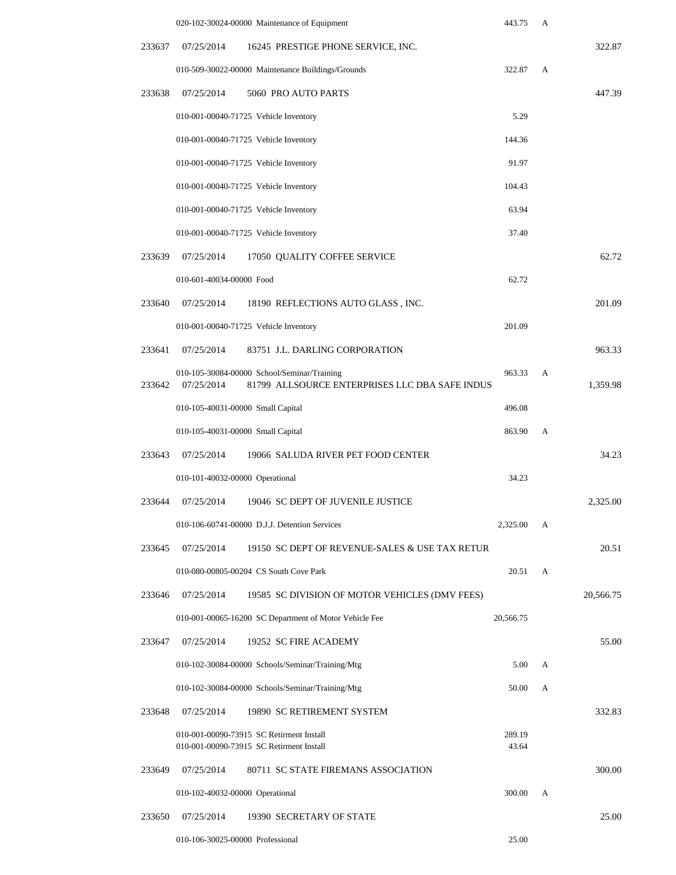|        | 020-102-30024-00000 Maintenance of Equipment                                                                | 443.75          | A |           |
|--------|-------------------------------------------------------------------------------------------------------------|-----------------|---|-----------|
| 233637 | 07/25/2014<br>16245 PRESTIGE PHONE SERVICE, INC.                                                            |                 |   | 322.87    |
|        | 010-509-30022-00000 Maintenance Buildings/Grounds                                                           | 322.87          | A |           |
| 233638 | 07/25/2014<br>5060 PRO AUTO PARTS                                                                           |                 |   | 447.39    |
|        | 010-001-00040-71725 Vehicle Inventory                                                                       | 5.29            |   |           |
|        | 010-001-00040-71725 Vehicle Inventory                                                                       | 144.36          |   |           |
|        | 010-001-00040-71725 Vehicle Inventory                                                                       | 91.97           |   |           |
|        | 010-001-00040-71725 Vehicle Inventory                                                                       | 104.43          |   |           |
|        | 010-001-00040-71725 Vehicle Inventory                                                                       | 63.94           |   |           |
|        | 010-001-00040-71725 Vehicle Inventory                                                                       | 37.40           |   |           |
| 233639 | 07/25/2014<br>17050 QUALITY COFFEE SERVICE                                                                  |                 |   | 62.72     |
|        | 010-601-40034-00000 Food                                                                                    | 62.72           |   |           |
| 233640 | 07/25/2014<br>18190 REFLECTIONS AUTO GLASS, INC.                                                            |                 |   | 201.09    |
|        | 010-001-00040-71725 Vehicle Inventory                                                                       | 201.09          |   |           |
| 233641 | 07/25/2014<br>83751 J.L. DARLING CORPORATION                                                                |                 |   | 963.33    |
| 233642 | 010-105-30084-00000 School/Seminar/Training<br>07/25/2014<br>81799 ALLSOURCE ENTERPRISES LLC DBA SAFE INDUS | 963.33          | А | 1,359.98  |
|        | 010-105-40031-00000 Small Capital                                                                           | 496.08          |   |           |
|        | 010-105-40031-00000 Small Capital                                                                           | 863.90          | A |           |
| 233643 | 07/25/2014<br>19066 SALUDA RIVER PET FOOD CENTER                                                            |                 |   | 34.23     |
|        | 010-101-40032-00000 Operational                                                                             | 34.23           |   |           |
| 233644 | 07/25/2014<br>19046 SC DEPT OF JUVENILE JUSTICE                                                             |                 |   | 2,325.00  |
|        | 010-106-60741-00000 D.J.J. Detention Services                                                               | 2,325.00        | А |           |
| 233645 | 07/25/2014<br>19150 SC DEPT OF REVENUE-SALES & USE TAX RETUR                                                |                 |   | 20.51     |
|        | 010-080-00805-00204 CS South Cove Park                                                                      | 20.51           | А |           |
| 233646 | 07/25/2014<br>19585 SC DIVISION OF MOTOR VEHICLES (DMV FEES)                                                |                 |   | 20,566.75 |
|        | 010-001-00065-16200 SC Department of Motor Vehicle Fee                                                      | 20,566.75       |   |           |
| 233647 | 07/25/2014<br>19252 SC FIRE ACADEMY                                                                         |                 |   | 55.00     |
|        | 010-102-30084-00000 Schools/Seminar/Training/Mtg                                                            | 5.00            | А |           |
|        | 010-102-30084-00000 Schools/Seminar/Training/Mtg                                                            | 50.00           | А |           |
| 233648 | 07/25/2014<br>19890 SC RETIREMENT SYSTEM                                                                    |                 |   | 332.83    |
|        | 010-001-00090-73915 SC Retirment Install<br>010-001-00090-73915 SC Retirment Install                        | 289.19<br>43.64 |   |           |
| 233649 | 80711 SC STATE FIREMANS ASSOCIATION<br>07/25/2014                                                           |                 |   | 300.00    |
|        | 010-102-40032-00000 Operational                                                                             | 300.00          | A |           |
| 233650 | 19390 SECRETARY OF STATE<br>07/25/2014                                                                      |                 |   | 25.00     |
|        | 010-106-30025-00000 Professional                                                                            | 25.00           |   |           |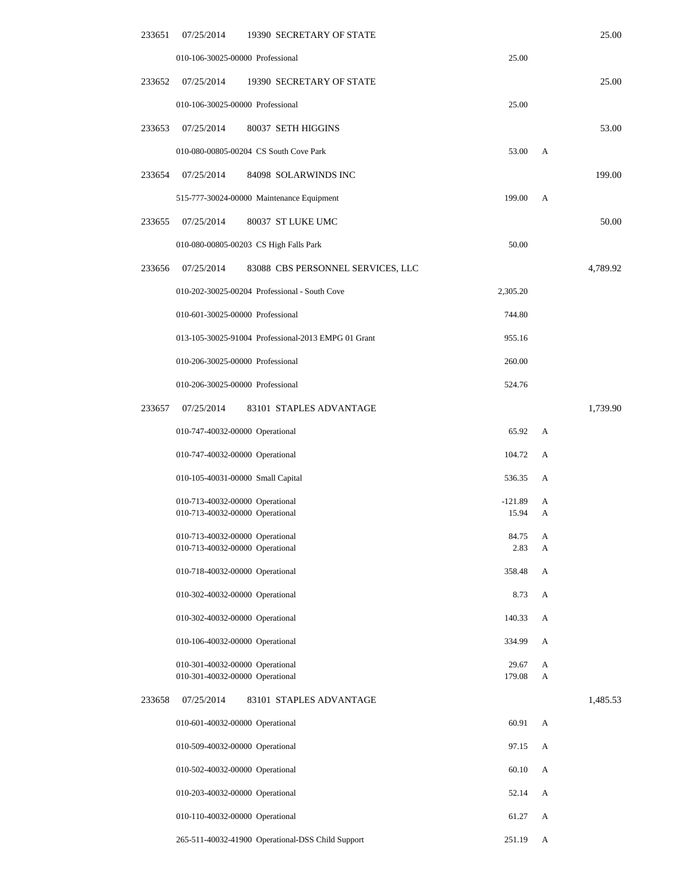| 233651 | 07/25/2014 | 19390 SECRETARY OF STATE                                           |                    |        | 25.00    |
|--------|------------|--------------------------------------------------------------------|--------------------|--------|----------|
|        |            | 010-106-30025-00000 Professional                                   | 25.00              |        |          |
| 233652 | 07/25/2014 | 19390 SECRETARY OF STATE                                           |                    |        | 25.00    |
|        |            | 010-106-30025-00000 Professional                                   | 25.00              |        |          |
| 233653 | 07/25/2014 | 80037 SETH HIGGINS                                                 |                    |        | 53.00    |
|        |            | 010-080-00805-00204 CS South Cove Park                             | 53.00              | А      |          |
| 233654 | 07/25/2014 | 84098 SOLARWINDS INC                                               |                    |        | 199.00   |
|        |            | 515-777-30024-00000 Maintenance Equipment                          | 199.00             | A      |          |
| 233655 | 07/25/2014 | 80037 ST LUKE UMC                                                  |                    |        | 50.00    |
|        |            | 010-080-00805-00203 CS High Falls Park                             | 50.00              |        |          |
| 233656 | 07/25/2014 | 83088 CBS PERSONNEL SERVICES, LLC                                  |                    |        | 4,789.92 |
|        |            | 010-202-30025-00204 Professional - South Cove                      | 2,305.20           |        |          |
|        |            | 010-601-30025-00000 Professional                                   | 744.80             |        |          |
|        |            | 013-105-30025-91004 Professional-2013 EMPG 01 Grant                | 955.16             |        |          |
|        |            | 010-206-30025-00000 Professional                                   | 260.00             |        |          |
|        |            | 010-206-30025-00000 Professional                                   | 524.76             |        |          |
| 233657 | 07/25/2014 | 83101 STAPLES ADVANTAGE                                            |                    |        | 1,739.90 |
|        |            | 010-747-40032-00000 Operational                                    | 65.92              | А      |          |
|        |            | 010-747-40032-00000 Operational                                    | 104.72             | A      |          |
|        |            | 010-105-40031-00000 Small Capital                                  | 536.35             | А      |          |
|        |            | 010-713-40032-00000 Operational<br>010-713-40032-00000 Operational | $-121.89$<br>15.94 | А<br>А |          |
|        |            |                                                                    | 84.75              |        |          |
|        |            | 010-713-40032-00000 Operational<br>010-713-40032-00000 Operational | 2.83               | А<br>A |          |
|        |            | 010-718-40032-00000 Operational                                    | 358.48             | А      |          |
|        |            | 010-302-40032-00000 Operational                                    | 8.73               | А      |          |
|        |            | 010-302-40032-00000 Operational                                    | 140.33             | А      |          |
|        |            | 010-106-40032-00000 Operational                                    | 334.99             | А      |          |
|        |            | 010-301-40032-00000 Operational<br>010-301-40032-00000 Operational | 29.67<br>179.08    | А<br>A |          |
| 233658 | 07/25/2014 | 83101 STAPLES ADVANTAGE                                            |                    |        | 1,485.53 |
|        |            | 010-601-40032-00000 Operational                                    | 60.91              | А      |          |
|        |            | 010-509-40032-00000 Operational                                    | 97.15              | А      |          |
|        |            | 010-502-40032-00000 Operational                                    | 60.10              | А      |          |
|        |            | 010-203-40032-00000 Operational                                    | 52.14              | А      |          |
|        |            | 010-110-40032-00000 Operational                                    | 61.27              | А      |          |
|        |            | 265-511-40032-41900 Operational-DSS Child Support                  | 251.19             | A      |          |
|        |            |                                                                    |                    |        |          |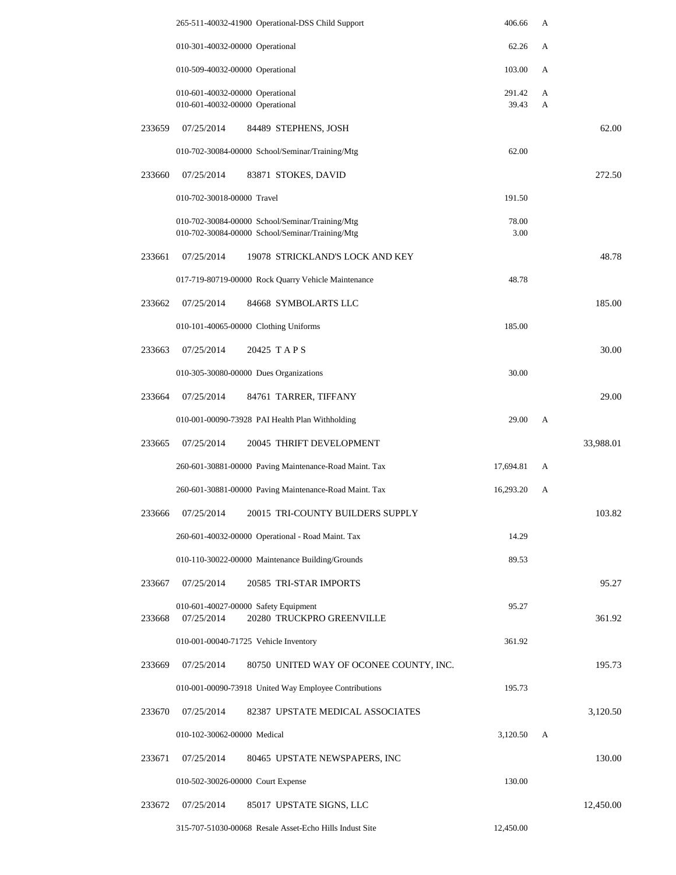|        |                                                                    | 265-511-40032-41900 Operational-DSS Child Support                                                  | 406.66          | A      |           |
|--------|--------------------------------------------------------------------|----------------------------------------------------------------------------------------------------|-----------------|--------|-----------|
|        | 010-301-40032-00000 Operational                                    |                                                                                                    | 62.26           | A      |           |
|        | 010-509-40032-00000 Operational                                    |                                                                                                    | 103.00          | А      |           |
|        | 010-601-40032-00000 Operational<br>010-601-40032-00000 Operational |                                                                                                    | 291.42<br>39.43 | А<br>A |           |
| 233659 | 07/25/2014                                                         | 84489 STEPHENS, JOSH                                                                               |                 |        | 62.00     |
|        |                                                                    | 010-702-30084-00000 School/Seminar/Training/Mtg                                                    | 62.00           |        |           |
| 233660 | 07/25/2014                                                         | 83871 STOKES, DAVID                                                                                |                 |        | 272.50    |
|        | 010-702-30018-00000 Travel                                         |                                                                                                    | 191.50          |        |           |
|        |                                                                    |                                                                                                    | 78.00           |        |           |
|        |                                                                    | 010-702-30084-00000 School/Seminar/Training/Mtg<br>010-702-30084-00000 School/Seminar/Training/Mtg | 3.00            |        |           |
| 233661 | 07/25/2014                                                         | 19078 STRICKLAND'S LOCK AND KEY                                                                    |                 |        | 48.78     |
|        |                                                                    | 017-719-80719-00000 Rock Quarry Vehicle Maintenance                                                | 48.78           |        |           |
| 233662 | 07/25/2014                                                         | 84668 SYMBOLARTS LLC                                                                               |                 |        | 185.00    |
|        |                                                                    | 010-101-40065-00000 Clothing Uniforms                                                              | 185.00          |        |           |
| 233663 | 07/25/2014                                                         | 20425 TAPS                                                                                         |                 |        | 30.00     |
|        |                                                                    | 010-305-30080-00000 Dues Organizations                                                             | 30.00           |        |           |
| 233664 | 07/25/2014                                                         | 84761 TARRER, TIFFANY                                                                              |                 |        | 29.00     |
|        |                                                                    | 010-001-00090-73928 PAI Health Plan Withholding                                                    | 29.00           | А      |           |
| 233665 | 07/25/2014                                                         | 20045 THRIFT DEVELOPMENT                                                                           |                 |        | 33,988.01 |
|        |                                                                    | 260-601-30881-00000 Paving Maintenance-Road Maint. Tax                                             | 17,694.81       | А      |           |
|        |                                                                    | 260-601-30881-00000 Paving Maintenance-Road Maint. Tax                                             | 16,293.20       | А      |           |
| 233666 | 07/25/2014                                                         | 20015 TRI-COUNTY BUILDERS SUPPLY                                                                   |                 |        | 103.82    |
|        |                                                                    | 260-601-40032-00000 Operational - Road Maint. Tax                                                  | 14.29           |        |           |
|        |                                                                    | 010-110-30022-00000 Maintenance Building/Grounds                                                   | 89.53           |        |           |
| 233667 | 07/25/2014                                                         | 20585 TRI-STAR IMPORTS                                                                             |                 |        | 95.27     |
| 233668 | 07/25/2014                                                         | 010-601-40027-00000 Safety Equipment<br>20280 TRUCKPRO GREENVILLE                                  | 95.27           |        | 361.92    |
|        |                                                                    | 010-001-00040-71725 Vehicle Inventory                                                              | 361.92          |        |           |
| 233669 | 07/25/2014                                                         | 80750 UNITED WAY OF OCONEE COUNTY, INC.                                                            |                 |        | 195.73    |
|        |                                                                    | 010-001-00090-73918 United Way Employee Contributions                                              | 195.73          |        |           |
| 233670 | 07/25/2014                                                         | 82387 UPSTATE MEDICAL ASSOCIATES                                                                   |                 |        | 3,120.50  |
|        | 010-102-30062-00000 Medical                                        |                                                                                                    | 3,120.50        | А      |           |
| 233671 | 07/25/2014                                                         | 80465 UPSTATE NEWSPAPERS, INC                                                                      |                 |        | 130.00    |
|        | 010-502-30026-00000 Court Expense                                  |                                                                                                    | 130.00          |        |           |
| 233672 | 07/25/2014                                                         | 85017 UPSTATE SIGNS, LLC                                                                           |                 |        | 12,450.00 |
|        |                                                                    | 315-707-51030-00068 Resale Asset-Echo Hills Indust Site                                            | 12,450.00       |        |           |
|        |                                                                    |                                                                                                    |                 |        |           |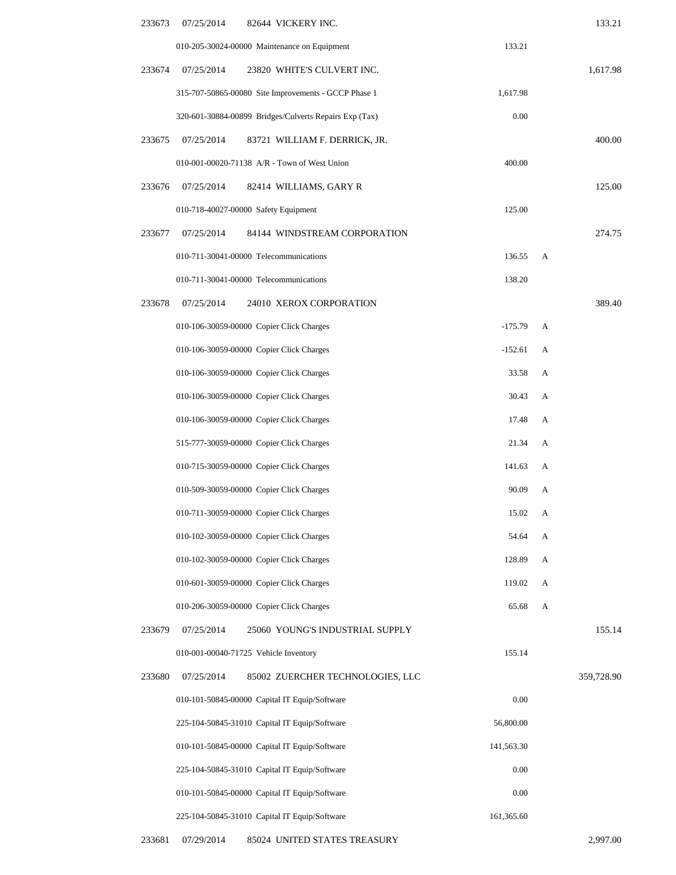| 233673 | 07/25/2014 | 82644 VICKERY INC.                                     |            |   | 133.21     |
|--------|------------|--------------------------------------------------------|------------|---|------------|
|        |            | 010-205-30024-00000 Maintenance on Equipment           | 133.21     |   |            |
| 233674 | 07/25/2014 | 23820 WHITE'S CULVERT INC.                             |            |   | 1,617.98   |
|        |            | 315-707-50865-00080 Site Improvements - GCCP Phase 1   | 1,617.98   |   |            |
|        |            | 320-601-30884-00899 Bridges/Culverts Repairs Exp (Tax) | 0.00       |   |            |
| 233675 | 07/25/2014 | 83721 WILLIAM F. DERRICK, JR.                          |            |   | 400.00     |
|        |            | 010-001-00020-71138 A/R - Town of West Union           | 400.00     |   |            |
| 233676 | 07/25/2014 | 82414 WILLIAMS, GARY R                                 |            |   | 125.00     |
|        |            | 010-718-40027-00000 Safety Equipment                   | 125.00     |   |            |
| 233677 | 07/25/2014 | 84144 WINDSTREAM CORPORATION                           |            |   | 274.75     |
|        |            | 010-711-30041-00000 Telecommunications                 | 136.55     | A |            |
|        |            | 010-711-30041-00000 Telecommunications                 | 138.20     |   |            |
| 233678 | 07/25/2014 | 24010 XEROX CORPORATION                                |            |   | 389.40     |
|        |            | 010-106-30059-00000 Copier Click Charges               | $-175.79$  | А |            |
|        |            | 010-106-30059-00000 Copier Click Charges               | $-152.61$  | А |            |
|        |            | 010-106-30059-00000 Copier Click Charges               | 33.58      | А |            |
|        |            | 010-106-30059-00000 Copier Click Charges               | 30.43      | А |            |
|        |            | 010-106-30059-00000 Copier Click Charges               | 17.48      | A |            |
|        |            | 515-777-30059-00000 Copier Click Charges               | 21.34      | А |            |
|        |            | 010-715-30059-00000 Copier Click Charges               | 141.63     | А |            |
|        |            | 010-509-30059-00000 Copier Click Charges               | 90.09      | А |            |
|        |            | 010-711-30059-00000 Copier Click Charges               | 15.02      | A |            |
|        |            | 010-102-30059-00000 Copier Click Charges               | 54.64      | А |            |
|        |            | 010-102-30059-00000 Copier Click Charges               | 128.89     | A |            |
|        |            | 010-601-30059-00000 Copier Click Charges               | 119.02     | А |            |
|        |            | 010-206-30059-00000 Copier Click Charges               | 65.68      | A |            |
| 233679 | 07/25/2014 | 25060 YOUNG'S INDUSTRIAL SUPPLY                        |            |   | 155.14     |
|        |            | 010-001-00040-71725 Vehicle Inventory                  | 155.14     |   |            |
| 233680 | 07/25/2014 | 85002 ZUERCHER TECHNOLOGIES, LLC                       |            |   | 359,728.90 |
|        |            | 010-101-50845-00000 Capital IT Equip/Software          | 0.00       |   |            |
|        |            | 225-104-50845-31010 Capital IT Equip/Software          | 56,800.00  |   |            |
|        |            | 010-101-50845-00000 Capital IT Equip/Software          | 141,563.30 |   |            |
|        |            | 225-104-50845-31010 Capital IT Equip/Software          | 0.00       |   |            |
|        |            | 010-101-50845-00000 Capital IT Equip/Software          | 0.00       |   |            |
|        |            | 225-104-50845-31010 Capital IT Equip/Software          | 161,365.60 |   |            |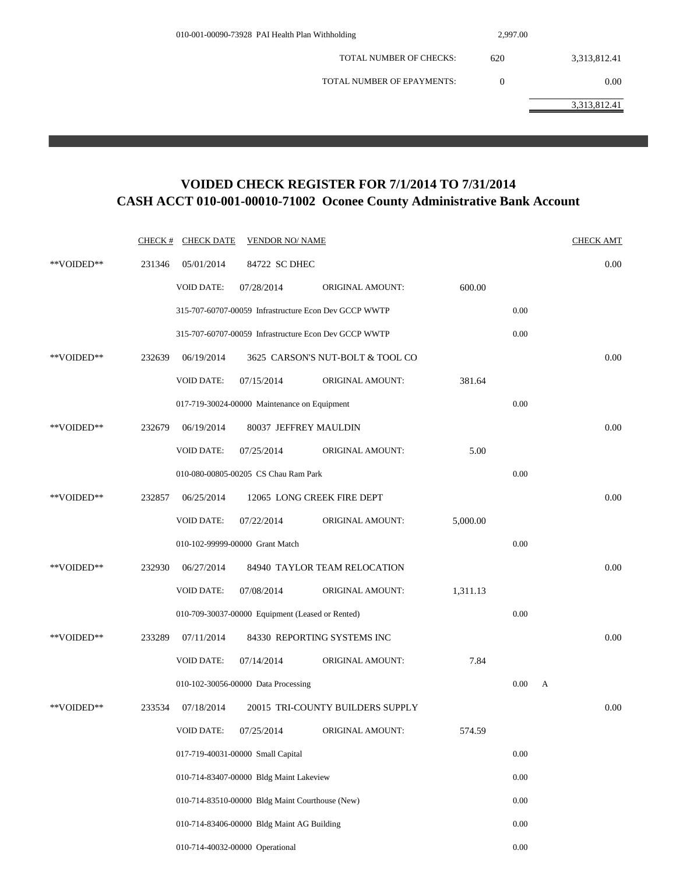| 010-001-00090-73928 PAI Health Plan Withholding | 2,997.00 |              |
|-------------------------------------------------|----------|--------------|
| <b>TOTAL NUMBER OF CHECKS:</b>                  | 620      | 3,313,812.41 |
| TOTAL NUMBER OF EPAYMENTS:                      | $\Omega$ | 0.00         |
|                                                 |          | 3,313,812.41 |
|                                                 |          |              |

## **VOIDED CHECK REGISTER FOR 7/1/2014 TO 7/31/2014 CASH ACCT 010-001-00010-71002 Oconee County Administrative Bank Account**

|            | CHECK # | <b>CHECK DATE</b> | <b>VENDOR NO/ NAME</b>                                |                                  |          |      |              | <b>CHECK AMT</b> |
|------------|---------|-------------------|-------------------------------------------------------|----------------------------------|----------|------|--------------|------------------|
| **VOIDED** | 231346  | 05/01/2014        | 84722 SC DHEC                                         |                                  |          |      |              | 0.00             |
|            |         | <b>VOID DATE:</b> | 07/28/2014                                            | ORIGINAL AMOUNT:                 | 600.00   |      |              |                  |
|            |         |                   | 315-707-60707-00059 Infrastructure Econ Dev GCCP WWTP |                                  |          | 0.00 |              |                  |
|            |         |                   | 315-707-60707-00059 Infrastructure Econ Dev GCCP WWTP |                                  |          | 0.00 |              |                  |
| **VOIDED** | 232639  | 06/19/2014        |                                                       | 3625 CARSON'S NUT-BOLT & TOOL CO |          |      |              | 0.00             |
|            |         | <b>VOID DATE:</b> | 07/15/2014                                            | ORIGINAL AMOUNT:                 | 381.64   |      |              |                  |
|            |         |                   | 017-719-30024-00000 Maintenance on Equipment          |                                  |          | 0.00 |              |                  |
| **VOIDED** | 232679  | 06/19/2014        | 80037 JEFFREY MAULDIN                                 |                                  |          |      |              | 0.00             |
|            |         | <b>VOID DATE:</b> | 07/25/2014                                            | <b>ORIGINAL AMOUNT:</b>          | 5.00     |      |              |                  |
|            |         |                   | 010-080-00805-00205 CS Chau Ram Park                  |                                  |          | 0.00 |              |                  |
| **VOIDED** | 232857  | 06/25/2014        | 12065 LONG CREEK FIRE DEPT                            |                                  |          |      |              | 0.00             |
|            |         | <b>VOID DATE:</b> | 07/22/2014                                            | <b>ORIGINAL AMOUNT:</b>          | 5,000.00 |      |              |                  |
|            |         |                   | 010-102-99999-00000 Grant Match                       |                                  |          | 0.00 |              |                  |
| **VOIDED** | 232930  | 06/27/2014        |                                                       | 84940 TAYLOR TEAM RELOCATION     |          |      |              | 0.00             |
|            |         | <b>VOID DATE:</b> | 07/08/2014                                            | ORIGINAL AMOUNT:                 | 1,311.13 |      |              |                  |
|            |         |                   | 010-709-30037-00000 Equipment (Leased or Rented)      |                                  |          | 0.00 |              |                  |
| **VOIDED** | 233289  | 07/11/2014        |                                                       | 84330 REPORTING SYSTEMS INC      |          |      |              | 0.00             |
|            |         | <b>VOID DATE:</b> | 07/14/2014                                            | ORIGINAL AMOUNT:                 | 7.84     |      |              |                  |
|            |         |                   | 010-102-30056-00000 Data Processing                   |                                  |          | 0.00 | $\mathbf{A}$ |                  |
| **VOIDED** | 233534  | 07/18/2014        |                                                       | 20015 TRI-COUNTY BUILDERS SUPPLY |          |      |              | 0.00             |
|            |         | <b>VOID DATE:</b> | 07/25/2014                                            | ORIGINAL AMOUNT:                 | 574.59   |      |              |                  |
|            |         |                   | 017-719-40031-00000 Small Capital                     |                                  |          | 0.00 |              |                  |
|            |         |                   | 010-714-83407-00000 Bldg Maint Lakeview               |                                  |          | 0.00 |              |                  |
|            |         |                   | 010-714-83510-00000 Bldg Maint Courthouse (New)       |                                  |          | 0.00 |              |                  |
|            |         |                   | 010-714-83406-00000 Bldg Maint AG Building            |                                  |          | 0.00 |              |                  |
|            |         |                   | 010-714-40032-00000 Operational                       |                                  |          | 0.00 |              |                  |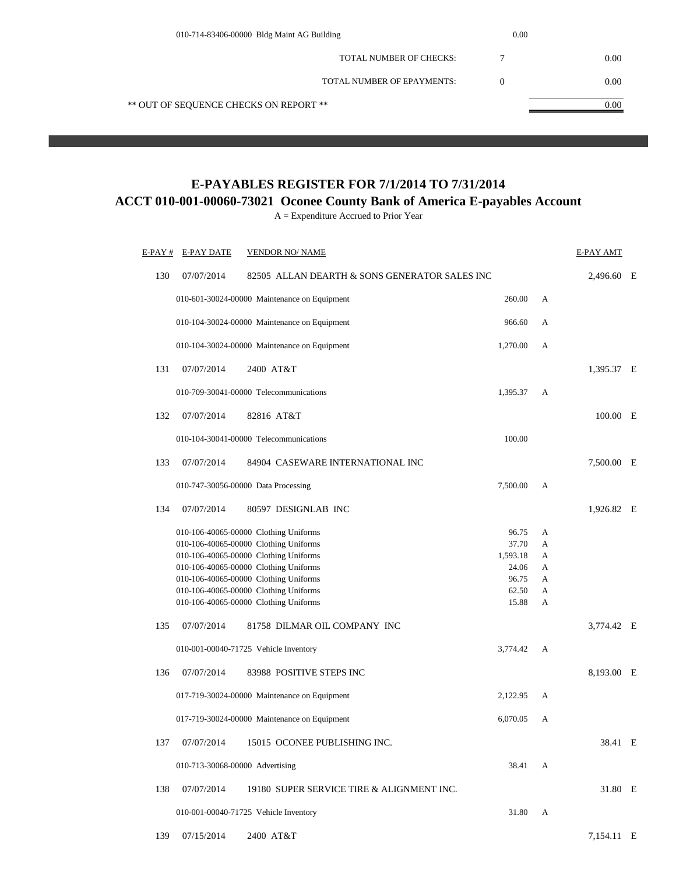| 010-714-83406-00000 Bldg Maint AG Building | 0.00     |      |  |
|--------------------------------------------|----------|------|--|
| <b>TOTAL NUMBER OF CHECKS:</b>             |          | 0.00 |  |
| TOTAL NUMBER OF EPAYMENTS:                 | $\theta$ | 0.00 |  |
| ** OUT OF SEQUENCE CHECKS ON REPORT **     |          | 0.00 |  |
|                                            |          |      |  |

# **E-PAYABLES REGISTER FOR 7/1/2014 TO 7/31/2014**

**ACCT 010-001-00060-73021 Oconee County Bank of America E-payables Account**

A = Expenditure Accrued to Prior Year

| E-PAY # | E-PAY DATE                      | <b>VENDOR NO/ NAME</b>                        |          |   | E-PAY AMT  |   |
|---------|---------------------------------|-----------------------------------------------|----------|---|------------|---|
| 130     | 07/07/2014                      | 82505 ALLAN DEARTH & SONS GENERATOR SALES INC |          |   | 2,496.60 E |   |
|         |                                 | 010-601-30024-00000 Maintenance on Equipment  | 260.00   | А |            |   |
|         |                                 | 010-104-30024-00000 Maintenance on Equipment  | 966.60   | А |            |   |
|         |                                 | 010-104-30024-00000 Maintenance on Equipment  | 1,270.00 | A |            |   |
| 131     | 07/07/2014                      | 2400 AT&T                                     |          |   | 1,395.37 E |   |
|         |                                 | 010-709-30041-00000 Telecommunications        | 1,395.37 | А |            |   |
| 132     | 07/07/2014                      | 82816 AT&T                                    |          |   | 100.00 E   |   |
|         |                                 | 010-104-30041-00000 Telecommunications        | 100.00   |   |            |   |
| 133     | 07/07/2014                      | 84904 CASEWARE INTERNATIONAL INC              |          |   | 7,500.00 E |   |
|         |                                 | 010-747-30056-00000 Data Processing           | 7,500.00 | А |            |   |
| 134     | 07/07/2014                      | 80597 DESIGNLAB INC                           |          |   | 1,926.82 E |   |
|         |                                 | 010-106-40065-00000 Clothing Uniforms         | 96.75    | А |            |   |
|         |                                 | 010-106-40065-00000 Clothing Uniforms         | 37.70    | А |            |   |
|         |                                 | 010-106-40065-00000 Clothing Uniforms         | 1,593.18 | А |            |   |
|         |                                 | 010-106-40065-00000 Clothing Uniforms         | 24.06    | А |            |   |
|         |                                 | 010-106-40065-00000 Clothing Uniforms         | 96.75    | А |            |   |
|         |                                 | 010-106-40065-00000 Clothing Uniforms         | 62.50    | A |            |   |
|         |                                 | 010-106-40065-00000 Clothing Uniforms         | 15.88    | А |            |   |
| 135     | 07/07/2014                      | 81758 DILMAR OIL COMPANY INC                  |          |   | 3,774.42 E |   |
|         |                                 | 010-001-00040-71725 Vehicle Inventory         | 3,774.42 | А |            |   |
| 136     | 07/07/2014                      | 83988 POSITIVE STEPS INC                      |          |   | 8,193.00 E |   |
|         |                                 | 017-719-30024-00000 Maintenance on Equipment  | 2,122.95 | А |            |   |
|         |                                 | 017-719-30024-00000 Maintenance on Equipment  | 6,070.05 | А |            |   |
| 137     | 07/07/2014                      | 15015 OCONEE PUBLISHING INC.                  |          |   | 38.41      | E |
|         | 010-713-30068-00000 Advertising |                                               | 38.41    | А |            |   |
| 138     | 07/07/2014                      | 19180 SUPER SERVICE TIRE & ALIGNMENT INC.     |          |   | 31.80 E    |   |
|         |                                 | 010-001-00040-71725 Vehicle Inventory         | 31.80    | A |            |   |
| 139     | 07/15/2014                      | 2400 AT&T                                     |          |   | 7,154.11 E |   |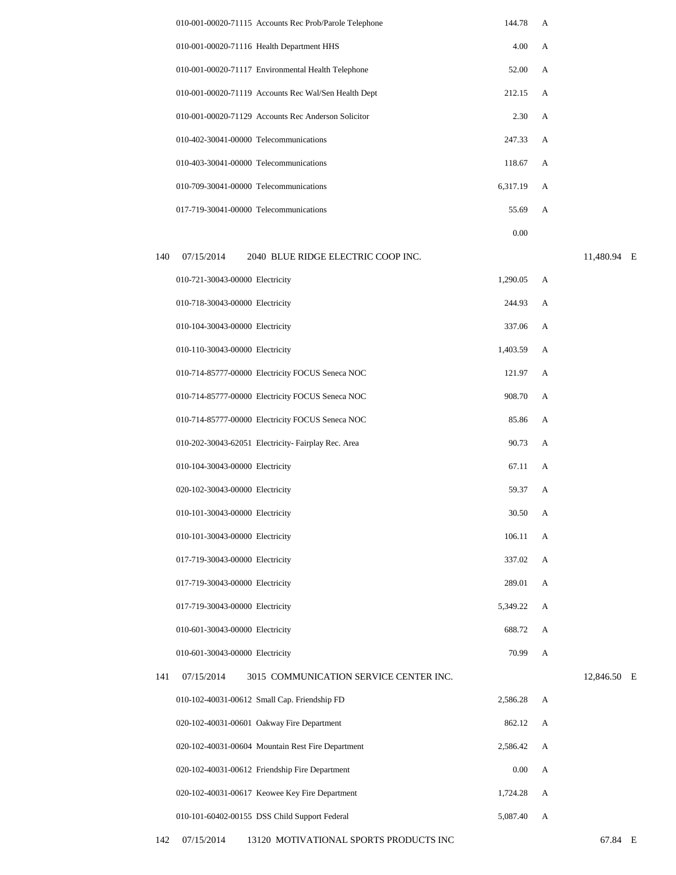|                                        | 010-001-00020-71115 Accounts Rec Prob/Parole Telephone | 144.78   | A              |  |
|----------------------------------------|--------------------------------------------------------|----------|----------------|--|
|                                        | 010-001-00020-71116 Health Department HHS              | 4.00     | A              |  |
|                                        | 010-001-00020-71117 Environmental Health Telephone     | 52.00    | A              |  |
|                                        | 010-001-00020-71119 Accounts Rec Wal/Sen Health Dept   | 212.15   | $\mathsf{A}$   |  |
|                                        | 010-001-00020-71129 Accounts Rec Anderson Solicitor    | 2.30     | $\overline{A}$ |  |
| 010-402-30041-00000 Telecommunications |                                                        | 247.33   | $\mathsf{A}$   |  |
| 010-403-30041-00000 Telecommunications |                                                        | 118.67   | $\mathsf{A}$   |  |
| 010-709-30041-00000 Telecommunications |                                                        | 6.317.19 | A              |  |
| 017-719-30041-00000 Telecommunications |                                                        | 55.69    | A              |  |
|                                        |                                                        |          |                |  |

0.00

### 140 07/15/2014 2040 BLUE RIDGE ELECTRIC COOP INC.

11,480.94 E

|     | 010-721-30043-00000 Electricity |                                                     | 1,290.05 | A |           |
|-----|---------------------------------|-----------------------------------------------------|----------|---|-----------|
|     | 010-718-30043-00000 Electricity |                                                     | 244.93   | A |           |
|     | 010-104-30043-00000 Electricity |                                                     | 337.06   | А |           |
|     | 010-110-30043-00000 Electricity |                                                     | 1,403.59 | A |           |
|     |                                 | 010-714-85777-00000 Electricity FOCUS Seneca NOC    | 121.97   | А |           |
|     |                                 | 010-714-85777-00000 Electricity FOCUS Seneca NOC    | 908.70   | A |           |
|     |                                 | 010-714-85777-00000 Electricity FOCUS Seneca NOC    | 85.86    | A |           |
|     |                                 | 010-202-30043-62051 Electricity- Fairplay Rec. Area | 90.73    | A |           |
|     | 010-104-30043-00000 Electricity |                                                     | 67.11    | A |           |
|     | 020-102-30043-00000 Electricity |                                                     | 59.37    | A |           |
|     | 010-101-30043-00000 Electricity |                                                     | 30.50    | A |           |
|     | 010-101-30043-00000 Electricity |                                                     | 106.11   | A |           |
|     | 017-719-30043-00000 Electricity |                                                     | 337.02   | A |           |
|     | 017-719-30043-00000 Electricity |                                                     | 289.01   | A |           |
|     | 017-719-30043-00000 Electricity |                                                     | 5,349.22 | A |           |
|     | 010-601-30043-00000 Electricity |                                                     | 688.72   | A |           |
|     | 010-601-30043-00000 Electricity |                                                     | 70.99    | A |           |
| 141 | 07/15/2014                      | 3015 COMMUNICATION SERVICE CENTER INC.              |          |   | 12,846.50 |
|     |                                 | 010-102-40031-00612 Small Cap. Friendship FD        | 2,586.28 | A |           |
|     |                                 | 020-102-40031-00601 Oakway Fire Department          | 862.12   | A |           |
|     |                                 | 020-102-40031-00604 Mountain Rest Fire Department   | 2,586.42 | A |           |
|     |                                 | 020-102-40031-00612 Friendship Fire Department      | 0.00     | A |           |
|     |                                 | 020-102-40031-00617 Keowee Key Fire Department      | 1,724.28 | А |           |
|     |                                 | 010-101-60402-00155 DSS Child Support Federal       | 5,087.40 | А |           |

E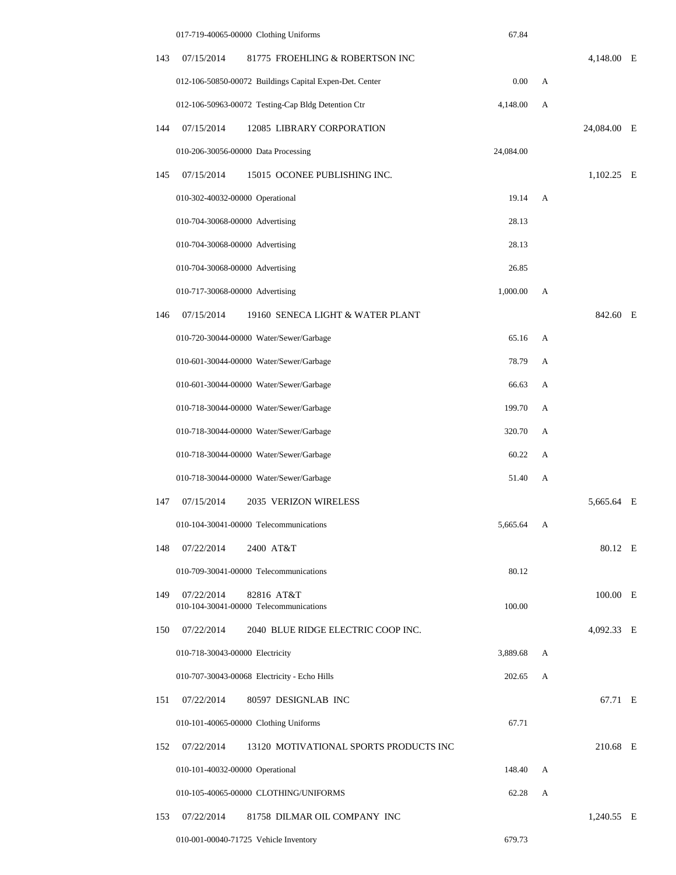|     | 017-719-40065-00000 Clothing Uniforms                              | 67.84     |   |             |  |
|-----|--------------------------------------------------------------------|-----------|---|-------------|--|
| 143 | 07/15/2014<br>81775 FROEHLING & ROBERTSON INC                      |           |   | 4,148.00 E  |  |
|     | 012-106-50850-00072 Buildings Capital Expen-Det. Center            | 0.00      | А |             |  |
|     | 012-106-50963-00072 Testing-Cap Bldg Detention Ctr                 | 4,148.00  | А |             |  |
| 144 | 07/15/2014<br>12085 LIBRARY CORPORATION                            |           |   | 24,084.00 E |  |
|     | 010-206-30056-00000 Data Processing                                | 24,084.00 |   |             |  |
| 145 | 07/15/2014<br>15015 OCONEE PUBLISHING INC.                         |           |   | 1,102.25 E  |  |
|     | 010-302-40032-00000 Operational                                    | 19.14     | A |             |  |
|     | 010-704-30068-00000 Advertising                                    | 28.13     |   |             |  |
|     | 010-704-30068-00000 Advertising                                    | 28.13     |   |             |  |
|     | 010-704-30068-00000 Advertising                                    | 26.85     |   |             |  |
|     | 010-717-30068-00000 Advertising                                    | 1,000.00  | A |             |  |
| 146 | 07/15/2014<br>19160 SENECA LIGHT & WATER PLANT                     |           |   | 842.60 E    |  |
|     | 010-720-30044-00000 Water/Sewer/Garbage                            | 65.16     | А |             |  |
|     | 010-601-30044-00000 Water/Sewer/Garbage                            | 78.79     | А |             |  |
|     | 010-601-30044-00000 Water/Sewer/Garbage                            | 66.63     | А |             |  |
|     | 010-718-30044-00000 Water/Sewer/Garbage                            | 199.70    | А |             |  |
|     | 010-718-30044-00000 Water/Sewer/Garbage                            | 320.70    | А |             |  |
|     | 010-718-30044-00000 Water/Sewer/Garbage                            | 60.22     | А |             |  |
|     | 010-718-30044-00000 Water/Sewer/Garbage                            | 51.40     | A |             |  |
| 147 | 07/15/2014<br>2035 VERIZON WIRELESS                                |           |   | 5,665.64 E  |  |
|     | 010-104-30041-00000 Telecommunications                             | 5,665.64  | A |             |  |
| 148 | 07/22/2014<br>2400 AT&T                                            |           |   | 80.12 E     |  |
|     | 010-709-30041-00000 Telecommunications                             | 80.12     |   |             |  |
| 149 | 07/22/2014<br>82816 AT&T<br>010-104-30041-00000 Telecommunications | 100.00    |   | 100.00 E    |  |
| 150 | 07/22/2014<br>2040 BLUE RIDGE ELECTRIC COOP INC.                   |           |   | 4,092.33 E  |  |
|     | 010-718-30043-00000 Electricity                                    | 3,889.68  | А |             |  |
|     | 010-707-30043-00068 Electricity - Echo Hills                       | 202.65    | A |             |  |
| 151 | 07/22/2014<br>80597 DESIGNLAB INC                                  |           |   | 67.71 E     |  |
|     | 010-101-40065-00000 Clothing Uniforms                              | 67.71     |   |             |  |
| 152 | 07/22/2014<br>13120 MOTIVATIONAL SPORTS PRODUCTS INC               |           |   | 210.68 E    |  |
|     | 010-101-40032-00000 Operational                                    | 148.40    | А |             |  |
|     | 010-105-40065-00000 CLOTHING/UNIFORMS                              | 62.28     | А |             |  |
| 153 | 07/22/2014<br>81758 DILMAR OIL COMPANY INC                         |           |   | 1,240.55 E  |  |
|     | 010-001-00040-71725 Vehicle Inventory                              | 679.73    |   |             |  |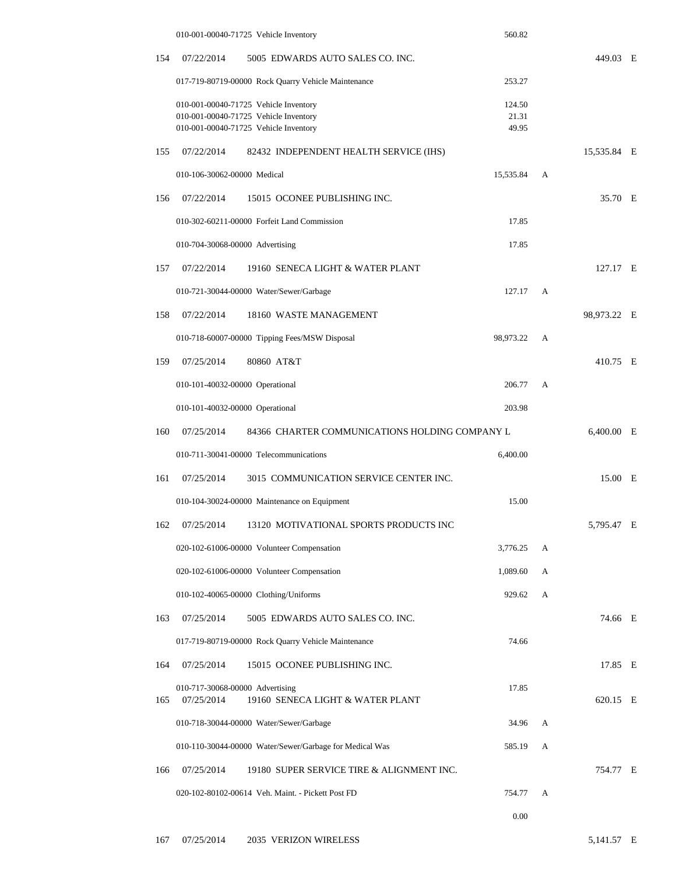|     | 010-001-00040-71725 Vehicle Inventory                                          |                                                                                | 560.82         |   |              |   |
|-----|--------------------------------------------------------------------------------|--------------------------------------------------------------------------------|----------------|---|--------------|---|
| 154 | 07/22/2014                                                                     | 5005 EDWARDS AUTO SALES CO. INC.                                               |                |   | 449.03 E     |   |
|     |                                                                                | 017-719-80719-00000 Rock Quarry Vehicle Maintenance                            | 253.27         |   |              |   |
|     |                                                                                | 010-001-00040-71725 Vehicle Inventory                                          | 124.50         |   |              |   |
|     |                                                                                | 010-001-00040-71725 Vehicle Inventory<br>010-001-00040-71725 Vehicle Inventory | 21.31<br>49.95 |   |              |   |
| 155 | 07/22/2014                                                                     | 82432 INDEPENDENT HEALTH SERVICE (IHS)                                         |                |   | 15,535.84 E  |   |
|     | 010-106-30062-00000 Medical                                                    |                                                                                | 15,535.84      | А |              |   |
| 156 | 07/22/2014                                                                     | 15015 OCONEE PUBLISHING INC.                                                   |                |   | 35.70 E      |   |
|     |                                                                                |                                                                                | 17.85          |   |              |   |
|     | 010-302-60211-00000 Forfeit Land Commission<br>010-704-30068-00000 Advertising |                                                                                | 17.85          |   |              |   |
|     |                                                                                |                                                                                |                |   |              |   |
| 157 | 07/22/2014                                                                     | 19160 SENECA LIGHT & WATER PLANT                                               |                |   | 127.17 E     |   |
|     |                                                                                | 010-721-30044-00000 Water/Sewer/Garbage                                        | 127.17         | A |              |   |
| 158 | 07/22/2014                                                                     | 18160 WASTE MANAGEMENT                                                         |                |   | 98,973.22 E  |   |
|     |                                                                                | 010-718-60007-00000 Tipping Fees/MSW Disposal                                  | 98,973.22      | А |              |   |
| 159 | 07/25/2014                                                                     | 80860 AT&T                                                                     |                |   | 410.75 E     |   |
|     | 010-101-40032-00000 Operational                                                |                                                                                | 206.77         | A |              |   |
|     | 010-101-40032-00000 Operational                                                |                                                                                | 203.98         |   |              |   |
| 160 | 07/25/2014                                                                     | 84366 CHARTER COMMUNICATIONS HOLDING COMPANY L                                 |                |   | $6,400.00$ E |   |
|     |                                                                                | 010-711-30041-00000 Telecommunications                                         | 6,400.00       |   |              |   |
| 161 | 07/25/2014                                                                     | 3015 COMMUNICATION SERVICE CENTER INC.                                         |                |   | 15.00        | E |
|     |                                                                                | 010-104-30024-00000 Maintenance on Equipment                                   | 15.00          |   |              |   |
| 162 | 07/25/2014                                                                     | 13120 MOTIVATIONAL SPORTS PRODUCTS INC                                         |                |   | 5,795.47 E   |   |
|     |                                                                                | 020-102-61006-00000 Volunteer Compensation                                     | 3,776.25       | А |              |   |
|     |                                                                                | 020-102-61006-00000 Volunteer Compensation                                     | 1,089.60       | A |              |   |
|     |                                                                                | 010-102-40065-00000 Clothing/Uniforms                                          | 929.62         | А |              |   |
| 163 | 07/25/2014                                                                     | 5005 EDWARDS AUTO SALES CO. INC.                                               |                |   | 74.66 E      |   |
|     |                                                                                | 017-719-80719-00000 Rock Quarry Vehicle Maintenance                            | 74.66          |   |              |   |
| 164 | 07/25/2014                                                                     | 15015 OCONEE PUBLISHING INC.                                                   |                |   | 17.85 E      |   |
|     | 010-717-30068-00000 Advertising                                                |                                                                                | 17.85          |   |              |   |
| 165 | 07/25/2014                                                                     | 19160 SENECA LIGHT & WATER PLANT                                               |                |   | 620.15 E     |   |
|     | 010-718-30044-00000 Water/Sewer/Garbage<br>34.96                               |                                                                                | A              |   |              |   |
|     |                                                                                | 010-110-30044-00000 Water/Sewer/Garbage for Medical Was                        | 585.19         | А |              |   |
| 166 | 07/25/2014                                                                     | 19180 SUPER SERVICE TIRE & ALIGNMENT INC.                                      |                |   | 754.77       | E |
|     |                                                                                | 020-102-80102-00614 Veh. Maint. - Pickett Post FD                              | 754.77         | А |              |   |
|     |                                                                                |                                                                                | 0.00           |   |              |   |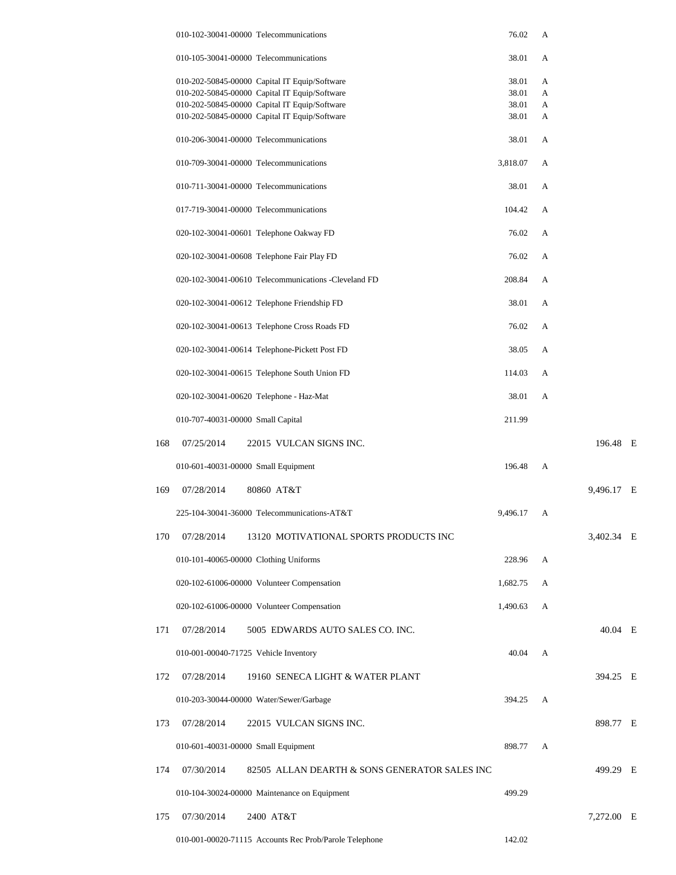|     | 010-102-30041-00000 Telecommunications  |                                                        | 76.02    | A |            |  |
|-----|-----------------------------------------|--------------------------------------------------------|----------|---|------------|--|
|     | 010-105-30041-00000 Telecommunications  |                                                        | 38.01    | A |            |  |
|     |                                         | 010-202-50845-00000 Capital IT Equip/Software          | 38.01    | A |            |  |
|     |                                         | 010-202-50845-00000 Capital IT Equip/Software          | 38.01    | A |            |  |
|     |                                         | 010-202-50845-00000 Capital IT Equip/Software          | 38.01    | A |            |  |
|     |                                         | 010-202-50845-00000 Capital IT Equip/Software          | 38.01    | A |            |  |
|     | 010-206-30041-00000 Telecommunications  |                                                        | 38.01    | A |            |  |
|     | 010-709-30041-00000 Telecommunications  |                                                        | 3,818.07 | A |            |  |
|     | 010-711-30041-00000 Telecommunications  |                                                        | 38.01    | А |            |  |
|     | 017-719-30041-00000 Telecommunications  |                                                        | 104.42   | А |            |  |
|     |                                         | 020-102-30041-00601 Telephone Oakway FD                | 76.02    | А |            |  |
|     |                                         | 020-102-30041-00608 Telephone Fair Play FD             | 76.02    | A |            |  |
|     |                                         | 020-102-30041-00610 Telecommunications - Cleveland FD  | 208.84   | A |            |  |
|     |                                         | 020-102-30041-00612 Telephone Friendship FD            | 38.01    | A |            |  |
|     |                                         | 020-102-30041-00613 Telephone Cross Roads FD           | 76.02    | A |            |  |
|     |                                         | 020-102-30041-00614 Telephone-Pickett Post FD          | 38.05    | A |            |  |
|     |                                         | 020-102-30041-00615 Telephone South Union FD           | 114.03   | A |            |  |
|     | 020-102-30041-00620 Telephone - Haz-Mat |                                                        | 38.01    | A |            |  |
|     | 010-707-40031-00000 Small Capital       |                                                        | 211.99   |   |            |  |
| 168 | 07/25/2014                              | 22015 VULCAN SIGNS INC.                                |          |   | 196.48 E   |  |
|     | 010-601-40031-00000 Small Equipment     |                                                        | 196.48   | A |            |  |
| 169 | 07/28/2014                              | 80860 AT&T                                             |          |   | 9.496.17 E |  |
|     |                                         | 225-104-30041-36000 Telecommunications-AT&T            | 9,496.17 | A |            |  |
| 170 | 07/28/2014                              | 13120 MOTIVATIONAL SPORTS PRODUCTS INC                 |          |   | 3,402.34 E |  |
|     | 010-101-40065-00000 Clothing Uniforms   |                                                        | 228.96   | А |            |  |
|     |                                         | 020-102-61006-00000 Volunteer Compensation             | 1,682.75 | А |            |  |
|     |                                         | 020-102-61006-00000 Volunteer Compensation             | 1,490.63 | A |            |  |
| 171 | 07/28/2014                              | 5005 EDWARDS AUTO SALES CO. INC.                       |          |   | 40.04 E    |  |
|     | 010-001-00040-71725 Vehicle Inventory   |                                                        | 40.04    | A |            |  |
| 172 | 07/28/2014                              | 19160 SENECA LIGHT & WATER PLANT                       |          |   | 394.25 E   |  |
|     |                                         | 010-203-30044-00000 Water/Sewer/Garbage                | 394.25   | A |            |  |
| 173 | 07/28/2014                              | 22015 VULCAN SIGNS INC.                                |          |   | 898.77 E   |  |
|     | 010-601-40031-00000 Small Equipment     |                                                        | 898.77   | А |            |  |
| 174 | 07/30/2014                              | 82505 ALLAN DEARTH & SONS GENERATOR SALES INC          |          |   | 499.29 E   |  |
|     |                                         | 010-104-30024-00000 Maintenance on Equipment           | 499.29   |   |            |  |
| 175 | 07/30/2014                              | 2400 AT&T                                              |          |   | 7,272.00 E |  |
|     |                                         | 010-001-00020-71115 Accounts Rec Prob/Parole Telephone | 142.02   |   |            |  |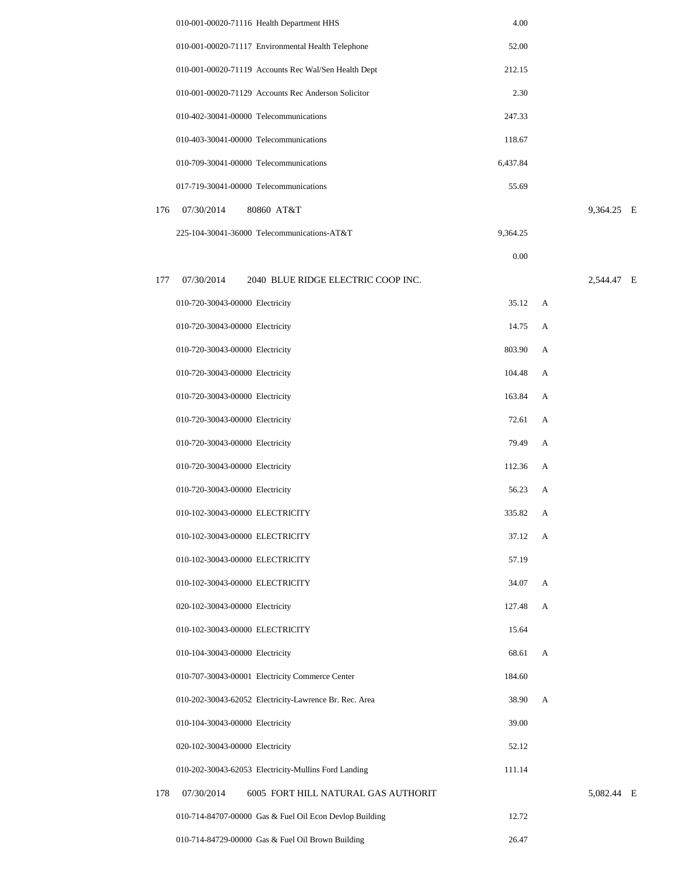|     | 010-001-00020-71116 Health Department HHS               | 4.00     |   |            |  |
|-----|---------------------------------------------------------|----------|---|------------|--|
|     | 010-001-00020-71117 Environmental Health Telephone      | 52.00    |   |            |  |
|     | 010-001-00020-71119 Accounts Rec Wal/Sen Health Dept    | 212.15   |   |            |  |
|     | 010-001-00020-71129 Accounts Rec Anderson Solicitor     | 2.30     |   |            |  |
|     | 010-402-30041-00000 Telecommunications                  | 247.33   |   |            |  |
|     | 010-403-30041-00000 Telecommunications                  | 118.67   |   |            |  |
|     | 010-709-30041-00000 Telecommunications                  | 6,437.84 |   |            |  |
|     | 017-719-30041-00000 Telecommunications                  | 55.69    |   |            |  |
| 176 | 07/30/2014<br>80860 AT&T                                |          |   | 9,364.25 E |  |
|     | 225-104-30041-36000 Telecommunications-AT&T             | 9,364.25 |   |            |  |
|     |                                                         | 0.00     |   |            |  |
| 177 | 07/30/2014<br>2040 BLUE RIDGE ELECTRIC COOP INC.        |          |   | 2,544.47 E |  |
|     | 010-720-30043-00000 Electricity                         | 35.12    | А |            |  |
|     | 010-720-30043-00000 Electricity                         | 14.75    | A |            |  |
|     | 010-720-30043-00000 Electricity                         | 803.90   | A |            |  |
|     | 010-720-30043-00000 Electricity                         | 104.48   | А |            |  |
|     | 010-720-30043-00000 Electricity                         | 163.84   | А |            |  |
|     | 010-720-30043-00000 Electricity                         | 72.61    | A |            |  |
|     | 010-720-30043-00000 Electricity                         | 79.49    | A |            |  |
|     | 010-720-30043-00000 Electricity                         | 112.36   | А |            |  |
|     | 010-720-30043-00000 Electricity                         | 56.23    | А |            |  |
|     | 010-102-30043-00000 ELECTRICITY                         | 335.82   | А |            |  |
|     | 010-102-30043-00000 ELECTRICITY                         | 37.12    | A |            |  |
|     | 010-102-30043-00000 ELECTRICITY                         | 57.19    |   |            |  |
|     | 010-102-30043-00000 ELECTRICITY                         | 34.07    | A |            |  |
|     | 020-102-30043-00000 Electricity                         | 127.48   | A |            |  |
|     | 010-102-30043-00000 ELECTRICITY                         | 15.64    |   |            |  |
|     | 010-104-30043-00000 Electricity                         | 68.61    | A |            |  |
|     | 010-707-30043-00001 Electricity Commerce Center         | 184.60   |   |            |  |
|     | 010-202-30043-62052 Electricity-Lawrence Br. Rec. Area  | 38.90    | A |            |  |
|     | 010-104-30043-00000 Electricity                         | 39.00    |   |            |  |
|     | 020-102-30043-00000 Electricity                         | 52.12    |   |            |  |
|     | 010-202-30043-62053 Electricity-Mullins Ford Landing    | 111.14   |   |            |  |
| 178 | 07/30/2014<br>6005 FORT HILL NATURAL GAS AUTHORIT       |          |   | 5,082.44 E |  |
|     | 010-714-84707-00000 Gas & Fuel Oil Econ Devlop Building | 12.72    |   |            |  |
|     | 010-714-84729-00000 Gas & Fuel Oil Brown Building       | 26.47    |   |            |  |